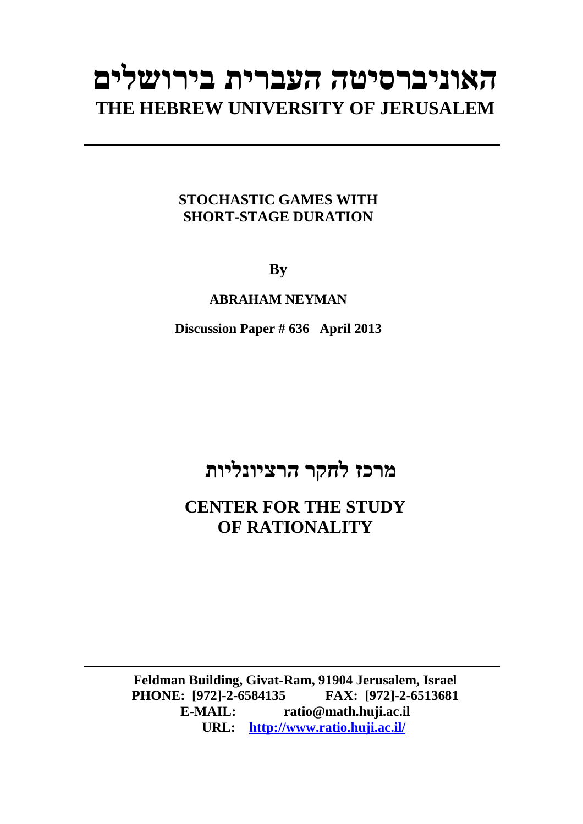# **האוניברסיטה העברית בירושלים THE HEBREW UNIVERSITY OF JERUSALEM**

#### **STOCHASTIC GAMES WITH SHORT-STAGE DURATION**

**By** 

**ABRAHAM NEYMAN** 

**Discussion Paper # 636 April 2013**

# **מרכז לחקר הרציונליות**

**CENTER FOR THE STUDY OF RATIONALITY** 

**Feldman Building, Givat-Ram, 91904 Jerusalem, Israel PHONE:** [972]-2-6584135 **E-MAIL: ratio@math.huji.ac.il URL: http://www.ratio.huji.ac.il/**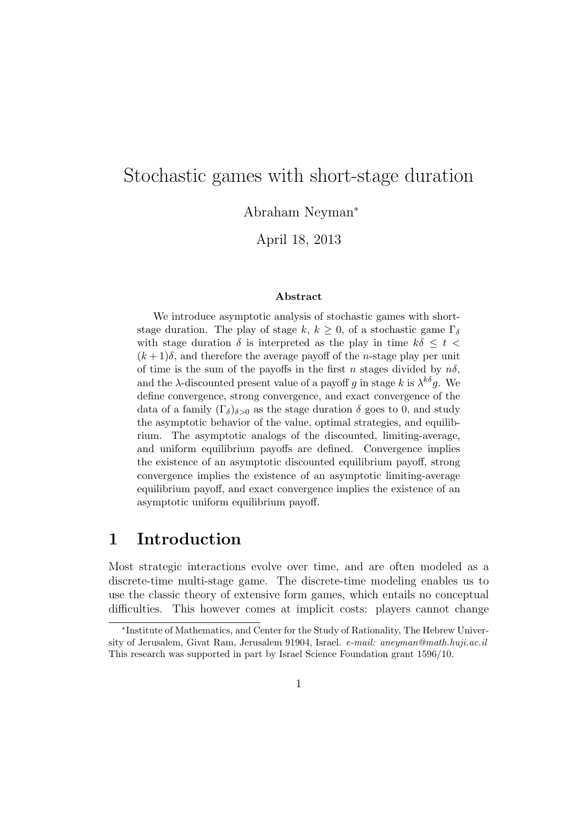# Stochastic games with short-stage duration

Abraham Neyman<sup>∗</sup>

April 18, 2013

#### Abstract

We introduce asymptotic analysis of stochastic games with shortstage duration. The play of stage k,  $k \geq 0$ , of a stochastic game  $\Gamma_{\delta}$ with stage duration  $\delta$  is interpreted as the play in time  $k\delta \leq t$  $(k+1)\delta$ , and therefore the average payoff of the *n*-stage play per unit of time is the sum of the payoffs in the first n stages divided by  $n\delta$ , and the  $\lambda$ -discounted present value of a payoff g in stage k is  $\lambda^{k\delta}$ g. We define convergence, strong convergence, and exact convergence of the data of a family  $(\Gamma_{\delta})_{\delta>0}$  as the stage duration  $\delta$  goes to 0, and study the asymptotic behavior of the value, optimal strategies, and equilibrium. The asymptotic analogs of the discounted, limiting-average, and uniform equilibrium payoffs are defined. Convergence implies the existence of an asymptotic discounted equilibrium payoff, strong convergence implies the existence of an asymptotic limiting-average equilibrium payoff, and exact convergence implies the existence of an asymptotic uniform equilibrium payoff.

## 1 Introduction

Most strategic interactions evolve over time, and are often modeled as a discrete-time multi-stage game. The discrete-time modeling enables us to use the classic theory of extensive form games, which entails no conceptual difficulties. This however comes at implicit costs: players cannot change

<sup>∗</sup> Institute of Mathematics, and Center for the Study of Rationality, The Hebrew University of Jerusalem, Givat Ram, Jerusalem 91904, Israel. e-mail: aneyman@math.huji.ac.il This research was supported in part by Israel Science Foundation grant 1596/10.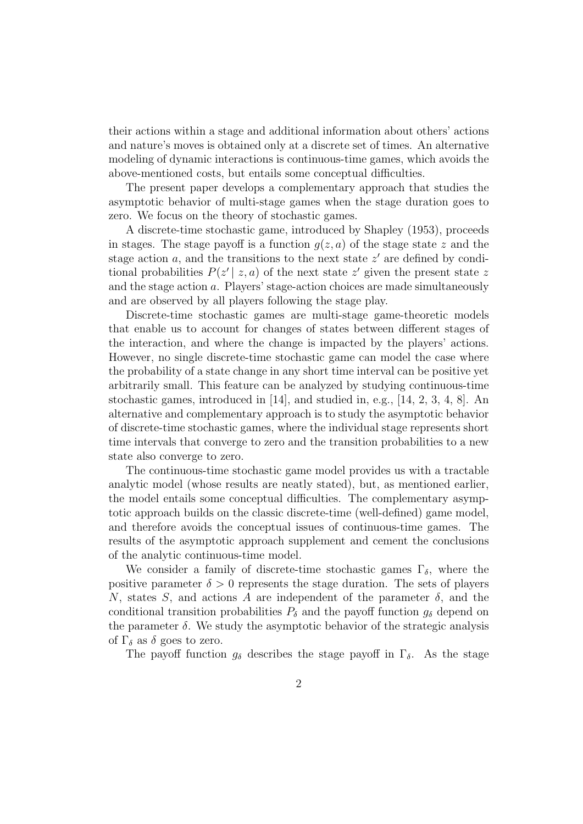their actions within a stage and additional information about others' actions and nature's moves is obtained only at a discrete set of times. An alternative modeling of dynamic interactions is continuous-time games, which avoids the above-mentioned costs, but entails some conceptual difficulties.

The present paper develops a complementary approach that studies the asymptotic behavior of multi-stage games when the stage duration goes to zero. We focus on the theory of stochastic games.

A discrete-time stochastic game, introduced by Shapley (1953), proceeds in stages. The stage payoff is a function  $q(z, a)$  of the stage state z and the stage action  $a$ , and the transitions to the next state  $z'$  are defined by conditional probabilities  $P(z' | z, a)$  of the next state z' given the present state z and the stage action a. Players' stage-action choices are made simultaneously and are observed by all players following the stage play.

Discrete-time stochastic games are multi-stage game-theoretic models that enable us to account for changes of states between different stages of the interaction, and where the change is impacted by the players' actions. However, no single discrete-time stochastic game can model the case where the probability of a state change in any short time interval can be positive yet arbitrarily small. This feature can be analyzed by studying continuous-time stochastic games, introduced in [14], and studied in, e.g., [14, 2, 3, 4, 8]. An alternative and complementary approach is to study the asymptotic behavior of discrete-time stochastic games, where the individual stage represents short time intervals that converge to zero and the transition probabilities to a new state also converge to zero.

The continuous-time stochastic game model provides us with a tractable analytic model (whose results are neatly stated), but, as mentioned earlier, the model entails some conceptual difficulties. The complementary asymptotic approach builds on the classic discrete-time (well-defined) game model, and therefore avoids the conceptual issues of continuous-time games. The results of the asymptotic approach supplement and cement the conclusions of the analytic continuous-time model.

We consider a family of discrete-time stochastic games  $\Gamma_{\delta}$ , where the positive parameter  $\delta > 0$  represents the stage duration. The sets of players N, states S, and actions A are independent of the parameter  $\delta$ , and the conditional transition probabilities  $P_{\delta}$  and the payoff function  $g_{\delta}$  depend on the parameter  $\delta$ . We study the asymptotic behavior of the strategic analysis of  $\Gamma_{\delta}$  as  $\delta$  goes to zero.

The payoff function  $g_{\delta}$  describes the stage payoff in  $\Gamma_{\delta}$ . As the stage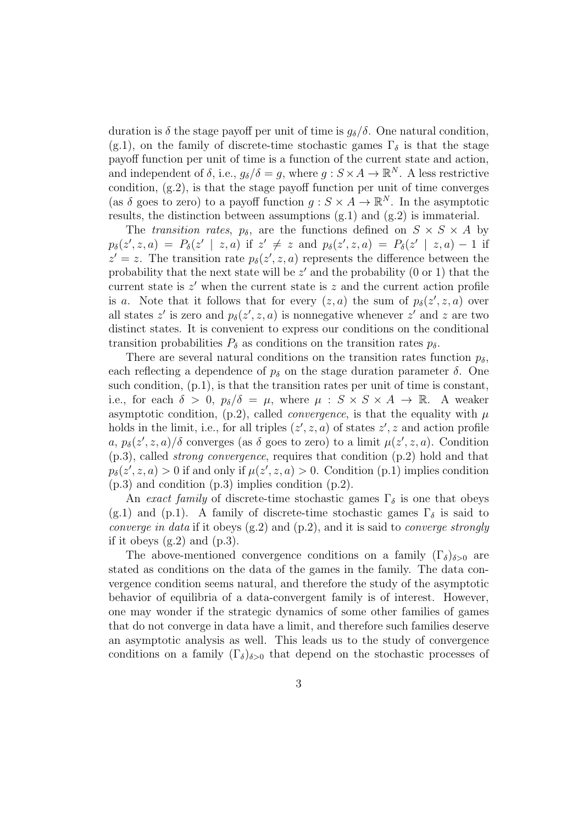duration is  $\delta$  the stage payoff per unit of time is  $g_{\delta}/\delta$ . One natural condition, (g.1), on the family of discrete-time stochastic games  $\Gamma_{\delta}$  is that the stage payoff function per unit of time is a function of the current state and action, and independent of  $\delta$ , i.e.,  $g_{\delta}/\delta = g$ , where  $g : S \times A \to \mathbb{R}^N$ . A less restrictive condition, (g.2), is that the stage payoff function per unit of time converges (as  $\delta$  goes to zero) to a payoff function  $g : S \times A \to \mathbb{R}^N$ . In the asymptotic results, the distinction between assumptions  $(g.1)$  and  $(g.2)$  is immaterial.

The transition rates,  $p_{\delta}$ , are the functions defined on  $S \times S \times A$  by  $p_{\delta}(z', z, a) = P_{\delta}(z' | z, a)$  if  $z' \neq z$  and  $p_{\delta}(z', z, a) = P_{\delta}(z' | z, a) - 1$  if  $z' = z$ . The transition rate  $p_{\delta}(z', z, a)$  represents the difference between the probability that the next state will be  $z'$  and the probability  $(0 \text{ or } 1)$  that the current state is  $z'$  when the current state is  $z$  and the current action profile is a. Note that it follows that for every  $(z, a)$  the sum of  $p_{\delta}(z', z, a)$  over all states z' is zero and  $p_{\delta}(z', z, a)$  is nonnegative whenever z' and z are two distinct states. It is convenient to express our conditions on the conditional transition probabilities  $P_{\delta}$  as conditions on the transition rates  $p_{\delta}$ .

There are several natural conditions on the transition rates function  $p_{\delta}$ , each reflecting a dependence of  $p<sub>\delta</sub>$  on the stage duration parameter  $\delta$ . One such condition,  $(p.1)$ , is that the transition rates per unit of time is constant, i.e., for each  $\delta > 0$ ,  $p_{\delta}/\delta = \mu$ , where  $\mu : S \times S \times A \rightarrow \mathbb{R}$ . A weaker asymptotic condition, (p.2), called *convergence*, is that the equality with  $\mu$ holds in the limit, i.e., for all triples  $(z', z, a)$  of states  $z', z$  and action profile  $a, p_{\delta}(z', z, a)/\delta$  converges (as  $\delta$  goes to zero) to a limit  $\mu(z', z, a)$ . Condition (p.3), called strong convergence, requires that condition (p.2) hold and that  $p_{\delta}(z', z, a) > 0$  if and only if  $\mu(z', z, a) > 0$ . Condition (p.1) implies condition (p.3) and condition (p.3) implies condition (p.2).

An exact family of discrete-time stochastic games  $\Gamma_{\delta}$  is one that obeys (g.1) and (p.1). A family of discrete-time stochastic games  $\Gamma_{\delta}$  is said to converge in data if it obeys  $(g.2)$  and  $(p.2)$ , and it is said to converge strongly if it obeys  $(g.2)$  and  $(p.3)$ .

The above-mentioned convergence conditions on a family  $(\Gamma_{\delta})_{\delta>0}$  are stated as conditions on the data of the games in the family. The data convergence condition seems natural, and therefore the study of the asymptotic behavior of equilibria of a data-convergent family is of interest. However, one may wonder if the strategic dynamics of some other families of games that do not converge in data have a limit, and therefore such families deserve an asymptotic analysis as well. This leads us to the study of convergence conditions on a family  $(\Gamma_{\delta})_{\delta>0}$  that depend on the stochastic processes of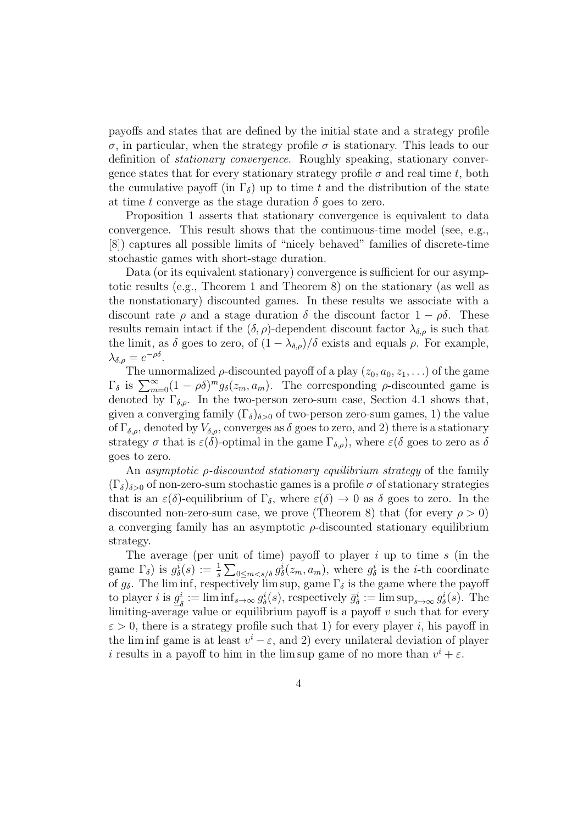payoffs and states that are defined by the initial state and a strategy profile σ, in particular, when the strategy profile σ is stationary. This leads to our definition of stationary convergence. Roughly speaking, stationary convergence states that for every stationary strategy profile  $\sigma$  and real time t, both the cumulative payoff (in  $\Gamma_{\delta}$ ) up to time t and the distribution of the state at time t converge as the stage duration  $\delta$  goes to zero.

Proposition 1 asserts that stationary convergence is equivalent to data convergence. This result shows that the continuous-time model (see, e.g., [8]) captures all possible limits of "nicely behaved" families of discrete-time stochastic games with short-stage duration.

Data (or its equivalent stationary) convergence is sufficient for our asymptotic results (e.g., Theorem 1 and Theorem 8) on the stationary (as well as the nonstationary) discounted games. In these results we associate with a discount rate  $\rho$  and a stage duration  $\delta$  the discount factor  $1 - \rho \delta$ . These results remain intact if the  $(\delta, \rho)$ -dependent discount factor  $\lambda_{\delta, \rho}$  is such that the limit, as  $\delta$  goes to zero, of  $(1 - \lambda_{\delta,\rho})/\delta$  exists and equals  $\rho$ . For example,  $\lambda_{\delta,\rho} = e^{-\rho\delta}.$ 

The unnormalized  $\rho$ -discounted payoff of a play  $(z_0, a_0, z_1, \ldots)$  of the game  $\Gamma_{\delta}$  is  $\sum_{m=0}^{\infty} (1 - \rho \delta)^m g_{\delta}(z_m, a_m)$ . The corresponding  $\rho$ -discounted game is denoted by  $\Gamma_{\delta,\rho}$ . In the two-person zero-sum case, Section 4.1 shows that, given a converging family  $(\Gamma_{\delta})_{\delta>0}$  of two-person zero-sum games, 1) the value of  $\Gamma_{\delta,\rho}$ , denoted by  $V_{\delta,\rho}$ , converges as  $\delta$  goes to zero, and 2) there is a stationary strategy  $\sigma$  that is  $\varepsilon(\delta)$ -optimal in the game  $\Gamma_{\delta,\rho}$ , where  $\varepsilon(\delta)$  goes to zero as  $\delta$ goes to zero.

An asymptotic ρ-discounted stationary equilibrium strategy of the family  $(\Gamma_{\delta})_{\delta>0}$  of non-zero-sum stochastic games is a profile  $\sigma$  of stationary strategies that is an  $\varepsilon(\delta)$ -equilibrium of  $\Gamma_{\delta}$ , where  $\varepsilon(\delta) \to 0$  as  $\delta$  goes to zero. In the discounted non-zero-sum case, we prove (Theorem 8) that (for every  $\rho > 0$ ) a converging family has an asymptotic  $\rho$ -discounted stationary equilibrium strategy.

The average (per unit of time) payoff to player i up to time s (in the game  $\Gamma_{\delta}$ ) is  $g_{\delta}^{i}(s) := \frac{1}{s} \sum_{0 \leq m < s/\delta} g_{\delta}^{i}(z_m, a_m)$ , where  $g_{\delta}^{i}$  is the *i*-th coordinate of  $g_\delta$ . The lim inf, respectively lim sup, game  $\Gamma_\delta$  is the game where the payoff to player *i* is  $g_s^i$  $\sigma_{\delta}^{i} := \liminf_{s \to \infty} g_{\delta}^{i}(s)$ , respectively  $\bar{g}_{\delta}^{i} := \limsup_{s \to \infty} g_{\delta}^{i}(s)$ . The limiting-average value or equilibrium payoff is a payoff  $v$  such that for every  $\varepsilon > 0$ , there is a strategy profile such that 1) for every player i, his payoff in the lim inf game is at least  $v^i - \varepsilon$ , and 2) every unilateral deviation of player i results in a payoff to him in the lim sup game of no more than  $v^i + \varepsilon$ .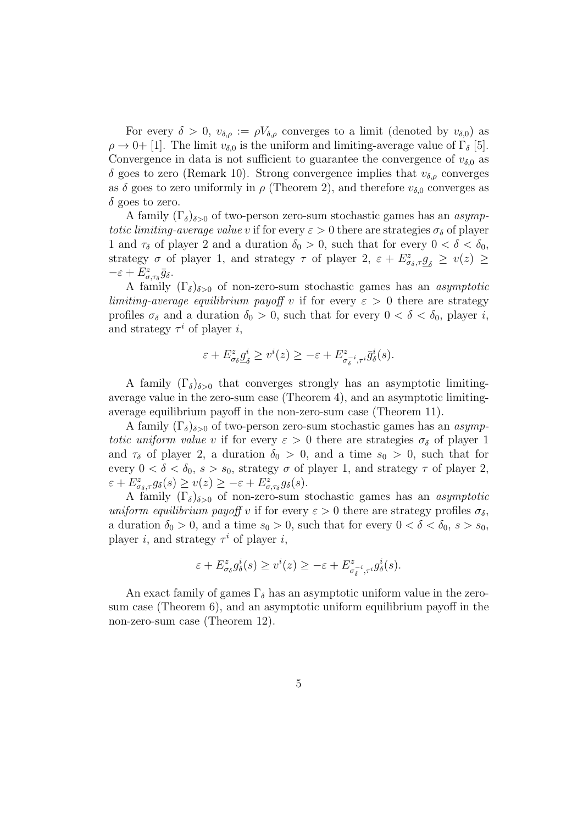For every  $\delta > 0$ ,  $v_{\delta,\rho} := \rho V_{\delta,\rho}$  converges to a limit (denoted by  $v_{\delta,0}$ ) as  $\rho \rightarrow 0+$  [1]. The limit  $v_{\delta,0}$  is the uniform and limiting-average value of  $\Gamma_{\delta}$  [5]. Convergence in data is not sufficient to guarantee the convergence of  $v_{\delta,0}$  as  $\delta$  goes to zero (Remark 10). Strong convergence implies that  $v_{\delta,\rho}$  converges as  $\delta$  goes to zero uniformly in  $\rho$  (Theorem 2), and therefore  $v_{\delta,0}$  converges as  $\delta$  goes to zero.

A family  $(\Gamma_{\delta})_{\delta>0}$  of two-person zero-sum stochastic games has an *asymp*totic limiting-average value v if for every  $\varepsilon > 0$  there are strategies  $\sigma_{\delta}$  of player 1 and  $\tau_{\delta}$  of player 2 and a duration  $\delta_0 > 0$ , such that for every  $0 < \delta < \delta_0$ , strategy  $\sigma$  of player 1, and strategy  $\tau$  of player 2,  $\varepsilon + E^z_{\sigma_\delta, \tau} g_\delta \geq v(z) \geq$  $-\varepsilon + E^z_{\sigma,\tau_\delta} \bar{g}_\delta.$ 

A family  $(\Gamma_{\delta})_{\delta>0}$  of non-zero-sum stochastic games has an asymptotic limiting-average equilibrium payoff v if for every  $\varepsilon > 0$  there are strategy profiles  $\sigma_{\delta}$  and a duration  $\delta_0 > 0$ , such that for every  $0 < \delta < \delta_0$ , player i, and strategy  $\tau^i$  of player i,

$$
\varepsilon + E^z_{\sigma_\delta} \underline{g}^i_\delta \ge v^i(z) \ge -\varepsilon + E^z_{\sigma_\delta^{-i}, \tau^i} \overline{g}^i_\delta(s).
$$

A family  $(\Gamma_{\delta})_{\delta>0}$  that converges strongly has an asymptotic limitingaverage value in the zero-sum case (Theorem 4), and an asymptotic limitingaverage equilibrium payoff in the non-zero-sum case (Theorem 11).

A family  $(\Gamma_{\delta})_{\delta>0}$  of two-person zero-sum stochastic games has an *asymp*totic uniform value v if for every  $\varepsilon > 0$  there are strategies  $\sigma_{\delta}$  of player 1 and  $\tau_{\delta}$  of player 2, a duration  $\delta_0 > 0$ , and a time  $s_0 > 0$ , such that for every  $0 < \delta < \delta_0$ ,  $s > s_0$ , strategy  $\sigma$  of player 1, and strategy  $\tau$  of player 2,  $\varepsilon + E^z_{\sigma_\delta, \tau} g_\delta(s) \ge v(z) \ge -\varepsilon + E^z_{\sigma, \tau_\delta} g_\delta(s).$ 

A family  $(\Gamma_{\delta})_{\delta>0}$  of non-zero-sum stochastic games has an *asymptotic* uniform equilibrium payoff v if for every  $\varepsilon > 0$  there are strategy profiles  $\sigma_{\delta}$ , a duration  $\delta_0 > 0$ , and a time  $s_0 > 0$ , such that for every  $0 < \delta < \delta_0$ ,  $s > s_0$ , player *i*, and strategy  $\tau^i$  of player *i*,

$$
\varepsilon + E^z_{\sigma_\delta} g^i_{\delta}(s) \ge v^i(z) \ge -\varepsilon + E^z_{\sigma_\delta^{-i}, \tau^i} g^i_{\delta}(s).
$$

An exact family of games  $\Gamma_{\delta}$  has an asymptotic uniform value in the zerosum case (Theorem 6), and an asymptotic uniform equilibrium payoff in the non-zero-sum case (Theorem 12).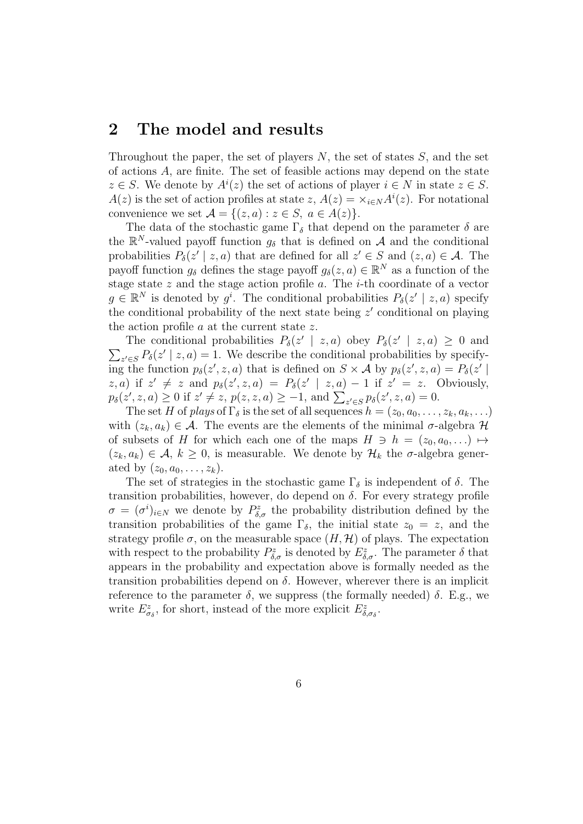## 2 The model and results

Throughout the paper, the set of players  $N$ , the set of states  $S$ , and the set of actions A, are finite. The set of feasible actions may depend on the state  $z \in S$ . We denote by  $A^{i}(z)$  the set of actions of player  $i \in N$  in state  $z \in S$ .  $A(z)$  is the set of action profiles at state  $z$ ,  $A(z) = \times_{i \in N} A^{i}(z)$ . For notational convenience we set  $\mathcal{A} = \{(z, a) : z \in S, a \in A(z)\}.$ 

The data of the stochastic game  $\Gamma_{\delta}$  that depend on the parameter  $\delta$  are the  $\mathbb{R}^N$ -valued payoff function  $g_\delta$  that is defined on A and the conditional probabilities  $P_{\delta}(z' | z, a)$  that are defined for all  $z' \in S$  and  $(z, a) \in A$ . The payoff function  $g_{\delta}$  defines the stage payoff  $g_{\delta}(z, a) \in \mathbb{R}^{N}$  as a function of the stage state  $z$  and the stage action profile  $a$ . The  $i$ -th coordinate of a vector  $g \in \mathbb{R}^N$  is denoted by  $g^i$ . The conditional probabilities  $P_\delta(z' | z, a)$  specify the conditional probability of the next state being  $z'$  conditional on playing the action profile  $a$  at the current state  $z$ .

The conditional probabilities  $P_{\delta}(z' | z, a)$  obey  $P_{\delta}(z' | z, a) \geq 0$  and  $\sum_{z' \in S} P_{\delta}(z' \mid z, a) = 1$ . We describe the conditional probabilities by specifying the function  $p_{\delta}(z', z, a)$  that is defined on  $S \times A$  by  $p_{\delta}(z', z, a) = P_{\delta}(z' | a)$  $(z, a)$  if  $z' \neq z$  and  $p_{\delta}(z', z, a) = P_{\delta}(z' | z, a) - 1$  if  $z' = z$ . Obviously,  $p_{\delta}(z', z, a) \ge 0$  if  $z' \ne z$ ,  $p(z, z, a) \ge -1$ , and  $\sum_{z' \in S} p_{\delta}(z', z, a) = 0$ .

The set H of plays of  $\Gamma_{\delta}$  is the set of all sequences  $h = (z_0, a_0, \ldots, z_k, a_k, \ldots)$ with  $(z_k, a_k) \in \mathcal{A}$ . The events are the elements of the minimal  $\sigma$ -algebra  $\mathcal{H}$ of subsets of H for which each one of the maps  $H \ni h = (z_0, a_0, \ldots) \mapsto$  $(z_k, a_k) \in \mathcal{A}, k \geq 0$ , is measurable. We denote by  $\mathcal{H}_k$  the  $\sigma$ -algebra generated by  $(z_0, a_0, \ldots, z_k)$ .

The set of strategies in the stochastic game  $\Gamma_{\delta}$  is independent of  $\delta$ . The transition probabilities, however, do depend on  $\delta$ . For every strategy profile  $\sigma = (\sigma^i)_{i \in \mathbb{N}}$  we denote by  $P^z_{\delta,\sigma}$  the probability distribution defined by the transition probabilities of the game  $\Gamma_{\delta}$ , the initial state  $z_0 = z$ , and the strategy profile  $\sigma$ , on the measurable space  $(H, \mathcal{H})$  of plays. The expectation with respect to the probability  $P^z_{\delta,\sigma}$  is denoted by  $E^z_{\delta,\sigma}$ . The parameter  $\delta$  that appears in the probability and expectation above is formally needed as the transition probabilities depend on  $\delta$ . However, wherever there is an implicit reference to the parameter  $\delta$ , we suppress (the formally needed)  $\delta$ . E.g., we write  $E^z_{\sigma_\delta}$ , for short, instead of the more explicit  $E^z_{\delta,\sigma_\delta}$ .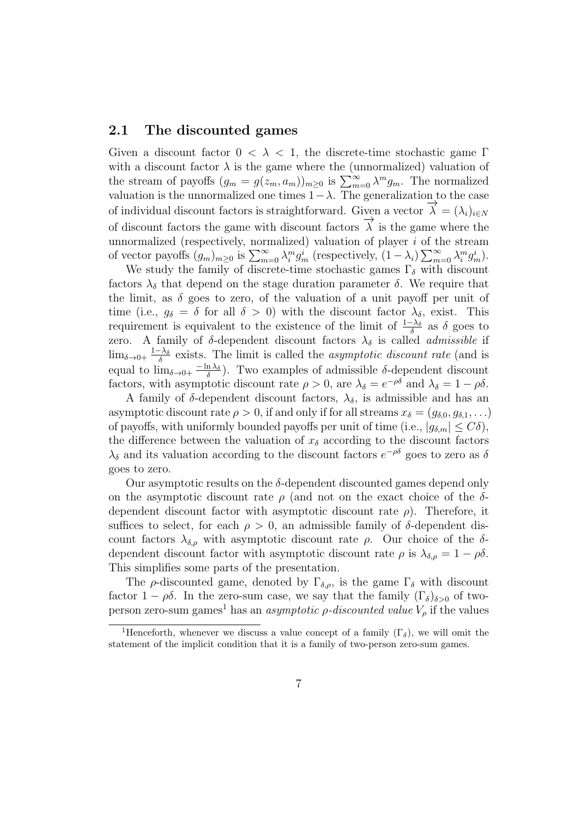### 2.1 The discounted games

Given a discount factor  $0 < \lambda < 1$ , the discrete-time stochastic game Γ with a discount factor  $\lambda$  is the game where the (unnormalized) valuation of the stream of payoffs  $(g_m = g(z_m, a_m))_{m \geq 0}$  is  $\sum_{m=0}^{\infty} \lambda^m g_m$ . The normalized valuation is the unnormalized one times  $1-\lambda$ . The generalization to the case of individual discount factors is straightforward. Given a vector  $\overrightarrow{\lambda} = (\lambda_i)_{i \in N}$ of discount factors the game with discount factors  $\overrightarrow{\lambda}$  is the game where the unnormalized (respectively, normalized) valuation of player  $i$  of the stream of vector payoffs  $(g_m)_{m\geq 0}$  is  $\sum_{m=0}^{\infty} \lambda_i^m g_m^i$  (respectively,  $(1-\lambda_i) \sum_{m=0}^{\infty} \lambda_i^m g_m^i$ ).

We study the family of discrete-time stochastic games  $\Gamma_{\delta}$  with discount factors  $\lambda_{\delta}$  that depend on the stage duration parameter  $\delta$ . We require that the limit, as  $\delta$  goes to zero, of the valuation of a unit payoff per unit of time (i.e.,  $g_{\delta} = \delta$  for all  $\delta > 0$ ) with the discount factor  $\lambda_{\delta}$ , exist. This requirement is equivalent to the existence of the limit of  $\frac{1-\lambda_{\delta}}{\delta}$  as  $\delta$  goes to zero. A family of  $\delta$ -dependent discount factors  $\lambda_{\delta}$  is called *admissible* if  $\lim_{\delta \to 0+} \frac{1-\lambda_{\delta}}{\delta}$  $\frac{c-\lambda_{\delta}}{\delta}$  exists. The limit is called the *asymptotic discount rate* (and is equal to  $\lim_{\delta \to 0+} \frac{-\ln \lambda_{\delta}}{\delta}$  $\frac{n \lambda_{\delta}}{\delta}$ ). Two examples of admissible  $\delta$ -dependent discount factors, with asymptotic discount rate  $\rho > 0$ , are  $\lambda_{\delta} = e^{-\rho \delta}$  and  $\lambda_{\delta} = 1 - \rho \delta$ .

A family of  $\delta$ -dependent discount factors,  $\lambda_{\delta}$ , is admissible and has an asymptotic discount rate  $\rho > 0$ , if and only if for all streams  $x_{\delta} = (g_{\delta,0}, g_{\delta,1}, \ldots)$ of payoffs, with uniformly bounded payoffs per unit of time (i.e.,  $|g_{\delta,m}| \leq C\delta$ ), the difference between the valuation of  $x_{\delta}$  according to the discount factors  $\lambda_{\delta}$  and its valuation according to the discount factors  $e^{-\rho\delta}$  goes to zero as  $\delta$ goes to zero.

Our asymptotic results on the  $\delta$ -dependent discounted games depend only on the asymptotic discount rate  $\rho$  (and not on the exact choice of the  $\delta$ dependent discount factor with asymptotic discount rate  $\rho$ ). Therefore, it suffices to select, for each  $\rho > 0$ , an admissible family of  $\delta$ -dependent discount factors  $\lambda_{\delta,\rho}$  with asymptotic discount rate  $\rho$ . Our choice of the  $\delta$ dependent discount factor with asymptotic discount rate  $\rho$  is  $\lambda_{\delta,\rho} = 1 - \rho \delta$ . This simplifies some parts of the presentation.

The  $\rho$ -discounted game, denoted by  $\Gamma_{\delta,\rho}$ , is the game  $\Gamma_{\delta}$  with discount factor  $1 - \rho \delta$ . In the zero-sum case, we say that the family  $(\Gamma_{\delta})_{\delta > 0}$  of twoperson zero-sum games<sup>1</sup> has an *asymptotic p-discounted value*  $V_\rho$  if the values

<sup>&</sup>lt;sup>1</sup>Henceforth, whenever we discuss a value concept of a family  $(\Gamma_{\delta})$ , we will omit the statement of the implicit condition that it is a family of two-person zero-sum games.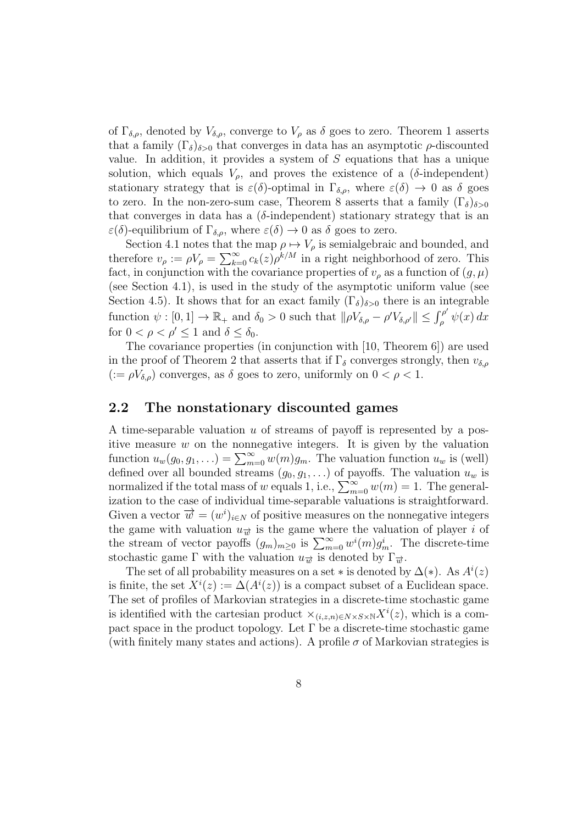of  $\Gamma_{\delta,\rho}$ , denoted by  $V_{\delta,\rho}$ , converge to  $V_{\rho}$  as  $\delta$  goes to zero. Theorem 1 asserts that a family  $(\Gamma_{\delta})_{\delta>0}$  that converges in data has an asymptotic  $\rho$ -discounted value. In addition, it provides a system of  $S$  equations that has a unique solution, which equals  $V_{\rho}$ , and proves the existence of a ( $\delta$ -independent) stationary strategy that is  $\varepsilon(\delta)$ -optimal in  $\Gamma_{\delta,\rho}$ , where  $\varepsilon(\delta) \to 0$  as  $\delta$  goes to zero. In the non-zero-sum case, Theorem 8 asserts that a family  $(\Gamma_{\delta})_{\delta>0}$ that converges in data has a ( $\delta$ -independent) stationary strategy that is an  $\varepsilon(\delta)$ -equilibrium of  $\Gamma_{\delta,\rho}$ , where  $\varepsilon(\delta) \to 0$  as  $\delta$  goes to zero.

Section 4.1 notes that the map  $\rho \mapsto V_{\rho}$  is semialgebraic and bounded, and therefore  $v_{\rho} := \rho V_{\rho} = \sum_{k=0}^{\infty} c_k(z) \rho^{k/M}$  in a right neighborhood of zero. This fact, in conjunction with the covariance properties of  $v<sub>o</sub>$  as a function of  $(q, \mu)$ (see Section 4.1), is used in the study of the asymptotic uniform value (see Section 4.5). It shows that for an exact family  $(\Gamma_{\delta})_{\delta>0}$  there is an integrable function  $\psi : [0,1] \to \mathbb{R}_+$  and  $\delta_0 > 0$  such that  $\|\rho V_{\delta,\rho} - \rho' V_{\delta,\rho'}\| \leq \int_{\rho}^{\rho'}$  $\int_{\rho}^{\rho} \psi(x) dx$ for  $0 < \rho < \rho' \leq 1$  and  $\delta \leq \delta_0$ .

The covariance properties (in conjunction with [10, Theorem 6]) are used in the proof of Theorem 2 that asserts that if  $\Gamma_{\delta}$  converges strongly, then  $v_{\delta,\rho}$  $(:= \rho V_{\delta,\rho})$  converges, as  $\delta$  goes to zero, uniformly on  $0 < \rho < 1$ .

### 2.2 The nonstationary discounted games

A time-separable valuation  $u$  of streams of payoff is represented by a positive measure  $w$  on the nonnegative integers. It is given by the valuation function  $u_w(g_0, g_1, \ldots) = \sum_{m=0}^{\infty} w(m)g_m$ . The valuation function  $u_w$  is (well) defined over all bounded streams  $(g_0, g_1, \ldots)$  of payoffs. The valuation  $u_w$  is normalized if the total mass of w equals 1, i.e.,  $\sum_{m=0}^{\infty} w(m) = 1$ . The generalization to the case of individual time-separable valuations is straightforward. Given a vector  $\vec{w} = (w^i)_{i \in N}$  of positive measures on the nonnegative integers the game with valuation  $u_{\vec{x}}$  is the game where the valuation of player i of the stream of vector payoffs  $(g_m)_{m\geq 0}$  is  $\sum_{m=0}^{\infty} w^i(m) g_m^i$ . The discrete-time stochastic game Γ with the valuation  $u_{\vec{w}}$  is denoted by  $\Gamma_{\vec{w}}$ .

The set of all probability measures on a set  $*$  is denoted by  $\Delta(*)$ . As  $A^{i}(z)$ is finite, the set  $X^i(z) := \Delta(A^i(z))$  is a compact subset of a Euclidean space. The set of profiles of Markovian strategies in a discrete-time stochastic game is identified with the cartesian product  $\times_{(i,z,n)\in N\times S\times N} X^{i}(z)$ , which is a compact space in the product topology. Let  $\Gamma$  be a discrete-time stochastic game (with finitely many states and actions). A profile  $\sigma$  of Markovian strategies is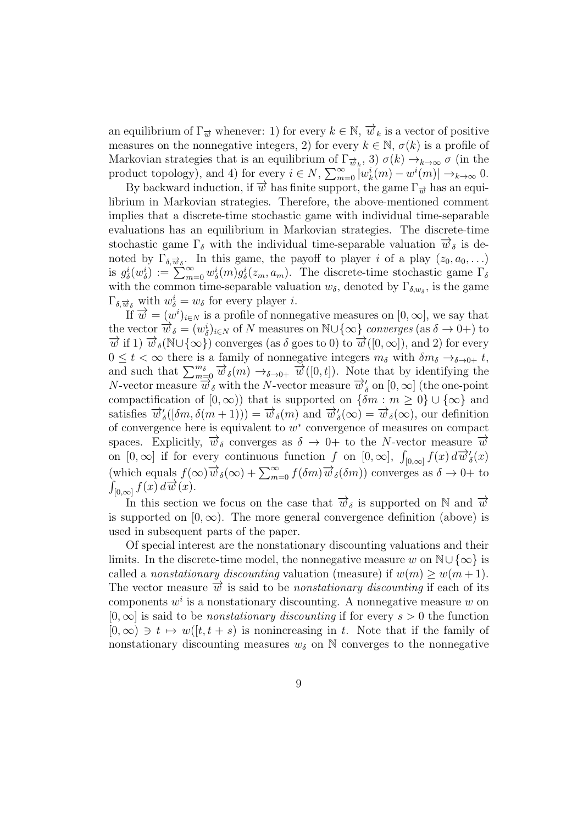an equilibrium of  $\Gamma_{\vec{w}}$  whenever: 1) for every  $k \in \mathbb{N}$ ,  $\overrightarrow{w}_k$  is a vector of positive measures on the nonnegative integers, 2) for every  $k \in \mathbb{N}$ ,  $\sigma(k)$  is a profile of Markovian strategies that is an equilibrium of  $\Gamma_{\vec{w}_k}$ , 3)  $\sigma(k) \to_{k \to \infty} \sigma$  (in the product topology), and 4) for every  $i \in N$ ,  $\sum_{m=0}^{\infty} |w_k^{i}(m) - w^{i}(m)| \rightarrow_{k \to \infty} 0$ .

By backward induction, if  $\overrightarrow{w}$  has finite support, the game  $\Gamma_{\overrightarrow{w}}$  has an equilibrium in Markovian strategies. Therefore, the above-mentioned comment implies that a discrete-time stochastic game with individual time-separable evaluations has an equilibrium in Markovian strategies. The discrete-time stochastic game  $\Gamma_{\delta}$  with the individual time-separable valuation  $\vec{w}_{\delta}$  is denoted by  $\Gamma_{\delta,\vec{w}_{\delta}}$ . In this game, the payoff to player *i* of a play  $(z_0, a_0, \ldots)$ is  $g_{\delta}^{i}(w_{\delta}^{i}):=\sum_{m=0}^{\infty}w_{\delta}^{i}(m)g_{\delta}^{i}(z_{m},a_{m})$ . The discrete-time stochastic game  $\Gamma_{\delta}$ with the common time-separable valuation  $w_{\delta}$ , denoted by  $\Gamma_{\delta,w_{\delta}}$ , is the game  $\Gamma_{\delta,\overrightarrow{w}_{\delta}}$  with  $w_{\delta}^i = w_{\delta}$  for every player *i*.

If  $\vec{w} = (w^i)_{i \in N}$  is a profile of nonnegative measures on  $[0, \infty]$ , we say that the vector  $\vec{w}_{\delta} = (w_{\delta}^{i})_{i \in N}$  of N measures on  $\mathbb{N}\cup\{\infty\}$  converges (as  $\delta \to 0+$ ) to  $\overrightarrow{w}$  if 1)  $\overrightarrow{w}_\delta(\mathbb{N}\cup\{\infty\})$  converges (as  $\delta$  goes to 0) to  $\overrightarrow{w}([0,\infty])$ , and 2) for every  $0 \leq t < \infty$  there is a family of nonnegative integers  $m_{\delta}$  with  $\delta m_{\delta} \rightarrow_{\delta \rightarrow 0+} t$ , and such that  $\sum_{m=0}^{m_{\delta}} \overrightarrow{w}_{\delta}(m) \rightarrow_{\delta \to 0+} \overrightarrow{w}([0, t])$ . Note that by identifying the N-vector measure  $\overline{w}_\delta$  with the N-vector measure  $\overline{w}_\delta'$  on  $[0,\infty]$  (the one-point compactification of  $[0, \infty)$  that is supported on  $\{\delta m : m \geq 0\} \cup \{\infty\}$  and satisfies  $\overline{\vec{w}}'_{\delta}([\delta m, \delta(m+1))) = \overline{\vec{w}}_{\delta}(m)$  and  $\overline{\vec{w}}'_{\delta}(\infty) = \overline{\vec{w}}_{\delta}(\infty)$ , our definition of convergence here is equivalent to  $w^*$  convergence of measures on compact spaces. Explicitly,  $\vec{w}_{\delta}$  converges as  $\delta \rightarrow 0+$  to the N-vector measure  $\vec{w}$ on  $[0, \infty]$  if for every continuous function f on  $[0, \infty]$ ,  $\int_{[0, \infty]} f(x) d\vec{w}'_{\delta}(x)$ (which equals  $f(\infty)\overrightarrow{w}_{\delta}(\infty) + \sum_{m=0}^{\infty} f(\delta m) \overrightarrow{w}_{\delta}(\delta m)$ ) converges as  $\delta \to 0+$  to  $\int_{[0,\infty]} f(x) d\vec{w}(x).$ 

In this section we focus on the case that  $\vec{w}_{\delta}$  is supported on N and  $\vec{w}$ is supported on  $[0, \infty)$ . The more general convergence definition (above) is used in subsequent parts of the paper.

Of special interest are the nonstationary discounting valuations and their limits. In the discrete-time model, the nonnegative measure w on  $\mathbb{N}\cup\{\infty\}$  is called a nonstationary discounting valuation (measure) if  $w(m) \geq w(m+1)$ . The vector measure  $\overrightarrow{w}$  is said to be *nonstationary discounting* if each of its components  $w^i$  is a nonstationary discounting. A nonnegative measure w on  $[0, \infty]$  is said to be *nonstationary discounting* if for every  $s > 0$  the function  $[0,\infty) \ni t \mapsto w([t, t + s)]$  is nonincreasing in t. Note that if the family of nonstationary discounting measures  $w_{\delta}$  on N converges to the nonnegative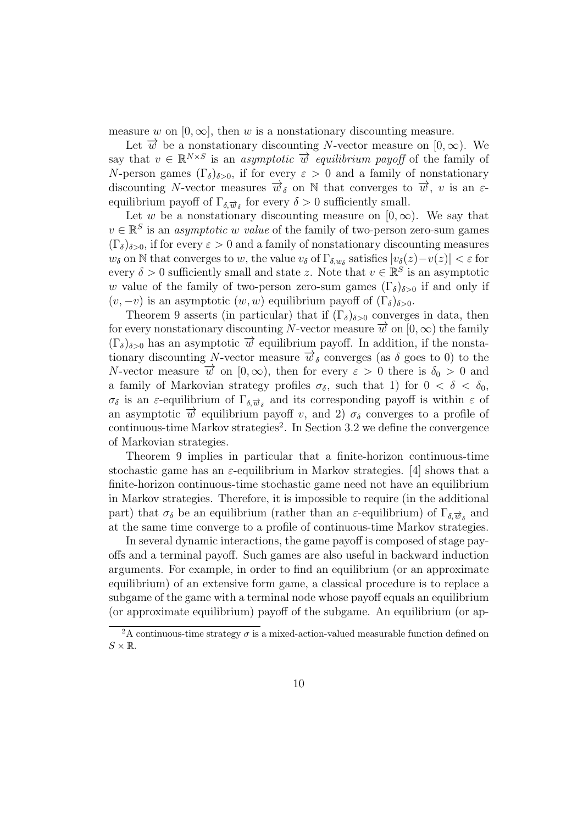measure w on  $[0, \infty]$ , then w is a nonstationary discounting measure.

Let  $\vec{w}$  be a nonstationary discounting N-vector measure on [0, ∞). We say that  $v \in \mathbb{R}^{N \times S}$  is an *asymptotic*  $\overrightarrow{w}$  equilibrium payoff of the family of N-person games  $(\Gamma_{\delta})_{\delta>0}$ , if for every  $\varepsilon>0$  and a family of nonstationary discounting N-vector measures  $\vec{w}_{\delta}$  on N that converges to  $\vec{w}$ , v is an  $\varepsilon$ equilibrium payoff of  $\Gamma_{\delta,\overrightarrow{w}_{\delta}}$  for every  $\delta > 0$  sufficiently small.

Let w be a nonstationary discounting measure on  $[0, \infty)$ . We say that  $v \in \mathbb{R}^S$  is an *asymptotic w value* of the family of two-person zero-sum games  $(\Gamma_{\delta})_{\delta>0}$ , if for every  $\varepsilon>0$  and a family of nonstationary discounting measures  $w_\delta$  on N that converges to w, the value  $v_\delta$  of  $\Gamma_{\delta,w_\delta}$  satisfies  $|v_\delta(z)-v(z)| < \varepsilon$  for every  $\delta > 0$  sufficiently small and state z. Note that  $v \in \mathbb{R}^S$  is an asymptotic w value of the family of two-person zero-sum games  $(\Gamma_{\delta})_{\delta>0}$  if and only if  $(v, -v)$  is an asymptotic  $(w, w)$  equilibrium payoff of  $(\Gamma_{\delta})_{\delta > 0}$ .

Theorem 9 asserts (in particular) that if  $(\Gamma_{\delta})_{\delta>0}$  converges in data, then for every nonstationary discounting N-vector measure  $\vec{w}$  on  $[0,\infty)$  the family  $(\Gamma_{\delta})_{\delta>0}$  has an asymptotic  $\overrightarrow{w}$  equilibrium payoff. In addition, if the nonstationary discounting N-vector measure  $\overrightarrow{w}_{\delta}$  converges (as  $\delta$  goes to 0) to the N-vector measure  $\overrightarrow{w}$  on  $[0,\infty)$ , then for every  $\varepsilon > 0$  there is  $\delta_0 > 0$  and a family of Markovian strategy profiles  $\sigma_{\delta}$ , such that 1) for  $0 < \delta < \delta_0$ ,  $\sigma_{\delta}$  is an  $\varepsilon$ -equilibrium of  $\Gamma_{\delta,\vec{w}_{\delta}}$  and its corresponding payoff is within  $\varepsilon$  of an asymptotic  $\vec{w}$  equilibrium payoff v, and 2)  $\sigma_{\delta}$  converges to a profile of continuous-time Markov strategies<sup>2</sup>. In Section 3.2 we define the convergence of Markovian strategies.

Theorem 9 implies in particular that a finite-horizon continuous-time stochastic game has an  $\varepsilon$ -equilibrium in Markov strategies. [4] shows that a finite-horizon continuous-time stochastic game need not have an equilibrium in Markov strategies. Therefore, it is impossible to require (in the additional part) that  $\sigma_{\delta}$  be an equilibrium (rather than an  $\varepsilon$ -equilibrium) of  $\Gamma_{\delta,\overrightarrow{w}_{\delta}}$  and at the same time converge to a profile of continuous-time Markov strategies.

In several dynamic interactions, the game payoff is composed of stage payoffs and a terminal payoff. Such games are also useful in backward induction arguments. For example, in order to find an equilibrium (or an approximate equilibrium) of an extensive form game, a classical procedure is to replace a subgame of the game with a terminal node whose payoff equals an equilibrium (or approximate equilibrium) payoff of the subgame. An equilibrium (or ap-

 $2A$  continuous-time strategy  $\sigma$  is a mixed-action-valued measurable function defined on  $S \times \mathbb{R}$ .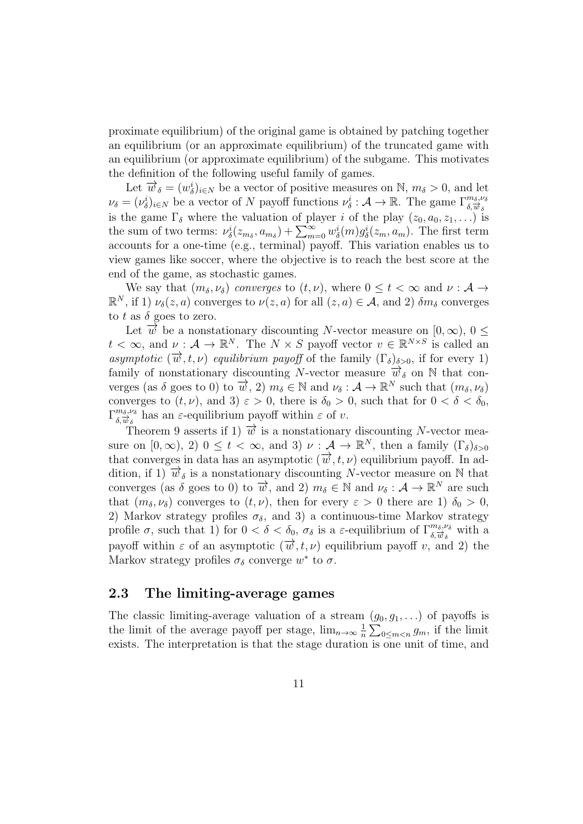proximate equilibrium) of the original game is obtained by patching together an equilibrium (or an approximate equilibrium) of the truncated game with an equilibrium (or approximate equilibrium) of the subgame. This motivates the definition of the following useful family of games.

Let  $\vec{w}_{\delta} = (w_{\delta}^{i})_{i \in N}$  be a vector of positive measures on N,  $m_{\delta} > 0$ , and let  $\nu_{\delta} = (\nu_{\delta}^{i})_{i \in N}$  be a vector of N payoff functions  $\nu_{\delta}^{i} : \mathcal{A} \to \mathbb{R}$ . The game  $\Gamma_{\delta, \overline{\psi}_{\delta}}^{m_{\delta}, \nu_{\delta}}$ is the game  $\Gamma_{\delta}$  where the valuation of player *i* of the play  $(z_0, a_0, z_1, \ldots)$  is the sum of two terms:  $\nu^i_{\delta}(z_{m\delta}, a_{m\delta}) + \sum_{m=0}^{\infty} w^i_{\delta}(m) g^i_{\delta}(z_m, a_m)$ . The first term accounts for a one-time (e.g., terminal) payoff. This variation enables us to view games like soccer, where the objective is to reach the best score at the end of the game, as stochastic games.

We say that  $(m_\delta, \nu_\delta)$  converges to  $(t, \nu)$ , where  $0 \le t < \infty$  and  $\nu : A \rightarrow$  $\mathbb{R}^N$ , if 1)  $\nu_{\delta}(z, a)$  converges to  $\nu(z, a)$  for all  $(z, a) \in \mathcal{A}$ , and 2)  $\delta m_{\delta}$  converges to t as  $\delta$  goes to zero.

Let  $\vec{w}$  be a nonstationary discounting N-vector measure on [0, ∞), 0 <  $t < \infty$ , and  $\nu : \mathcal{A} \to \mathbb{R}^N$ . The  $N \times S$  payoff vector  $v \in \mathbb{R}^{N \times S}$  is called an asymptotic  $(\vec{w}, t, \nu)$  equilibrium payoff of the family  $(\Gamma_{\delta})_{\delta > 0}$ , if for every 1) family of nonstationary discounting N-vector measure  $\vec{w}_{\delta}$  on N that converges (as  $\delta$  goes to 0) to  $\overrightarrow{w}$ , 2)  $m_{\delta} \in \mathbb{N}$  and  $\nu_{\delta} : \mathcal{A} \to \mathbb{R}^{N}$  such that  $(m_{\delta}, \nu_{\delta})$ converges to  $(t, \nu)$ , and 3)  $\varepsilon > 0$ , there is  $\delta_0 > 0$ , such that for  $0 < \delta < \delta_0$ ,  $\Gamma^{\dot{m}\dot{s},\nu_{\delta}}_{\delta,\overrightarrow{w}_{\delta}}$  has an  $\varepsilon$ -equilibrium payoff within  $\varepsilon$  of  $v$ .

Theorem 9 asserts if 1)  $\vec{w}$  is a nonstationary discounting N-vector measure on  $[0, \infty)$ , 2)  $0 \le t < \infty$ , and 3)  $\nu : A \to \mathbb{R}^N$ , then a family  $(\Gamma_{\delta})_{\delta > 0}$ that converges in data has an asymptotic  $(\vec{w}, t, \nu)$  equilibrium payoff. In addition, if 1)  $\vec{w}_{\delta}$  is a nonstationary discounting N-vector measure on N that converges (as  $\delta$  goes to 0) to  $\vec{w}$ , and 2)  $m_{\delta} \in \mathbb{N}$  and  $\nu_{\delta} : \mathcal{A} \to \mathbb{R}^{N}$  are such that  $(m_\delta, \nu_\delta)$  converges to  $(t, \nu)$ , then for every  $\varepsilon > 0$  there are 1)  $\delta_0 > 0$ , 2) Markov strategy profiles  $\sigma_{\delta}$ , and 3) a continuous-time Markov strategy profile  $\sigma$ , such that 1) for  $0 < \delta < \delta_0$ ,  $\sigma_{\delta}$  is a  $\varepsilon$ -equilibrium of  $\Gamma_{\delta,\overrightarrow{w}_{\delta}}^{m_{\delta},\nu_{\delta}}$  with a payoff within  $\varepsilon$  of an asymptotic  $(\overrightarrow{w}, t, \nu)$  equilibrium payoff v, and 2) the Markov strategy profiles  $\sigma_{\delta}$  converge  $w^*$  to  $\sigma$ .

### 2.3 The limiting-average games

The classic limiting-average valuation of a stream  $(g_0, g_1, \ldots)$  of payoffs is the limit of the average payoff per stage,  $\lim_{n\to\infty} \frac{1}{n}$  $\frac{1}{n} \sum_{0 \leq m < n} g_m$ , if the limit exists. The interpretation is that the stage duration is one unit of time, and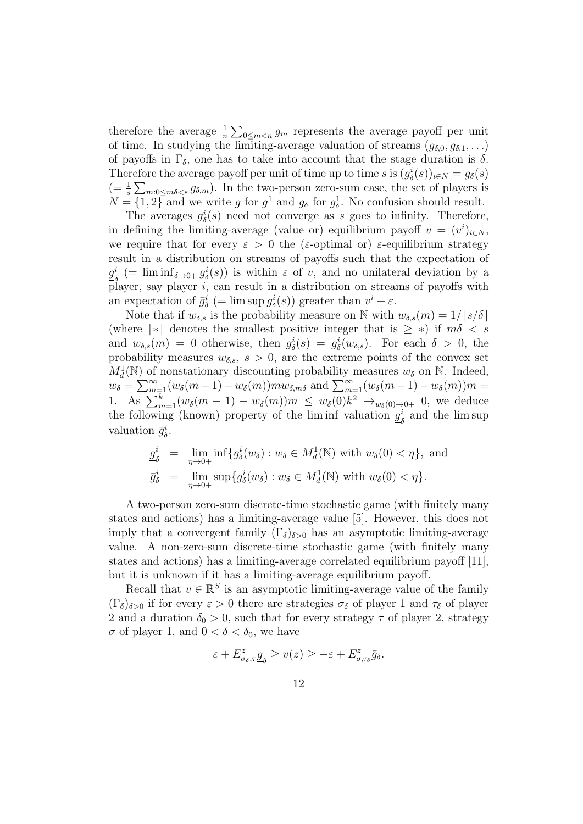therefore the average  $\frac{1}{n} \sum_{0 \leq m < n} g_m$  represents the average payoff per unit of time. In studying the limiting-average valuation of streams  $(g_{\delta,0}, g_{\delta,1}, \ldots)$ of payoffs in  $\Gamma_{\delta}$ , one has to take into account that the stage duration is  $\delta$ . Therefore the average payoff per unit of time up to time s is  $(g_{\delta}^{i}(s))_{i\in N} = g_{\delta}(s)$  $(=\frac{1}{s}\sum_{m:0\leq m\delta\leq s}g_{\delta,m})$ . In the two-person zero-sum case, the set of players is  $N = \{1, 2\}$  and we write g for  $g^1$  and  $g_\delta$  for  $g_\delta^1$ . No confusion should result.

The averages  $g_{\delta}^{i}(s)$  need not converge as s goes to infinity. Therefore, in defining the limiting-average (value or) equilibrium payoff  $v = (v^i)_{i \in N}$ , we require that for every  $\varepsilon > 0$  the ( $\varepsilon$ -optimal or)  $\varepsilon$ -equilibrium strategy result in a distribution on streams of payoffs such that the expectation of  $g^i_s$  $\delta_{\delta}$  (= lim inf<sub> $\delta \to 0+ g_{\delta}^i(s)$ ) is within  $\varepsilon$  of v, and no unilateral deviation by a</sub> player, say player  $i$ , can result in a distribution on streams of payoffs with an expectation of  $\bar{g}_{\delta}^{i}$  (= lim sup  $g_{\delta}^{i}(s)$ ) greater than  $v^{i} + \varepsilon$ .

Note that if  $w_{\delta,s}$  is the probability measure on N with  $w_{\delta,s}(m) = 1/\lceil s/\delta \rceil$ (where  $\lceil * \rceil$  denotes the smallest positive integer that is  $\geq *$ ) if  $m\delta < s$ and  $w_{\delta,s}(m) = 0$  otherwise, then  $g_{\delta}^{i}(s) = g_{\delta}^{i}(w_{\delta,s})$ . For each  $\delta > 0$ , the probability measures  $w_{\delta,s}$ ,  $s > 0$ , are the extreme points of the convex set  $M_d^1(\mathbb{N})$  of nonstationary discounting probability measures  $w_\delta$  on  $\mathbb{N}$ . Indeed, d  $w_{\delta} = \sum_{m=1}^{\infty} (w_{\delta}(m-1) - w_{\delta}(m)) m w_{\delta,m\delta}$  and  $\sum_{m=1}^{\infty} (w_{\delta}(m-1) - w_{\delta}(m)) m =$ 1. As  $\sum_{m=1}^{k} (w_{\delta}(m-1) - w_{\delta}(m))m \leq w_{\delta}(0)k^2 \to_{w_{\delta}(0) \to 0+} 0$ , we deduce the following (known) property of the liminf valuation  $g_j^i$  $\frac{i}{\delta}$  and the lim sup valuation  $\bar{g}_{\delta}^{i}$ .

$$
\underline{g}_{\delta}^{i} = \lim_{\eta \to 0+} \inf \{ g_{\delta}^{i}(w_{\delta}) : w_{\delta} \in M_{d}^{1}(\mathbb{N}) \text{ with } w_{\delta}(0) < \eta \}, \text{ and}
$$

$$
\overline{g}_{\delta}^{i} = \lim_{\eta \to 0+} \sup \{ g_{\delta}^{i}(w_{\delta}) : w_{\delta} \in M_{d}^{1}(\mathbb{N}) \text{ with } w_{\delta}(0) < \eta \}.
$$

A two-person zero-sum discrete-time stochastic game (with finitely many states and actions) has a limiting-average value [5]. However, this does not imply that a convergent family  $(\Gamma_{\delta})_{\delta>0}$  has an asymptotic limiting-average value. A non-zero-sum discrete-time stochastic game (with finitely many states and actions) has a limiting-average correlated equilibrium payoff [11], but it is unknown if it has a limiting-average equilibrium payoff.

Recall that  $v \in \mathbb{R}^S$  is an asymptotic limiting-average value of the family  $(\Gamma_{\delta})_{\delta>0}$  if for every  $\varepsilon>0$  there are strategies  $\sigma_{\delta}$  of player 1 and  $\tau_{\delta}$  of player 2 and a duration  $\delta_0 > 0$ , such that for every strategy  $\tau$  of player 2, strategy  $\sigma$  of player 1, and  $0 < \delta < \delta_0$ , we have

$$
\varepsilon+E^z_{\sigma_\delta,\tau}\underline{g}_\delta\geq v(z)\geq-\varepsilon+E^z_{\sigma,\tau_\delta}\bar{g}_\delta.
$$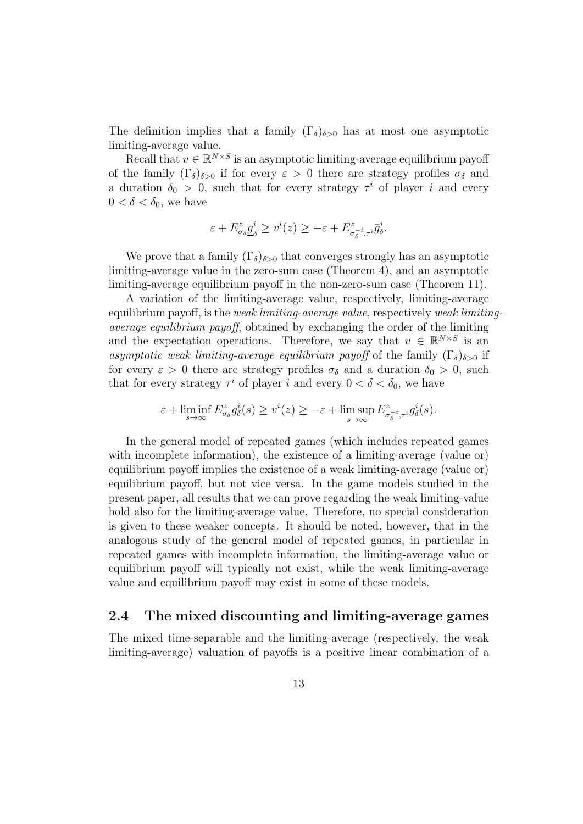The definition implies that a family  $(\Gamma_{\delta})_{\delta>0}$  has at most one asymptotic limiting-average value.

Recall that  $v \in \mathbb{R}^{N \times S}$  is an asymptotic limiting-average equilibrium payoff of the family  $(\Gamma_{\delta})_{\delta>0}$  if for every  $\varepsilon>0$  there are strategy profiles  $\sigma_{\delta}$  and a duration  $\delta_0 > 0$ , such that for every strategy  $\tau^i$  of player i and every  $0 < \delta < \delta_0$ , we have

$$
\varepsilon + E^z_{\sigma_\delta} \underline{g}^i_\delta \ge v^i(z) \ge -\varepsilon + E^z_{\sigma_\delta^{-i}, \tau^i} \bar{g}^i_\delta.
$$

We prove that a family  $(\Gamma_{\delta})_{\delta>0}$  that converges strongly has an asymptotic limiting-average value in the zero-sum case (Theorem 4), and an asymptotic limiting-average equilibrium payoff in the non-zero-sum case (Theorem 11).

A variation of the limiting-average value, respectively, limiting-average equilibrium payoff, is the *weak limiting-average value*, respectively *weak limiting*average equilibrium payoff, obtained by exchanging the order of the limiting and the expectation operations. Therefore, we say that  $v \in \mathbb{R}^{N \times S}$  is an asymptotic weak limiting-average equilibrium payoff of the family  $(\Gamma_{\delta})_{\delta>0}$  if for every  $\varepsilon > 0$  there are strategy profiles  $\sigma_{\delta}$  and a duration  $\delta_0 > 0$ , such that for every strategy  $\tau^i$  of player i and every  $0 < \delta < \delta_0$ , we have

$$
\varepsilon+\liminf_{s\to\infty}E^z_{\sigma_\delta}g^i_\delta(s)\geq v^i(z)\geq-\varepsilon+\limsup_{s\to\infty}E^z_{\sigma_\delta^{-i},\tau^i}g^i_\delta(s).
$$

In the general model of repeated games (which includes repeated games with incomplete information), the existence of a limiting-average (value or) equilibrium payoff implies the existence of a weak limiting-average (value or) equilibrium payoff, but not vice versa. In the game models studied in the present paper, all results that we can prove regarding the weak limiting-value hold also for the limiting-average value. Therefore, no special consideration is given to these weaker concepts. It should be noted, however, that in the analogous study of the general model of repeated games, in particular in repeated games with incomplete information, the limiting-average value or equilibrium payoff will typically not exist, while the weak limiting-average value and equilibrium payoff may exist in some of these models.

### 2.4 The mixed discounting and limiting-average games

The mixed time-separable and the limiting-average (respectively, the weak limiting-average) valuation of payoffs is a positive linear combination of a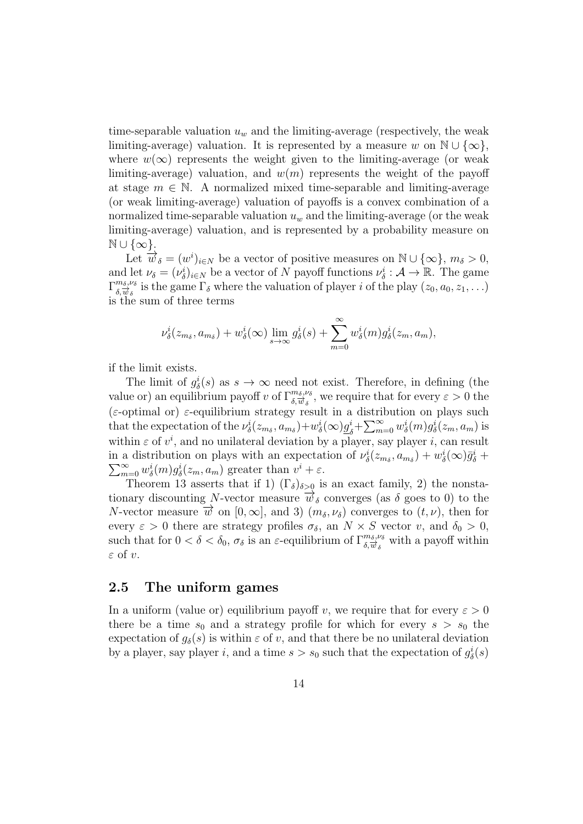time-separable valuation  $u_w$  and the limiting-average (respectively, the weak limiting-average) valuation. It is represented by a measure w on  $\mathbb{N} \cup \{\infty\}$ , where  $w(\infty)$  represents the weight given to the limiting-average (or weak limiting-average) valuation, and  $w(m)$  represents the weight of the payoff at stage  $m \in \mathbb{N}$ . A normalized mixed time-separable and limiting-average (or weak limiting-average) valuation of payoffs is a convex combination of a normalized time-separable valuation  $u_w$  and the limiting-average (or the weak limiting-average) valuation, and is represented by a probability measure on  $\mathbb{N} \cup \{\infty\}.$ 

Let  $\overrightarrow{w}_{\delta} = (w^{i})_{i \in N}$  be a vector of positive measures on  $\mathbb{N} \cup \{\infty\}, m_{\delta} > 0$ , and let  $\nu_{\delta} = (\nu_{\delta}^{i})_{i \in N}$  be a vector of N payoff functions  $\nu_{\delta}^{i} : \mathcal{A} \to \mathbb{R}$ . The game  $\Gamma^{\dot{m}_\delta,\nu_\delta}_{\delta,\overline{\psi}_\delta}$  is the game  $\Gamma_\delta$  where the valuation of player *i* of the play  $(z_0, a_0, z_1, \ldots)$ is the sum of three terms

$$
\nu_{\delta}^{i}(z_{m_{\delta}}, a_{m_{\delta}}) + w_{\delta}^{i}(\infty) \lim_{s \to \infty} g_{\delta}^{i}(s) + \sum_{m=0}^{\infty} w_{\delta}^{i}(m) g_{\delta}^{i}(z_{m}, a_{m}),
$$

if the limit exists.

The limit of  $g_{\delta}^{i}(s)$  as  $s \to \infty$  need not exist. Therefore, in defining (the value or) an equilibrium payoff v of  $\Gamma^{m_\delta,\nu_\delta}_{\delta,\vec{w}_\delta}$ , we require that for every  $\varepsilon > 0$  the ( $\varepsilon$ -optimal or)  $\varepsilon$ -equilibrium strategy result in a distribution on plays such that the expectation of the  $\nu^i_{\delta}(z_{m\delta}, a_{m\delta}) + w^i_{\delta}(\infty) \underline{g}^i_{\delta}$  $\sum_{j=0}^{i} \sum_{m=0}^{\infty} w_{\delta}^{i}(m) g_{\delta}^{i}(z_{m}, a_{m})$  is within  $\varepsilon$  of  $v^i$ , and no unilateral deviation by a player, say player i, can result in a distribution on plays with an expectation of  $\nu^i_{\delta}(z_{m_{\delta}}, a_{m_{\delta}}) + w^i_{\delta}(\infty)\bar{g}^i_{\delta}$  +  $\sum_{m=0}^{\infty} w_{\delta}^{i}(m)g_{\delta}^{i}(z_{m}, a_{m})$  greater than  $v^{i} + \varepsilon$ .

Theorem 13 asserts that if 1)  $(\Gamma_{\delta})_{\delta>0}$  is an exact family, 2) the nonstationary discounting N-vector measure  $\vec{w}_{\delta}$  converges (as  $\delta$  goes to 0) to the N-vector measure  $\vec{w}$  on  $[0, \infty]$ , and 3)  $(m_\delta, \nu_\delta)$  converges to  $(t, \nu)$ , then for every  $\varepsilon > 0$  there are strategy profiles  $\sigma_{\delta}$ , an  $N \times S$  vector v, and  $\delta_0 > 0$ , such that for  $0 < \delta < \delta_0$ ,  $\sigma_{\delta}$  is an  $\varepsilon$ -equilibrium of  $\Gamma_{\delta,\vec{w}_{\delta}}^{m_{\delta},\nu_{\delta}}$  with a payoff within  $\varepsilon$  of  $v$ .

### 2.5 The uniform games

In a uniform (value or) equilibrium payoff v, we require that for every  $\varepsilon > 0$ there be a time  $s_0$  and a strategy profile for which for every  $s > s_0$  the expectation of  $q_\delta(s)$  is within  $\varepsilon$  of v, and that there be no unilateral deviation by a player, say player *i*, and a time  $s > s_0$  such that the expectation of  $g^i_{\delta}(s)$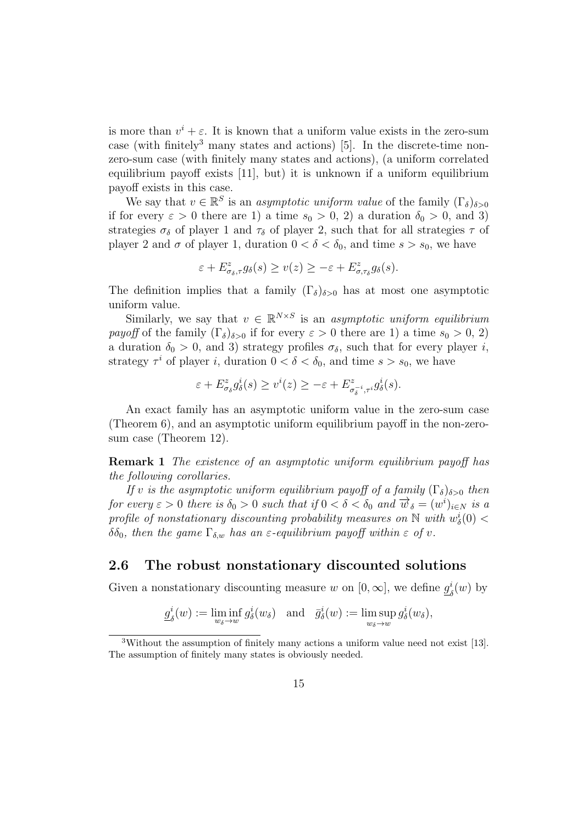is more than  $v^i + \varepsilon$ . It is known that a uniform value exists in the zero-sum case (with finitely<sup>3</sup> many states and actions) [5]. In the discrete-time nonzero-sum case (with finitely many states and actions), (a uniform correlated equilibrium payoff exists [11], but) it is unknown if a uniform equilibrium payoff exists in this case.

We say that  $v \in \mathbb{R}^S$  is an *asymptotic uniform value* of the family  $(\Gamma_{\delta})_{\delta > 0}$ if for every  $\varepsilon > 0$  there are 1) a time  $s_0 > 0$ , 2) a duration  $\delta_0 > 0$ , and 3) strategies  $\sigma_{\delta}$  of player 1 and  $\tau_{\delta}$  of player 2, such that for all strategies  $\tau$  of player 2 and  $\sigma$  of player 1, duration  $0 < \delta < \delta_0$ , and time  $s > s_0$ , we have

$$
\varepsilon+E^z_{\sigma_\delta,\tau}g_\delta(s)\geq v(z)\geq -\varepsilon+E^z_{\sigma,\tau_\delta}g_\delta(s).
$$

The definition implies that a family  $(\Gamma_{\delta})_{\delta>0}$  has at most one asymptotic uniform value.

Similarly, we say that  $v \in \mathbb{R}^{N \times S}$  is an asymptotic uniform equilibrium payoff of the family  $(\Gamma_{\delta})_{\delta>0}$  if for every  $\varepsilon>0$  there are 1) a time  $s_0>0, 2$ a duration  $\delta_0 > 0$ , and 3) strategy profiles  $\sigma_{\delta}$ , such that for every player i, strategy  $\tau^i$  of player *i*, duration  $0 < \delta < \delta_0$ , and time  $s > s_0$ , we have

$$
\varepsilon + E^z_{\sigma_\delta} g^i_\delta(s) \ge v^i(z) \ge -\varepsilon + E^z_{\sigma_\delta^{-i}, \tau^i} g^i_\delta(s).
$$

An exact family has an asymptotic uniform value in the zero-sum case (Theorem 6), and an asymptotic uniform equilibrium payoff in the non-zerosum case (Theorem 12).

Remark 1 The existence of an asymptotic uniform equilibrium payoff has the following corollaries.

If v is the asymptotic uniform equilibrium payoff of a family  $(\Gamma_{\delta})_{\delta>0}$  then for every  $\varepsilon > 0$  there is  $\delta_0 > 0$  such that if  $0 < \delta < \delta_0$  and  $\overrightarrow{w}_{\delta} = (w^i)_{i \in N}$  is a profile of nonstationary discounting probability measures on  $\mathbb N$  with  $w_\delta^i(0)$   $<$  $\delta\delta_0$ , then the game  $\Gamma_{\delta,w}$  has an  $\varepsilon$ -equilibrium payoff within  $\varepsilon$  of v.

### 2.6 The robust nonstationary discounted solutions

Given a nonstationary discounting measure w on  $[0, \infty]$ , we define  $g_i^i$  $\frac{i}{\delta}(w)$  by

$$
g_{\delta}^{i}(w) := \liminf_{w_{\delta} \to w} g_{\delta}^{i}(w_{\delta})
$$
 and  $\bar{g}_{\delta}^{i}(w) := \limsup_{w_{\delta} \to w} g_{\delta}^{i}(w_{\delta}),$ 

<sup>&</sup>lt;sup>3</sup>Without the assumption of finitely many actions a uniform value need not exist [13]. The assumption of finitely many states is obviously needed.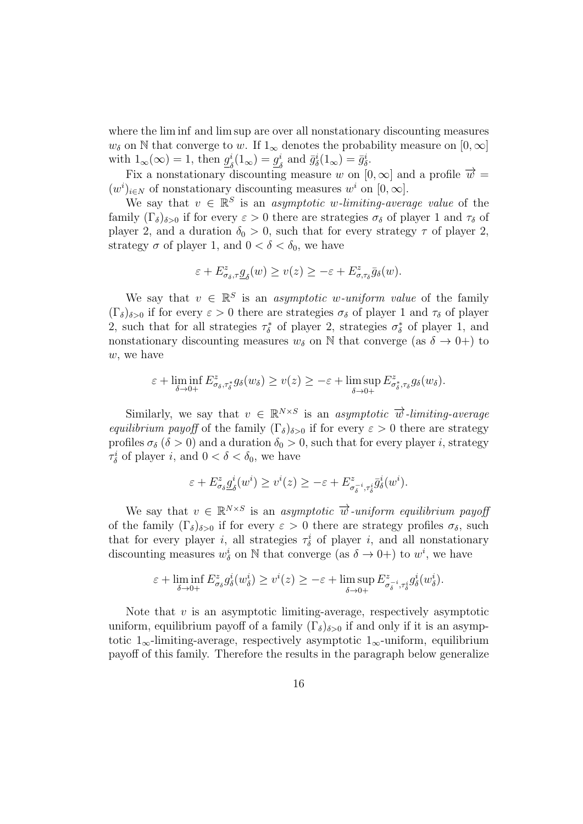where the lim inf and lim sup are over all nonstationary discounting measures  $w_{\delta}$  on N that converge to w. If  $1_{\infty}$  denotes the probability measure on  $[0,\infty]$ with  $1_{\infty}(\infty) = 1$ , then  $g_{\lambda}^{i}$  $\frac{i}{\delta}(1_{\infty}) = \underline{g}_{\delta}^{i}$  $\frac{i}{\delta}$  and  $\bar{g}_{\delta}^{i}(1_{\infty}) = \bar{g}_{\delta}^{i}$ .

Fix a nonstationary discounting measure w on  $[0,\infty]$  and a profile  $\overrightarrow{w} =$  $(w^{i})_{i\in N}$  of nonstationary discounting measures w<sup>*i*</sup> on [0, ∞].

We say that  $v \in \mathbb{R}^S$  is an *asymptotic w-limiting-average value* of the family  $(\Gamma_{\delta})_{\delta>0}$  if for every  $\varepsilon>0$  there are strategies  $\sigma_{\delta}$  of player 1 and  $\tau_{\delta}$  of player 2, and a duration  $\delta_0 > 0$ , such that for every strategy  $\tau$  of player 2, strategy  $\sigma$  of player 1, and  $0 < \delta < \delta_0$ , we have

$$
\varepsilon+E^z_{\sigma_\delta,\tau}\underline{g}_\delta(w)\geq v(z)\geq -\varepsilon+E^z_{\sigma,\tau_\delta}\bar{g}_\delta(w).
$$

We say that  $v \in \mathbb{R}^S$  is an asymptotic w-uniform value of the family  $(\Gamma_{\delta})_{\delta>0}$  if for every  $\varepsilon>0$  there are strategies  $\sigma_{\delta}$  of player 1 and  $\tau_{\delta}$  of player 2, such that for all strategies  $\tau_{\delta}^*$  of player 2, strategies  $\sigma_{\delta}^*$  of player 1, and nonstationary discounting measures  $w_{\delta}$  on N that converge (as  $\delta \rightarrow 0+$ ) to w, we have

$$
\varepsilon + \liminf_{\delta \to 0+} E^z_{\sigma_\delta, \tau^*_\delta} g_\delta(w_\delta) \ge v(z) \ge -\varepsilon + \limsup_{\delta \to 0+} E^z_{\sigma^*_\delta, \tau_\delta} g_\delta(w_\delta).
$$

Similarly, we say that  $v \in \mathbb{R}^{N \times S}$  is an asymptotic  $\overrightarrow{w}$ -limiting-average equilibrium payoff of the family  $(\Gamma_{\delta})_{\delta>0}$  if for every  $\varepsilon>0$  there are strategy profiles  $\sigma_{\delta}$  ( $\delta > 0$ ) and a duration  $\delta_0 > 0$ , such that for every player *i*, strategy  $\tau_{\delta}^{i}$  of player *i*, and  $0 < \delta < \delta_{0}$ , we have

$$
\varepsilon + E^z_{\sigma_\delta} g^i_\delta(w^i) \ge v^i(z) \ge -\varepsilon + E^z_{\sigma_\delta^{-i}, \tau_\delta^i} \bar{g}^i_\delta(w^i).
$$

We say that  $v \in \mathbb{R}^{N \times S}$  is an asymptotic  $\overrightarrow{w}$ -uniform equilibrium payoff of the family  $(\Gamma_{\delta})_{\delta>0}$  if for every  $\varepsilon>0$  there are strategy profiles  $\sigma_{\delta}$ , such that for every player *i*, all strategies  $\tau_{\delta}^{i}$  of player *i*, and all nonstationary discounting measures  $w^i_\delta$  on N that converge (as  $\delta \to 0+$ ) to  $w^i$ , we have

$$
\varepsilon + \liminf_{\delta \to 0+} E^z_{\sigma_\delta} g^i_\delta(w^i_\delta) \ge v^i(z) \ge -\varepsilon + \limsup_{\delta \to 0+} E^z_{\sigma_\delta^{-i}, \tau_\delta^i} g^i_\delta(w^i_\delta).
$$

Note that  $v$  is an asymptotic limiting-average, respectively asymptotic uniform, equilibrium payoff of a family  $(\Gamma_{\delta})_{\delta>0}$  if and only if it is an asymptotic  $1_{\infty}$ -limiting-average, respectively asymptotic  $1_{\infty}$ -uniform, equilibrium payoff of this family. Therefore the results in the paragraph below generalize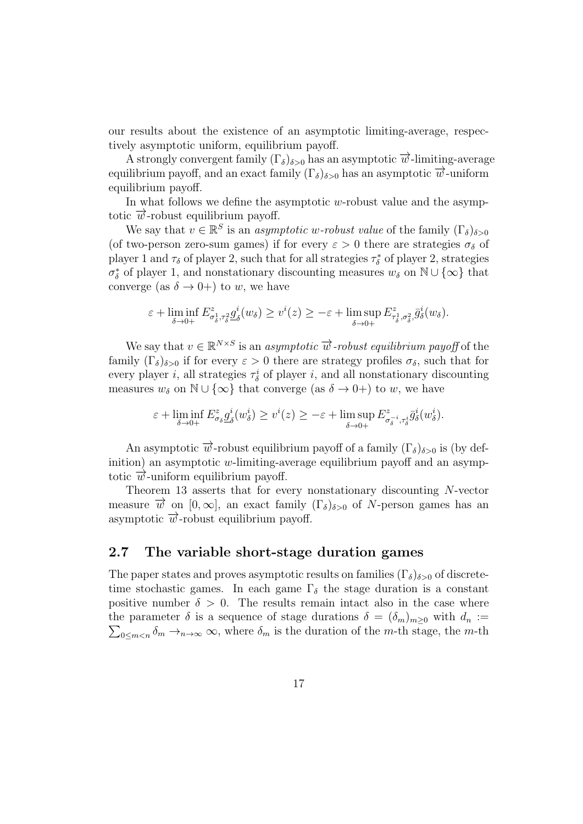our results about the existence of an asymptotic limiting-average, respectively asymptotic uniform, equilibrium payoff.

A strongly convergent family  $(\Gamma_{\delta})_{\delta>0}$  has an asymptotic  $\overrightarrow{w}$ -limiting-average equilibrium payoff, and an exact family  $(\Gamma_{\delta})_{\delta>0}$  has an asymptotic  $\overrightarrow{w}$ -uniform equilibrium payoff.

In what follows we define the asymptotic  $w$ -robust value and the asymptotic  $\vec{w}$ -robust equilibrium payoff.

We say that  $v \in \mathbb{R}^S$  is an *asymptotic w-robust value* of the family  $(\Gamma_{\delta})_{\delta > 0}$ (of two-person zero-sum games) if for every  $\varepsilon > 0$  there are strategies  $\sigma_{\delta}$  of player 1 and  $\tau_{\delta}$  of player 2, such that for all strategies  $\tau_{\delta}^{*}$  of player 2, strategies  $\sigma_{\delta}^*$  of player 1, and nonstationary discounting measures  $w_{\delta}$  on  $\mathbb{N} \cup \{\infty\}$  that converge (as  $\delta \rightarrow 0+$ ) to w, we have

$$
\varepsilon + \liminf_{\delta \to 0+} E^z_{\sigma^1_\delta, \tau^2_\delta} \underline{g}^i_\delta(w_\delta) \ge v^i(z) \ge -\varepsilon + \limsup_{\delta \to 0+} E^z_{\tau^1_\delta, \sigma^2_\delta} \overline{g}^i_\delta(w_\delta).
$$

We say that  $v \in \mathbb{R}^{N \times S}$  is an *asymptotic*  $\overrightarrow{w}$ -robust equilibrium payoff of the family  $(\Gamma_{\delta})_{\delta>0}$  if for every  $\varepsilon>0$  there are strategy profiles  $\sigma_{\delta}$ , such that for every player *i*, all strategies  $\tau_{\delta}^{i}$  of player *i*, and all nonstationary discounting measures  $w_{\delta}$  on  $\mathbb{N} \cup \{\infty\}$  that converge (as  $\delta \to 0+$ ) to w, we have

$$
\varepsilon + \liminf_{\delta \to 0+} E^z_{\sigma_\delta} \underline{g}^i_\delta(w^i_\delta) \ge v^i(z) \ge -\varepsilon + \limsup_{\delta \to 0+} E^z_{\sigma_\delta^{-i}, \tau_\delta^i} \overline{g}^i_\delta(w^i_\delta).
$$

An asymptotic  $\overrightarrow{w}$ -robust equilibrium payoff of a family  $(\Gamma_{\delta})_{\delta>0}$  is (by definition) an asymptotic w-limiting-average equilibrium payoff and an asymptotic  $\vec{w}$ -uniform equilibrium payoff.

Theorem 13 asserts that for every nonstationary discounting N-vector measure  $\vec{w}$  on  $[0,\infty]$ , an exact family  $(\Gamma_{\delta})_{\delta>0}$  of N-person games has an asymptotic  $\overrightarrow{w}$ -robust equilibrium payoff.

### 2.7 The variable short-stage duration games

The paper states and proves asymptotic results on families  $(\Gamma_{\delta})_{\delta>0}$  of discretetime stochastic games. In each game  $\Gamma_{\delta}$  the stage duration is a constant positive number  $\delta > 0$ . The results remain intact also in the case where the parameter  $\delta$  is a sequence of stage durations  $\delta = (\delta_m)_{m \geq 0}$  with  $d_n :=$  $\sum_{0 \le m < n} \delta_m \to_{n \to \infty} \infty$ , where  $\delta_m$  is the duration of the m-th stage, the m-th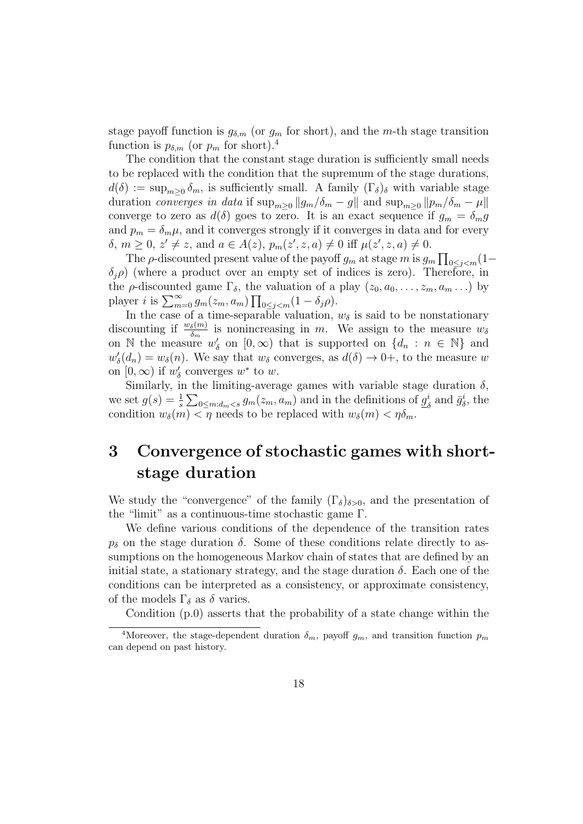stage payoff function is  $g_{\delta,m}$  (or  $g_m$  for short), and the m-th stage transition function is  $p_{\delta,m}$  (or  $p_m$  for short).<sup>4</sup>

The condition that the constant stage duration is sufficiently small needs to be replaced with the condition that the supremum of the stage durations,  $d(\delta) := \sup_{m \geq 0} \delta_m$ , is sufficiently small. A family  $(\Gamma_{\delta})_{\delta}$  with variable stage duration converges in data if  $\sup_{m\geq 0} ||g_m/\delta_m - g||$  and  $\sup_{m\geq 0} ||p_m/\delta_m - \mu||$ converge to zero as  $d(\delta)$  goes to zero. It is an exact sequence if  $g_m = \delta_m g$ and  $p_m = \delta_m \mu$ , and it converges strongly if it converges in data and for every  $\delta, m \geq 0, z' \neq z$ , and  $a \in A(z), p_m(z', z, a) \neq 0$  iff  $\mu(z', z, a) \neq 0$ .

The  $\rho$ -discounted present value of the payoff  $g_m$  at stage m is  $g_m \prod_{0 \le j \le m} (1-\epsilon)$  $\delta_i$ ) (where a product over an empty set of indices is zero). Therefore, in the  $\rho$ -discounted game  $\Gamma_{\delta}$ , the valuation of a play  $(z_0, a_0, \ldots, z_m, a_m \ldots)$  by player *i* is  $\sum_{m=0}^{\infty} g_m(z_m, a_m) \prod_{0 \le j < m} (1 - \delta_j \rho).$ 

In the case of a time-separable valuation,  $w_{\delta}$  is said to be nonstationary discounting if  $\frac{w_\delta(m)}{\delta_m}$  is nonincreasing in m. We assign to the measure  $w_\delta$ on N the measure  $w'_\delta$  on  $[0,\infty)$  that is supported on  $\{d_n : n \in \mathbb{N}\}\$  and  $w'_{\delta}(d_n) = w_{\delta}(n)$ . We say that  $w_{\delta}$  converges, as  $d(\delta) \to 0^+$ , to the measure w on  $[0, \infty)$  if  $w'_{\delta}$  converges  $w^*$  to  $w$ .

Similarly, in the limiting-average games with variable stage duration  $\delta$ , we set  $g(s) = \frac{1}{s} \sum_{0 \le m : d_m < s} g_m(z_m, a_m)$  and in the definitions of  $g_{\ell}^i$  $\frac{i}{\delta}$  and  $\bar{g}_{\delta}^i$ , the condition  $w_{\delta}(m) < \eta$  needs to be replaced with  $w_{\delta}(m) < \eta \delta_m$ .

# 3 Convergence of stochastic games with shortstage duration

We study the "convergence" of the family  $(\Gamma_{\delta})_{\delta>0}$ , and the presentation of the "limit" as a continuous-time stochastic game Γ.

We define various conditions of the dependence of the transition rates  $p_{\delta}$  on the stage duration  $\delta$ . Some of these conditions relate directly to assumptions on the homogeneous Markov chain of states that are defined by an initial state, a stationary strategy, and the stage duration  $\delta$ . Each one of the conditions can be interpreted as a consistency, or approximate consistency, of the models  $\Gamma_{\delta}$  as  $\delta$  varies.

Condition (p.0) asserts that the probability of a state change within the

<sup>&</sup>lt;sup>4</sup>Moreover, the stage-dependent duration  $\delta_m$ , payoff  $g_m$ , and transition function  $p_m$ can depend on past history.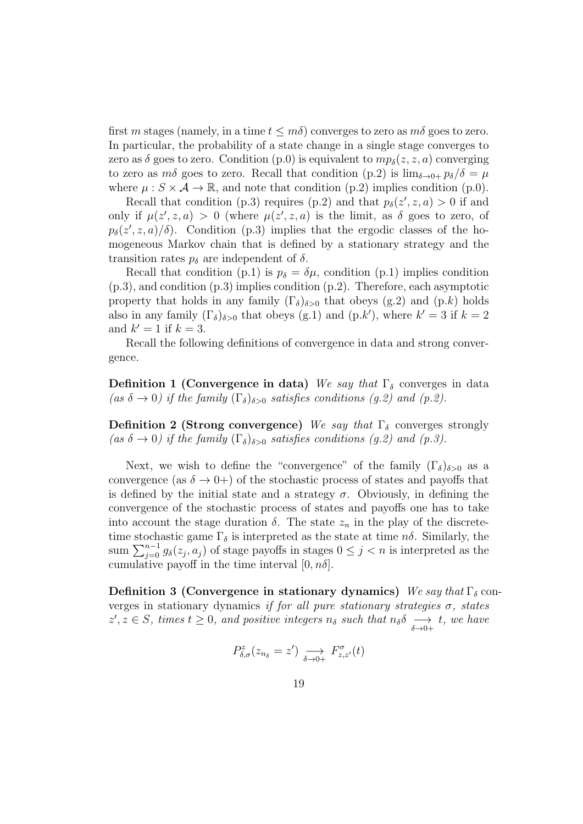first m stages (namely, in a time  $t \leq m\delta$ ) converges to zero as  $m\delta$  goes to zero. In particular, the probability of a state change in a single stage converges to zero as  $\delta$  goes to zero. Condition (p.0) is equivalent to  $mp_{\delta}(z, z, a)$  converging to zero as m $\delta$  goes to zero. Recall that condition (p.2) is  $\lim_{\delta \to 0+} p_{\delta}/\delta = \mu$ where  $\mu : S \times A \to \mathbb{R}$ , and note that condition (p.2) implies condition (p.0).

Recall that condition (p.3) requires (p.2) and that  $p_{\delta}(z', z, a) > 0$  if and only if  $\mu(z', z, a) > 0$  (where  $\mu(z', z, a)$  is the limit, as  $\delta$  goes to zero, of  $p_{\delta}(z', z, a)/\delta$ . Condition (p.3) implies that the ergodic classes of the homogeneous Markov chain that is defined by a stationary strategy and the transition rates  $p_{\delta}$  are independent of  $\delta$ .

Recall that condition (p.1) is  $p_{\delta} = \delta \mu$ , condition (p.1) implies condition (p.3), and condition (p.3) implies condition (p.2). Therefore, each asymptotic property that holds in any family  $(\Gamma_{\delta})_{\delta>0}$  that obeys (g.2) and (p.k) holds also in any family  $(\Gamma_{\delta})_{\delta>0}$  that obeys (g.1) and (p.k'), where  $k'=3$  if  $k=2$ and  $k' = 1$  if  $k = 3$ .

Recall the following definitions of convergence in data and strong convergence.

**Definition 1 (Convergence in data)** We say that  $\Gamma_{\delta}$  converges in data (as  $\delta \to 0$ ) if the family  $(\Gamma_{\delta})_{\delta>0}$  satisfies conditions (g.2) and (p.2).

Definition 2 (Strong convergence) We say that  $\Gamma_{\delta}$  converges strongly (as  $\delta \to 0$ ) if the family  $(\Gamma_{\delta})_{\delta>0}$  satisfies conditions (g.2) and (p.3).

Next, we wish to define the "convergence" of the family  $(\Gamma_{\delta})_{\delta>0}$  as a convergence (as  $\delta \rightarrow 0+$ ) of the stochastic process of states and payoffs that is defined by the initial state and a strategy  $\sigma$ . Obviously, in defining the convergence of the stochastic process of states and payoffs one has to take into account the stage duration  $\delta$ . The state  $z_n$  in the play of the discretetime stochastic game  $\Gamma_{\delta}$  is interpreted as the state at time  $n\delta$ . Similarly, the sum  $\sum_{j=0}^{n-1} g_{\delta}(z_j, a_j)$  of stage payoffs in stages  $0 \leq j < n$  is interpreted as the cumulative payoff in the time interval  $[0, n\delta]$ .

Definition 3 (Convergence in stationary dynamics) We say that  $\Gamma_{\delta}$  converges in stationary dynamics if for all pure stationary strategies  $\sigma$ , states  $z', z \in S$ , times  $t \geq 0$ , and positive integers  $n_{\delta}$  such that  $n_{\delta} \delta \longrightarrow t$ , we have

$$
P_{\delta,\sigma}^{z}(z_{n_{\delta}}=z') \underset{\delta \to 0+}{\longrightarrow} F_{z,z'}^{\sigma}(t)
$$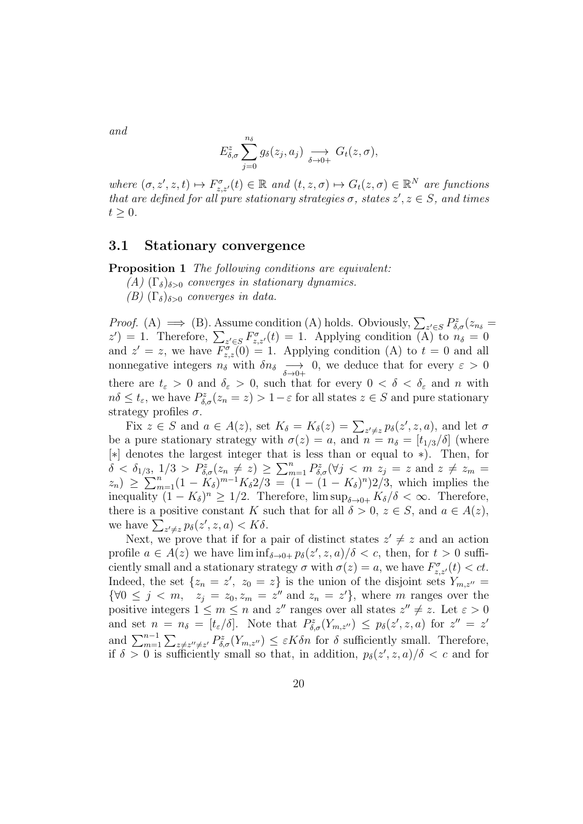and

$$
E_{\delta,\sigma}^z \sum_{j=0}^{n_{\delta}} g_{\delta}(z_j,a_j) \underset{\delta \to 0+}{\longrightarrow} G_t(z,\sigma),
$$

where  $(\sigma, z', z, t) \mapsto F_{z,z'}^{\sigma}(t) \in \mathbb{R}$  and  $(t, z, \sigma) \mapsto G_t(z, \sigma) \in \mathbb{R}^N$  are functions that are defined for all pure stationary strategies  $\sigma$ , states  $z', z \in S$ , and times  $t \geq 0$ .

#### 3.1 Stationary convergence

Proposition 1 The following conditions are equivalent:

(A)  $(\Gamma_{\delta})_{\delta>0}$  converges in stationary dynamics.

(B)  $(\Gamma_{\delta})_{\delta>0}$  converges in data.

*Proof.* (A)  $\implies$  (B). Assume condition (A) holds. Obviously,  $\sum_{z' \in S} P_{\delta, \sigma}^z(z_{n_{\delta}} =$  $z'$ ) = 1. Therefore,  $\sum_{z' \in S} F^{\sigma}_{z,z'}(t) = 1$ . Applying condition (A) to  $n_{\delta} = 0$ and  $z' = z$ , we have  $F_{z,z}^{\sigma}(0) = 1$ . Applying condition (A) to  $t = 0$  and all nonnegative integers  $n_{\delta}$  with  $\delta n_{\delta} \longrightarrow 0$ , we deduce that for every  $\varepsilon > 0$ there are  $t_{\varepsilon} > 0$  and  $\delta_{\varepsilon} > 0$ , such that for every  $0 < \delta < \delta_{\varepsilon}$  and n with  $n\delta \leq t_{\varepsilon}$ , we have  $P_{\delta,\sigma}^z(z_n = z) > 1 - \varepsilon$  for all states  $z \in S$  and pure stationary strategy profiles  $\sigma$ .

Fix  $z \in S$  and  $a \in A(z)$ , set  $K_{\delta} = K_{\delta}(z) = \sum_{z' \neq z} p_{\delta}(z', z, a)$ , and let  $\sigma$ be a pure stationary strategy with  $\sigma(z) = a$ , and  $n = n_{\delta} = [t_{1/3}/\delta]$  (where [∗] denotes the largest integer that is less than or equal to ∗). Then, for  $\delta < \delta_{1/3}, 1/3 > P^z_{\delta,\sigma}(z_n \neq z) \geq \sum_{m=1}^n P^z_{\delta,\sigma}(\forall j < m \ z_j = z \text{ and } z \neq z_m = z$  $(z_n) \geq \sum_{m=1}^n (1 - K_\delta)^{m-1} K_\delta^2/3 = (1 - (1 - K_\delta)^n)2/3$ , which implies the inequality  $(1 - K_{\delta})^n \ge 1/2$ . Therefore,  $\limsup_{\delta \to 0+} K_{\delta}/\delta < \infty$ . Therefore, there is a positive constant K such that for all  $\delta > 0$ ,  $z \in S$ , and  $a \in A(z)$ , we have  $\sum_{z' \neq z} p_{\delta}(z', z, a) < K\delta$ .

Next, we prove that if for a pair of distinct states  $z' \neq z$  and an action profile  $a \in A(z)$  we have  $\liminf_{\delta \to 0+} p_{\delta}(z', z, a)/\delta < c$ , then, for  $t > 0$  sufficiently small and a stationary strategy  $\sigma$  with  $\sigma(z) = a$ , we have  $F_{z,z'}^{\sigma}(t) < ct$ . Indeed, the set  $\{z_n = z', z_0 = z\}$  is the union of the disjoint sets  $Y_{m,z''} =$  $\{\forall 0 \leq j < m, \ z_j = z_0, z_m = z'' \text{ and } z_n = z' \}, \text{ where } m \text{ ranges over the }$ positive integers  $1 \leq m \leq n$  and  $z''$  ranges over all states  $z'' \neq z$ . Let  $\varepsilon > 0$ and set  $n = n_{\delta} = [t_{\epsilon}/\delta]$ . Note that  $P_{\delta,\sigma}^{z}(Y_{m,z''}) \leq p_{\delta}(z',z,a)$  for  $z'' = z'$ and  $\sum_{m=1}^{n-1} \sum_{z \neq z'' \neq z'} P_{\delta,\sigma}^z(Y_{m,z''}) \leq \varepsilon K \delta n$  for  $\delta$  sufficiently small. Therefore, if  $\delta > 0$  is sufficiently small so that, in addition,  $p_{\delta}(z', z, a)/\delta < c$  and for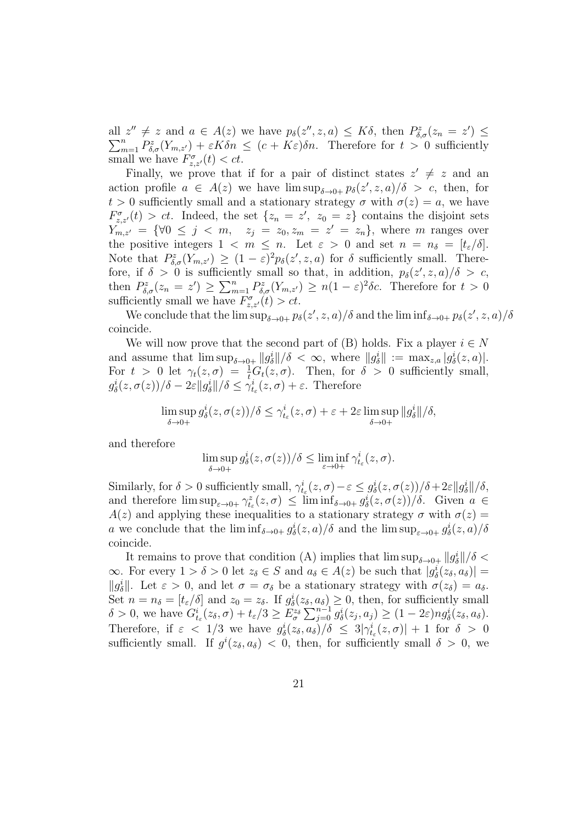all  $z'' \neq z$  and  $a \in A(z)$  we have  $p_{\delta}(z'', z, a) \leq K\delta$ , then  $P_{\delta, \sigma}^z(z_n = z') \leq$  $\sum_{m=1}^{n} P_{\delta,\sigma}^{z}(Y_{m,z'}) + \varepsilon K \delta n \leq (c + K\varepsilon) \delta n$ . Therefore for  $t > 0$  sufficiently small we have  $F_{z,z'}^{\sigma}(t) < ct$ .

Finally, we prove that if for a pair of distinct states  $z' \neq z$  and an action profile  $a \in A(z)$  we have  $\limsup_{\delta \to 0+} p_{\delta}(z', z, a)/\delta > c$ , then, for  $t > 0$  sufficiently small and a stationary strategy  $\sigma$  with  $\sigma(z) = a$ , we have  $F_{z,z'}^{\sigma}(t) > ct.$  Indeed, the set  $\{z_n = z', z_0 = z\}$  contains the disjoint sets  $Y_{m,z'} = \{ \forall 0 \leq j \leq m, \quad z_j = z_0, z_m = z' = z_n \},$  where m ranges over the positive integers  $1 \leq m \leq n$ . Let  $\varepsilon > 0$  and set  $n = n_{\delta} = [t_{\varepsilon}/\delta]$ . Note that  $P_{\delta,\sigma}^{z}(Y_{m,z'}) \geq (1-\varepsilon)^2 p_{\delta}(z',z,a)$  for  $\delta$  sufficiently small. Therefore, if  $\delta > 0$  is sufficiently small so that, in addition,  $p_{\delta}(z', z, a)/\delta > c$ , then  $P_{\delta,\sigma}^z(z_n = z') \ge \sum_{m=1}^n P_{\delta,\sigma}^z(Y_{m,z'}) \ge n(1-\varepsilon)^2 \delta c$ . Therefore for  $t > 0$ sufficiently small we have  $F_{z,z'}^{\sigma}(t) > ct$ .

We conclude that the  $\limsup_{\delta\to 0+} p_\delta(z',z,a)/\delta$  and the  $\liminf_{\delta\to 0+} p_\delta(z',z,a)/\delta$ coincide.

We will now prove that the second part of (B) holds. Fix a player  $i \in N$ and assume that  $\limsup_{\delta \to 0+} ||g^i_{\delta}||/\delta < \infty$ , where  $||g^i_{\delta}|| := \max_{z,a} |g^i_{\delta}(z,a)|$ . For  $t > 0$  let  $\gamma_t(z, \sigma) = \frac{1}{t} G_t(z, \sigma)$ . Then, for  $\delta > 0$  sufficiently small,  $g_{\delta}^{i}(z,\sigma(z))/\delta - 2\varepsilon \|g_{\delta}^{i}\|/\delta \leq \gamma_{t_{\varepsilon}}^{i}(z,\sigma) + \varepsilon$ . Therefore

$$
\limsup_{\delta \to 0+} g_{\delta}^{i}(z, \sigma(z))/\delta \leq \gamma_{t_{\varepsilon}}^{i}(z, \sigma) + \varepsilon + 2\varepsilon \limsup_{\delta \to 0+} ||g_{\delta}^{i}||/\delta,
$$

and therefore

$$
\limsup_{\delta \to 0+} g_{\delta}^{i}(z, \sigma(z))/\delta \leq \liminf_{\varepsilon \to 0+} \gamma_{t_{\varepsilon}}^{i}(z, \sigma).
$$

Similarly, for  $\delta > 0$  sufficiently small,  $\gamma_{t_\varepsilon}^i(z,\sigma) - \varepsilon \leq g_\delta^i(z,\sigma(z))/\delta + 2\varepsilon ||g_\delta^i||/\delta$ , and therefore  $\limsup_{\varepsilon\to 0+} \gamma_{t_\varepsilon}^z(z,\sigma) \leq \liminf_{\delta\to 0+} g_\delta^i(z,\sigma(z))/\delta$ . Given  $a \in$  $A(z)$  and applying these inequalities to a stationary strategy  $\sigma$  with  $\sigma(z)$  = a we conclude that the  $\liminf_{\delta\to 0+} g^i_\delta(z,a)/\delta$  and the  $\limsup_{\varepsilon\to 0+} g^i_\delta(z,a)/\delta$ coincide.

It remains to prove that condition (A) implies that  $\limsup_{\delta \to 0+} ||g^i_{\delta}||/\delta <$  $\infty$ . For every  $1 > \delta > 0$  let  $z_{\delta} \in S$  and  $a_{\delta} \in A(z)$  be such that  $|g_{\delta}^{i}(z_{\delta}, a_{\delta})|$  =  $||g_{\delta}^{i}||$ . Let  $\varepsilon > 0$ , and let  $\sigma = \sigma_{\delta}$  be a stationary strategy with  $\sigma(z_{\delta}) = a_{\delta}$ . Set  $n = n_{\delta} = [t_{\epsilon}/\delta]$  and  $z_0 = z_{\delta}$ . If  $g_{\delta}^{i}(z_{\delta}, a_{\delta}) \geq 0$ , then, for sufficiently small  $\delta > 0$ , we have  $G_{t_{\varepsilon}}^{i}(z_{\delta}, \sigma) + t_{\varepsilon}/3 \ge E_{\sigma}^{z_{\delta}} \sum_{j=0}^{n-1} g_{\delta}^{i}(z_{j}, a_{j}) \ge (1 - 2\varepsilon)ng_{\delta}^{i}(z_{\delta}, a_{\delta}).$ Therefore, if  $\varepsilon < 1/3$  we have  $g_{\delta}^{i}(z_{\delta}, a_{\delta})/\delta \leq 3|\gamma_{t_{\varepsilon}}^{i}(z, \sigma)| + 1$  for  $\delta > 0$ sufficiently small. If  $g^{i}(z_{\delta}, a_{\delta})$  < 0, then, for sufficiently small  $\delta > 0$ , we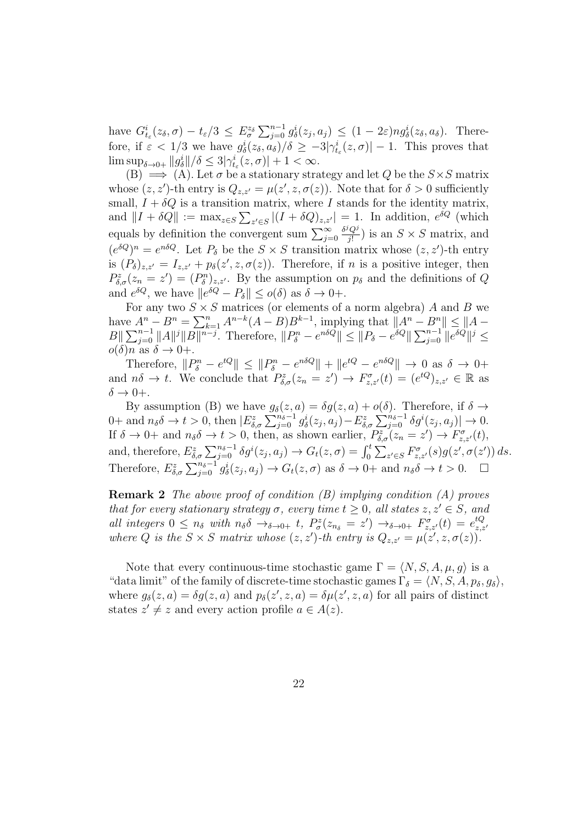have  $G_{t_{\varepsilon}}^{i}(z_{\delta}, \sigma) - t_{\varepsilon}/3 \leq E_{\sigma}^{z_{\delta}} \sum_{j=0}^{n-1} g_{\delta}^{i}(z_{j}, a_{j}) \leq (1 - 2\varepsilon) n g_{\delta}^{i}(z_{\delta}, a_{\delta}).$  Therefore, if  $\varepsilon < 1/3$  we have  $g_{\delta}^{i}(z_{\delta}, a_{\delta})/\delta \geq -3|\gamma_{t_{\varepsilon}}^{i}(z, \sigma)| - 1$ . This proves that  $\limsup_{\delta \to 0+} ||g^i_{\delta}|| / \delta \leq 3|\gamma^i_{t_\epsilon}(z,\sigma)| + 1 < \infty.$ 

(B)  $\implies$  (A). Let  $\sigma$  be a stationary strategy and let Q be the  $S \times S$  matrix whose  $(z, z')$ -th entry is  $Q_{z, z'} = \mu(z', z, \sigma(z))$ . Note that for  $\delta > 0$  sufficiently small,  $I + \delta Q$  is a transition matrix, where I stands for the identity matrix, and  $||I + \delta Q|| := \max_{z \in S} \sum_{z' \in S} |(I + \delta Q)_{z,z'}| = 1$ . In addition,  $e^{\delta Q}$  (which equals by definition the convergent sum  $\sum_{j=0}^{\infty}$  $\delta^j Q^j$  $\frac{Q'}{j!}$ ) is an  $S \times S$  matrix, and  $(e^{\delta Q})^n = e^{n\delta Q}$ . Let  $P_\delta$  be the  $S \times S$  transition matrix whose  $(z, z')$ -th entry is  $(P_{\delta})_{z,z'} = I_{z,z'} + p_{\delta}(z',z,\sigma(z))$ . Therefore, if n is a positive integer, then  $P_{\delta,\sigma}^z(z_n = z') = (P_{\delta}^n)_{z,z'}$ . By the assumption on  $p_{\delta}$  and the definitions of Q and  $e^{\delta Q}$ , we have  $||e^{\delta Q} - P_{\delta}|| \leq o(\delta)$  as  $\delta \to 0+$ .

For any two  $S \times S$  matrices (or elements of a norm algebra) A and B we have  $A^n - B^n = \sum_{k=1}^n A^{n-k} (A - B) B^{k-1}$ , implying that  $||A^n - B^n|| \le ||A - B^n||$  $||B|| \sum_{j=0}^{n-1} ||A||^j ||B||^{n-j}$ . Therefore,  $||P^n_\delta - e^{n\delta Q}|| \le ||P_\delta - e^{\delta Q}|| \sum_{j=0}^{n-1} ||e^{\delta Q}||^j \le$  $o(\delta)n$  as  $\delta \to 0+$ .

Therefore,  $||P_{\delta}^{n} - e^{tQ}|| \le ||P_{\delta}^{n} - e^{n\delta Q}|| + ||e^{tQ} - e^{n\delta Q}|| \to 0$  as  $\delta \to 0+$ and  $n\delta \to t$ . We conclude that  $P^z_{\delta,\sigma}(z_n = z') \to F^{\sigma}_{z,z'}(t) = (e^{tQ})_{z,z'} \in \mathbb{R}$  as  $\delta \rightarrow 0+$ .

By assumption (B) we have  $g_{\delta}(z, a) = \delta g(z, a) + o(\delta)$ . Therefore, if  $\delta \to$ 0+ and  $n_{\delta}\delta \to t > 0$ , then  $|E_{\delta,\sigma}^{z}\sum_{j=0}^{n_{\delta}-1} g_{\delta}^{i}(z_j, a_j) - E_{\delta,\sigma}^{z}\sum_{j=0}^{n_{\delta}-1} \delta g^{i}(z_j, a_j)| \to 0$ . If  $\delta \to 0^+$  and  $n_{\delta} \delta \to t > 0$ , then, as shown earlier,  $P^z_{\delta,\sigma}(z_n = z') \to F^{\sigma}_{z,z'}(t)$ , and, therefore,  $E_{\delta,\sigma}^z \sum_{j=0}^{n_{\delta}-1} \delta g^i(z_j, a_j) \rightarrow G_t(z, \sigma) = \int_0^t \sum_{z' \in S} F_{z,z'}^{\sigma}(s) g(z', \sigma(z')) ds$ . Therefore,  $E_{\delta,\sigma}^z \sum_{j=0}^{n_{\delta}-1} g_{\delta}^i(z_j, a_j) \to G_t(z, \sigma)$  as  $\delta \to 0+$  and  $n_{\delta}\delta \to t > 0$ .  $\Box$ 

**Remark 2** The above proof of condition (B) implying condition (A) proves that for every stationary strategy  $\sigma$ , every time  $t \geq 0$ , all states  $z, z' \in S$ , and all integers  $0 \leq n_{\delta}$  with  $n_{\delta} \delta \rightarrow_{\delta \to 0+} t$ ,  $P_{\sigma}^z(z_{n_{\delta}} = z') \rightarrow_{\delta \to 0+} F_{z,z'}^{\sigma}(t) = e_{z,z}^{tQ}$ and the gets  $0 \le n_{\delta}$  with  $n_{\delta}0 \to_{\delta \to 0+}^{\delta} i$ ,  $1_{\sigma}(z_{n_{\delta}} - z) \to_{\delta \to 0+}^{\delta} i_{z,z'}(i) - e_{z,z'}$ <br>where Q is the  $S \times S$  matrix whose  $(z, z')$ -th entry is  $Q_{z,z'} = \mu(z', z, \sigma(z))$ .

Note that every continuous-time stochastic game  $\Gamma = \langle N, S, A, \mu, g \rangle$  is a "data limit" of the family of discrete-time stochastic games  $\Gamma_{\delta} = \langle N, S, A, p_{\delta}, g_{\delta} \rangle$ , where  $g_{\delta}(z, a) = \delta g(z, a)$  and  $p_{\delta}(z', z, a) = \delta \mu(z', z, a)$  for all pairs of distinct states  $z' \neq z$  and every action profile  $a \in A(z)$ .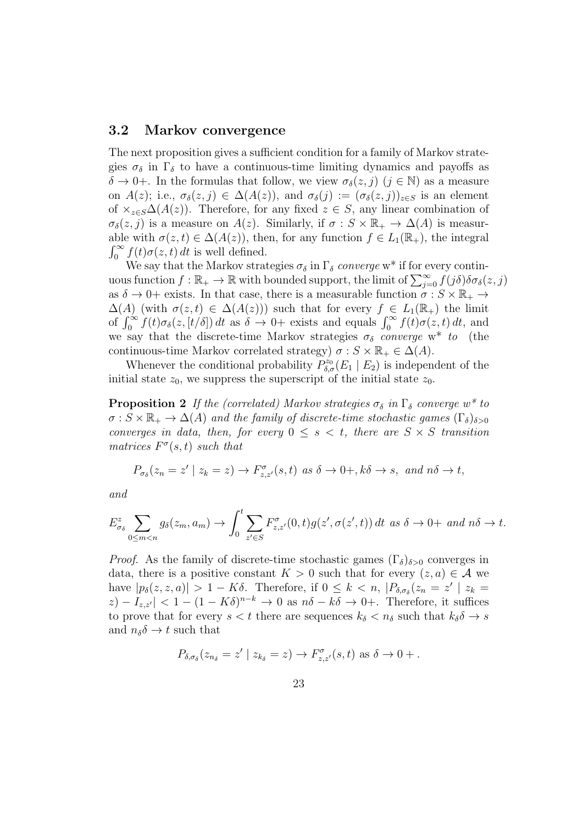### 3.2 Markov convergence

The next proposition gives a sufficient condition for a family of Markov strategies  $\sigma_{\delta}$  in  $\Gamma_{\delta}$  to have a continuous-time limiting dynamics and payoffs as  $\delta \to 0^+$ . In the formulas that follow, we view  $\sigma_{\delta}(z, j)$   $(j \in \mathbb{N})$  as a measure on  $A(z)$ ; i.e.,  $\sigma_{\delta}(z, j) \in \Delta(A(z))$ , and  $\sigma_{\delta}(j) := (\sigma_{\delta}(z, j))_{z \in S}$  is an element of  $\times_{z\in S}\Delta(A(z))$ . Therefore, for any fixed  $z\in S$ , any linear combination of  $\sigma_{\delta}(z, j)$  is a measure on  $A(z)$ . Similarly, if  $\sigma : S \times \mathbb{R}_+ \to \Delta(A)$  is measurable with  $\sigma(z,t) \in \Delta(A(z))$ , then, for any function  $f \in L_1(\mathbb{R}_+)$ , the integral  $\int_0^\infty f(t)\sigma(z,t)\,dt$  is well defined.

We say that the Markov strategies  $\sigma_{\delta}$  in  $\Gamma_{\delta}$  converge w<sup>\*</sup> if for every continuous function  $f : \mathbb{R}_+ \to \mathbb{R}$  with bounded support, the limit of  $\sum_{j=0}^{\infty} f(j\delta)\delta\sigma_\delta(z, j)$ as  $\delta \to 0^+$  exists. In that case, there is a measurable function  $\sigma : S \times \mathbb{R}_+ \to$  $\Delta(A)$  (with  $\sigma(z,t) \in \Delta(A(z))$ ) such that for every  $f \in L_1(\mathbb{R}_+)$  the limit of  $\int_0^{\infty} f(t)\sigma_{\delta}(z,[t/\delta]) dt$  as  $\delta \to 0+$  exists and equals  $\int_0^{\infty} f(t)\sigma(z,t) dt$ , and we say that the discrete-time Markov strategies  $\sigma_{\delta}$  converge w<sup>\*</sup> to (the continuous-time Markov correlated strategy)  $\sigma : S \times \mathbb{R}_+ \in \Delta(A)$ .

Whenever the conditional probability  $P_{\delta,\sigma}^{z_0}(E_1 | E_2)$  is independent of the initial state  $z_0$ , we suppress the superscript of the initial state  $z_0$ .

**Proposition 2** If the (correlated) Markov strategies  $\sigma_{\delta}$  in  $\Gamma_{\delta}$  converge w<sup>\*</sup> to  $\sigma : S \times \mathbb{R}_+ \to \Delta(A)$  and the family of discrete-time stochastic games  $(\Gamma_{\delta})_{\delta>0}$ converges in data, then, for every  $0 \leq s \leq t$ , there are  $S \times S$  transition matrices  $F^{\sigma}(s,t)$  such that

$$
P_{\sigma_{\delta}}(z_n = z' \mid z_k = z) \to F_{z,z'}^{\sigma}(s,t) \text{ as } \delta \to 0+, k\delta \to s, \text{ and } n\delta \to t,
$$

and

$$
E_{\sigma_{\delta}}^{z} \sum_{0 \leq m < n} g_{\delta}(z_m, a_m) \to \int_0^t \sum_{z' \in S} F_{z, z'}^{\sigma}(0, t) g(z', \sigma(z', t)) dt \text{ as } \delta \to 0+ \text{ and } n\delta \to t.
$$

*Proof.* As the family of discrete-time stochastic games  $(\Gamma_{\delta})_{\delta>0}$  converges in data, there is a positive constant  $K > 0$  such that for every  $(z, a) \in \mathcal{A}$  we have  $|p_\delta(z, z, a)| > 1 - K\delta$ . Therefore, if  $0 \leq k < n$ ,  $|P_{\delta, \sigma_\delta}(z_n = z' | z_k =$  $|z| - I_{z,z'}| < 1 - (1 - K\delta)^{n-k} \to 0$  as  $n\delta - k\delta \to 0^+$ . Therefore, it suffices to prove that for every  $s < t$  there are sequences  $k_{\delta} < n_{\delta}$  such that  $k_{\delta} \delta \rightarrow s$ and  $n_{\delta}\delta \rightarrow t$  such that

$$
P_{\delta,\sigma_{\delta}}(z_{n_{\delta}}=z' \mid z_{k_{\delta}}=z) \to F_{z,z'}^{\sigma}(s,t) \text{ as } \delta \to 0+.
$$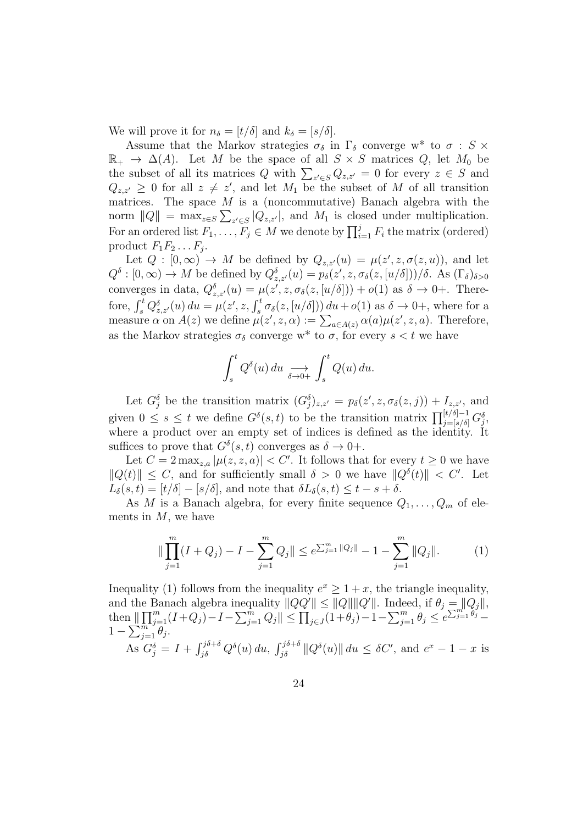We will prove it for  $n_{\delta} = [t/\delta]$  and  $k_{\delta} = [s/\delta]$ .

Assume that the Markov strategies  $\sigma_{\delta}$  in  $\Gamma_{\delta}$  converge w<sup>\*</sup> to  $\sigma$  : S  $\times$  $\mathbb{R}_+ \to \Delta(A)$ . Let M be the space of all  $S \times S$  matrices Q, let  $M_0$  be the subset of all its matrices Q with  $\sum_{z' \in S} Q_{z,z'} = 0$  for every  $z \in S$  and  $Q_{z,z'} \geq 0$  for all  $z \neq z'$ , and let  $M_1$  be the subset of M of all transition matrices. The space  $M$  is a (noncommutative) Banach algebra with the norm  $||Q|| = \max_{z \in S} \sum_{z' \in S} |Q_{z,z'}|$ , and  $M_1$  is closed under multiplication. For an ordered list  $F_1, \ldots, F_j \in M$  we denote by  $\prod_{i=1}^j F_i$  the matrix (ordered) product  $F_1F_2 \ldots F_j$ .

Let  $Q : [0, \infty) \to M$  be defined by  $Q_{z,z'}(u) = \mu(z', z, \sigma(z, u))$ , and let  $Q^{\delta}: [0, \infty) \to M$  be defined by  $Q_{z, z'}^{\delta}(u) = p_{\delta}(z', z, \sigma_{\delta}(z, [u/\delta]))/\delta$ . As  $(\Gamma_{\delta})_{\delta > 0}$ converges in data,  $Q_{z,z'}^{\delta}(u) = \mu(z', z, \sigma_{\delta}(z,[u/\delta])) + o(1)$  as  $\delta \to 0+$ . Therefore,  $\int_s^t Q_{z,z'}^{\delta}(u) du = \mu(z', z, \int_s^t \sigma_{\delta}(z,[u/\delta])) du + o(1)$  as  $\delta \to 0^+,$  where for a measure  $\alpha$  on  $A(z)$  we define  $\mu(z', z, \alpha) := \sum_{a \in A(z)} \alpha(a) \mu(z', z, a)$ . Therefore, as the Markov strategies  $\sigma_{\delta}$  converge w<sup>\*</sup> to  $\sigma$ , for every  $s < t$  we have

$$
\int_s^t Q^\delta(u) \, du \underset{\delta \to 0+}{\longrightarrow} \int_s^t Q(u) \, du.
$$

Let  $G_j^{\delta}$  be the transition matrix  $(G_j^{\delta})_{z,z'} = p_{\delta}(z', z, \sigma_{\delta}(z, j)) + I_{z,z'}$ , and given  $0 \leq s \leq t$  we define  $G^{\delta}(s,t)$  to be the transition matrix  $\prod_{j= [s/\delta]}^{[t/\delta]-1} G_j^{\delta}$ where a product over an empty set of indices is defined as the identity. It suffices to prove that  $G^{\delta}(s,t)$  converges as  $\delta \to 0+$ .

Let  $C = 2 \max_{z,a} |\mu(z, z, a)| < C'$ . It follows that for every  $t \geq 0$  we have  $||Q(t)|| \leq C$ , and for sufficiently small  $\delta > 0$  we have  $||Q^{\delta}(t)|| < C'$ . Let  $L_{\delta}(s,t) = [t/\delta] - [s/\delta]$ , and note that  $\delta L_{\delta}(s,t) \leq t - s + \delta$ .

As M is a Banach algebra, for every finite sequence  $Q_1, \ldots, Q_m$  of elements in  $M$ , we have

$$
\|\prod_{j=1}^{m} (I+Q_j) - I - \sum_{j=1}^{m} Q_j\| \le e^{\sum_{j=1}^{m} \|Q_j\|} - 1 - \sum_{j=1}^{m} \|Q_j\|.
$$
 (1)

Inequality (1) follows from the inequality  $e^x \geq 1 + x$ , the triangle inequality, and the Banach algebra inequality  $||QQ'|| \leq ||Q||||Q'||$ . Indeed, if  $\theta_j = ||Q_j||$ , then  $\|\prod_{j=1}^m(I+Q_j) - I - \sum_{j=1}^m Q_j\| \leq \prod_{j\in J} (1+\theta_j) - 1 - \sum_{j=1}^m \theta_j \leq e^{\sum_{j=1}^{m!} \theta_j}$  $1-\sum_{j=1}^{\infty} \overline{\theta}_j^{\overline{n}}$ . As  $G_j^{\delta} = I + \int_{j\delta}^{j\delta+\delta} Q^{\delta}(u) du$ ,  $\int_{j\delta}^{j\delta+\delta} ||Q^{\delta}(u)|| du \leq \delta C'$ , and  $e^x - 1 - x$  is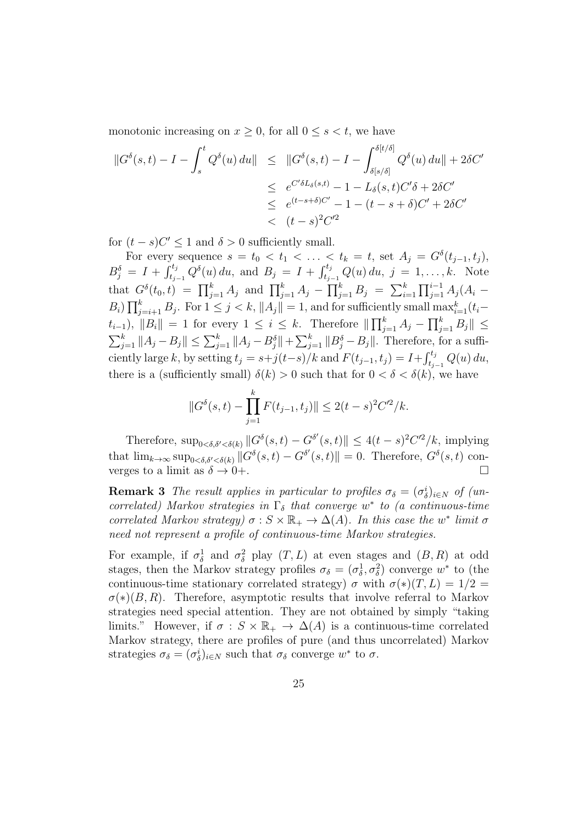monotonic increasing on  $x \geq 0$ , for all  $0 \leq s \leq t$ , we have

$$
\begin{aligned} \left\|G^{\delta}(s,t) - I - \int_{s}^{t} Q^{\delta}(u) du\right\| &\leq \left\|G^{\delta}(s,t) - I - \int_{\delta[s/\delta]}^{\delta[t/\delta]} Q^{\delta}(u) du\right\| + 2\delta C' \\ &\leq \left\|e^{C'\delta L_{\delta}(s,t)} - 1 - L_{\delta}(s,t)C'\delta + 2\delta C' \\ &\leq \left\|e^{(t-s+\delta)C'} - 1 - (t-s+\delta)C' + 2\delta C' \\ &< (t-s)^{2}C'^{2} \end{aligned}
$$

for  $(t-s)C' \leq 1$  and  $\delta > 0$  sufficiently small.

For every sequence  $s = t_0 < t_1 < \ldots < t_k = t$ , set  $A_j = G^{\delta}(t_{j-1}, t_j)$ ,  $B_j^{\delta} = I + \int_{t_{j-1}}^{t_j} Q^{\delta}(u) du$ , and  $B_j = I + \int_{t_{j-1}}^{t_j} Q(u) du$ ,  $j = 1, ..., k$ . Note that  $G^{\delta}(t_0,t) = \prod_{j=1}^{k} A_j$  and  $\prod_{j=1}^{k} A_j - \prod_{j=1}^{k} B_j = \sum_{i=1}^{k} \prod_{j=1}^{i-1} A_j (A_i B_i$ )  $\prod_{j=i+1}^k B_j$ . For  $1 \leq j < k$ ,  $||A_j|| = 1$ , and for sufficiently small  $\max_{i=1}^k (t_i (t_{i-1}), \|B_i\| = 1$  for every  $1 \leq i \leq k$ . Therefore  $\|\prod_{j=1}^k A_j - \prod_{j=1}^k B_j\| \leq k$  $\sum_{j=1}^{k} ||A_j - B_j|| \le \sum_{j=1}^{k} ||A_j - B_j^{\delta}|| + \sum_{j=1}^{k} ||B_j^{\delta} - B_j||$ . Therefore, for a sufficiently large k, by setting  $t_j = s+j(t-s)/k$  and  $F(t_{j-1}, t_j) = I + \int_{t_{j-1}}^{t_j} Q(u) du$ , there is a (sufficiently small)  $\delta(k) > 0$  such that for  $0 < \delta < \delta(k)$ , we have

$$
||G^{\delta}(s,t) - \prod_{j=1}^{k} F(t_{j-1}, t_j)|| \le 2(t-s)^2 C'^2/k.
$$

Therefore,  $\sup_{0<\delta,\delta'<\delta(k)}||G^{\delta}(s,t)-G^{\delta'}(s,t)|| \leq 4(t-s)^2C^2/k$ , implying that  $\lim_{k\to\infty} \sup_{0<\delta,\delta'<\delta(k)} ||G^{\delta}(s,t) - G^{\delta'}(s,t)|| = 0$ . Therefore,  $G^{\delta}(s,t)$  converges to a limit as  $\delta \to 0^+$ .

**Remark 3** The result applies in particular to profiles  $\sigma_{\delta} = (\sigma_{\delta}^{i})_{i \in N}$  of (uncorrelated) Markov strategies in  $\Gamma_{\delta}$  that converge w<sup>\*</sup> to (a continuous-time correlated Markov strategy)  $\sigma : S \times \mathbb{R}_+ \to \Delta(A)$ . In this case the w<sup>\*</sup> limit  $\sigma$ need not represent a profile of continuous-time Markov strategies.

For example, if  $\sigma_{\delta}^1$  and  $\sigma_{\delta}^2$  play  $(T, L)$  at even stages and  $(B, R)$  at odd stages, then the Markov strategy profiles  $\sigma_{\delta} = (\sigma_{\delta}^1, \sigma_{\delta}^2)$  converge  $w^*$  to (the continuous-time stationary correlated strategy)  $\sigma$  with  $\sigma(*)$  $(T, L) = 1/2 =$  $\sigma(*)$ (B, R). Therefore, asymptotic results that involve referral to Markov strategies need special attention. They are not obtained by simply "taking limits." However, if  $\sigma : S \times \mathbb{R}_+ \to \Delta(A)$  is a continuous-time correlated Markov strategy, there are profiles of pure (and thus uncorrelated) Markov strategies  $\sigma_{\delta} = (\sigma_{\delta}^{i})_{i \in N}$  such that  $\sigma_{\delta}$  converge  $w^*$  to  $\sigma$ .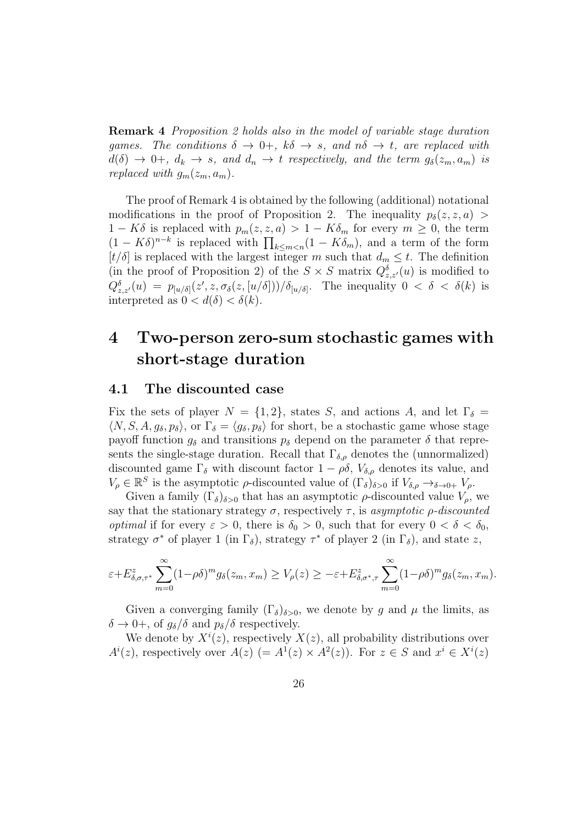Remark 4 Proposition 2 holds also in the model of variable stage duration games. The conditions  $\delta \to 0^+, k\delta \to s$ , and  $n\delta \to t$ , are replaced with  $d(\delta) \rightarrow 0^+, d_k \rightarrow s$ , and  $d_n \rightarrow t$  respectively, and the term  $g_{\delta}(z_m, a_m)$  is replaced with  $g_m(z_m, a_m)$ .

The proof of Remark 4 is obtained by the following (additional) notational modifications in the proof of Proposition 2. The inequality  $p_{\delta}(z, z, a)$  $1 - K\delta$  is replaced with  $p_m(z, z, a) > 1 - K\delta_m$  for every  $m \geq 0$ , the term  $(1 - K\delta)^{n-k}$  is replaced with  $\prod_{k \leq m < n} (1 - K\delta_m)$ , and a term of the form  $[t/\delta]$  is replaced with the largest integer m such that  $d_m \leq t$ . The definition (in the proof of Proposition 2) of the  $S \times S$  matrix  $Q_{z,z'}^{\delta}(u)$  is modified to  $Q_{z,z'}^{\delta}(u) = p_{[u/\delta]}(z',z,\sigma_{\delta}(z,[u/\delta]))/\delta_{[u/\delta]}$ . The inequality  $0 < \delta < \delta(k)$  is interpreted as  $0 < d(\delta) < \delta(k)$ .

# 4 Two-person zero-sum stochastic games with short-stage duration

#### 4.1 The discounted case

Fix the sets of player  $N = \{1, 2\}$ , states S, and actions A, and let  $\Gamma_{\delta} =$  $\langle N, S, A, g_\delta, p_\delta \rangle$ , or  $\Gamma_\delta = \langle g_\delta, p_\delta \rangle$  for short, be a stochastic game whose stage payoff function  $g_{\delta}$  and transitions  $p_{\delta}$  depend on the parameter  $\delta$  that represents the single-stage duration. Recall that  $\Gamma_{\delta,\rho}$  denotes the (unnormalized) discounted game  $\Gamma_{\delta}$  with discount factor  $1 - \rho \delta$ ,  $V_{\delta,\rho}$  denotes its value, and  $V_{\rho} \in \mathbb{R}^{S}$  is the asymptotic  $\rho$ -discounted value of  $(\Gamma_{\delta})_{\delta>0}$  if  $V_{\delta,\rho} \to_{\delta \to 0+} V_{\rho}$ .

Given a family  $(\Gamma_{\delta})_{\delta>0}$  that has an asymptotic  $\rho$ -discounted value  $V_{\rho}$ , we say that the stationary strategy  $\sigma$ , respectively  $\tau$ , is asymptotic  $\rho$ -discounted *optimal* if for every  $\varepsilon > 0$ , there is  $\delta_0 > 0$ , such that for every  $0 < \delta < \delta_0$ , strategy  $\sigma^*$  of player 1 (in  $\Gamma_{\delta}$ ), strategy  $\tau^*$  of player 2 (in  $\Gamma_{\delta}$ ), and state z,

$$
\varepsilon + E_{\delta,\sigma,\tau^*}^z \sum_{m=0}^{\infty} (1 - \rho \delta)^m g_\delta(z_m, x_m) \ge V_\rho(z) \ge -\varepsilon + E_{\delta,\sigma^*,\tau}^z \sum_{m=0}^{\infty} (1 - \rho \delta)^m g_\delta(z_m, x_m).
$$

Given a converging family  $(\Gamma_{\delta})_{\delta>0}$ , we denote by g and  $\mu$  the limits, as  $\delta \to 0^+,$  of  $g_\delta/\delta$  and  $p_\delta/\delta$  respectively.

We denote by  $X^i(z)$ , respectively  $X(z)$ , all probability distributions over  $A^{i}(z)$ , respectively over  $A(z)$  (=  $A^{1}(z) \times A^{2}(z)$ ). For  $z \in S$  and  $x^{i} \in X^{i}(z)$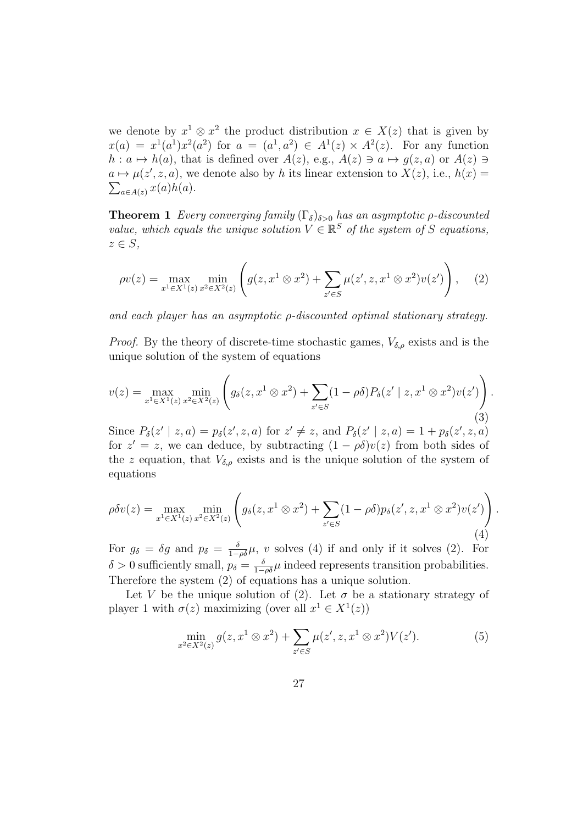we denote by  $x^1 \otimes x^2$  the product distribution  $x \in X(z)$  that is given by  $x(a) = x<sup>1</sup>(a<sup>1</sup>)x<sup>2</sup>(a<sup>2</sup>)$  for  $a = (a<sup>1</sup>, a<sup>2</sup>) \in A<sup>1</sup>(z) \times A<sup>2</sup>(z)$ . For any function  $h: a \mapsto h(a)$ , that is defined over  $A(z)$ , e.g.,  $A(z) \ni a \mapsto g(z, a)$  or  $A(z) \ni a$  $a \mapsto \mu(z', z, a)$ , we denote also by h its linear extension to  $X(z)$ , i.e.,  $h(x) =$  $\sum_{a\in A(z)} x(a)h(a).$ 

**Theorem 1** Every converging family  $(\Gamma_{\delta})_{\delta>0}$  has an asymptotic  $\rho$ -discounted value, which equals the unique solution  $V \in \mathbb{R}^S$  of the system of S equations,  $z \in S$ ,

$$
\rho v(z) = \max_{x^1 \in X^1(z)} \min_{x^2 \in X^2(z)} \left( g(z, x^1 \otimes x^2) + \sum_{z' \in S} \mu(z', z, x^1 \otimes x^2) v(z') \right), \quad (2)
$$

and each player has an asymptotic ρ-discounted optimal stationary strategy.

*Proof.* By the theory of discrete-time stochastic games,  $V_{\delta,\rho}$  exists and is the unique solution of the system of equations

$$
v(z) = \max_{x^1 \in X^1(z)} \min_{x^2 \in X^2(z)} \left( g_\delta(z, x^1 \otimes x^2) + \sum_{z' \in S} (1 - \rho \delta) P_\delta(z' \mid z, x^1 \otimes x^2) v(z') \right).
$$
\n(3)

Since  $P_{\delta}(z' | z, a) = p_{\delta}(z', z, a)$  for  $z' \neq z$ , and  $P_{\delta}(z' | z, a) = 1 + p_{\delta}(z', z, a)$ for  $z' = z$ , we can deduce, by subtracting  $(1 - \rho \delta)v(z)$  from both sides of the z equation, that  $V_{\delta,\rho}$  exists and is the unique solution of the system of equations

$$
\rho \delta v(z) = \max_{x^1 \in X^1(z)} \min_{x^2 \in X^2(z)} \left( g_\delta(z, x^1 \otimes x^2) + \sum_{z' \in S} (1 - \rho \delta) p_\delta(z', z, x^1 \otimes x^2) v(z') \right). \tag{4}
$$

For  $g_{\delta} = \delta g$  and  $p_{\delta} = \frac{\delta}{1-\rho\delta}\mu$ , v solves (4) if and only if it solves (2). For  $\delta > 0$  sufficiently small,  $p_{\delta} = \frac{\delta}{1-\rho\delta}\mu$  indeed represents transition probabilities. Therefore the system (2) of equations has a unique solution.

Let V be the unique solution of (2). Let  $\sigma$  be a stationary strategy of player 1 with  $\sigma(z)$  maximizing (over all  $x^1 \in X^1(z)$ )

$$
\min_{x^2 \in X^2(z)} g(z, x^1 \otimes x^2) + \sum_{z' \in S} \mu(z', z, x^1 \otimes x^2) V(z'). \tag{5}
$$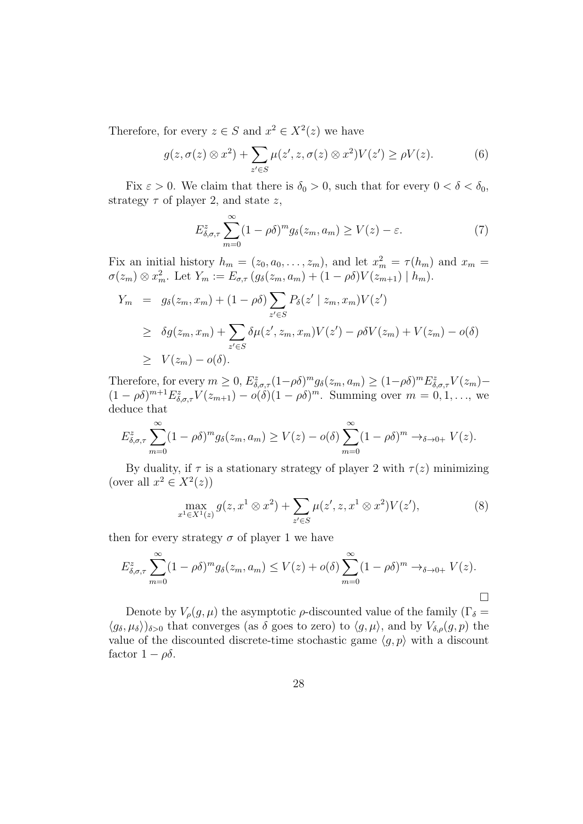Therefore, for every  $z \in S$  and  $x^2 \in X^2(z)$  we have

$$
g(z, \sigma(z) \otimes x^2) + \sum_{z' \in S} \mu(z', z, \sigma(z) \otimes x^2) V(z') \ge \rho V(z). \tag{6}
$$

Fix  $\varepsilon > 0$ . We claim that there is  $\delta_0 > 0$ , such that for every  $0 < \delta < \delta_0$ , strategy  $\tau$  of player 2, and state z,

$$
E_{\delta,\sigma,\tau}^{z} \sum_{m=0}^{\infty} (1 - \rho \delta)^{m} g_{\delta}(z_{m}, a_{m}) \ge V(z) - \varepsilon.
$$
 (7)

Fix an initial history  $h_m = (z_0, a_0, \dots, z_m)$ , and let  $x_m^2 = \tau(h_m)$  and  $x_m =$  $\sigma(z_m) \otimes x_m^2$ . Let  $Y_m := E_{\sigma,\tau}(g_\delta(z_m, a_m) + (1 - \rho \delta)V(z_{m+1}) \mid h_m)$ .

$$
Y_m = g_{\delta}(z_m, x_m) + (1 - \rho \delta) \sum_{z' \in S} P_{\delta}(z' \mid z_m, x_m) V(z')
$$
  
\n
$$
\geq \delta g(z_m, x_m) + \sum_{z' \in S} \delta \mu(z', z_m, x_m) V(z') - \rho \delta V(z_m) + V(z_m) - o(\delta)
$$
  
\n
$$
\geq V(z_m) - o(\delta).
$$

Therefore, for every  $m \geq 0$ ,  $E_{\delta,\sigma,\tau}^z (1-\rho\delta)^m g_\delta(z_m, a_m) \geq (1-\rho\delta)^m E_{\delta,\sigma,\tau}^z V(z_m)$  $(1-\rho\delta)^{m+1}E^z_{\delta,\sigma,\tau}V(z_{m+1})-o(\delta)(1-\rho\delta)^m$ . Summing over  $m=0,1,\ldots$ , we deduce that

$$
E_{\delta,\sigma,\tau}^{z} \sum_{m=0}^{\infty} (1 - \rho \delta)^{m} g_{\delta}(z_{m}, a_{m}) \ge V(z) - o(\delta) \sum_{m=0}^{\infty} (1 - \rho \delta)^{m} \to_{\delta \to 0+} V(z).
$$

By duality, if  $\tau$  is a stationary strategy of player 2 with  $\tau(z)$  minimizing (over all  $x^2 \in X^2(z)$ )

$$
\max_{x^1 \in X^1(z)} g(z, x^1 \otimes x^2) + \sum_{z' \in S} \mu(z', z, x^1 \otimes x^2) V(z'),
$$
 (8)

then for every strategy  $\sigma$  of player 1 we have

$$
E_{\delta,\sigma,\tau}^{z} \sum_{m=0}^{\infty} (1 - \rho \delta)^{m} g_{\delta}(z_{m}, a_{m}) \le V(z) + o(\delta) \sum_{m=0}^{\infty} (1 - \rho \delta)^{m} \to_{\delta \to 0+} V(z).
$$

Denote by  $V_{\rho}(g,\mu)$  the asymptotic  $\rho$ -discounted value of the family ( $\Gamma_{\delta}$  =  $\langle g_\delta, \mu_\delta \rangle$ <sub>δ>0</sub> that converges (as δ goes to zero) to  $\langle g, \mu \rangle$ , and by  $V_{\delta,\rho}(g, p)$  the value of the discounted discrete-time stochastic game  $\langle g, p \rangle$  with a discount factor  $1 - \rho \delta$ .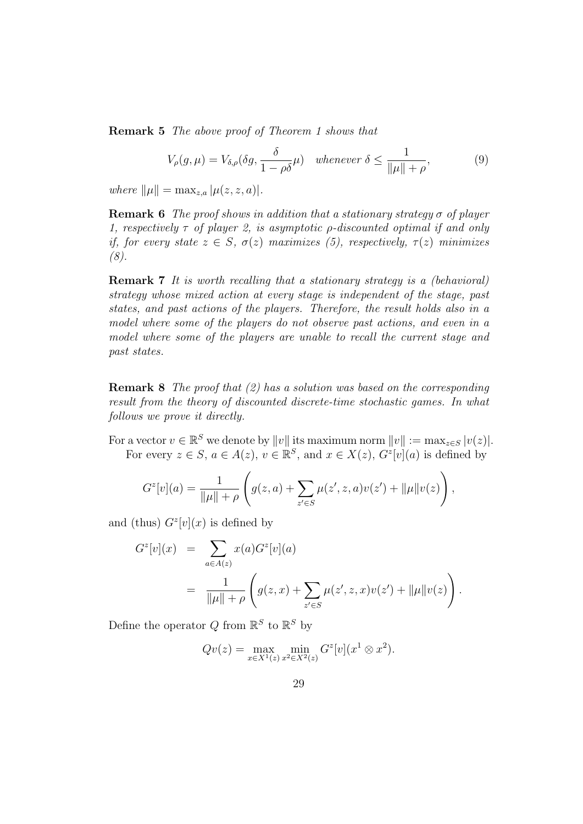Remark 5 The above proof of Theorem 1 shows that

$$
V_{\rho}(g,\mu) = V_{\delta,\rho}(\delta g, \frac{\delta}{1-\rho\delta}\mu) \quad \text{whenever } \delta \le \frac{1}{\|\mu\| + \rho},\tag{9}
$$

where  $\|\mu\| = \max_{z, a} |\mu(z, z, a)|$ .

**Remark 6** The proof shows in addition that a stationary strategy  $\sigma$  of player 1, respectively  $\tau$  of player 2, is asymptotic  $\rho$ -discounted optimal if and only if, for every state  $z \in S$ ,  $\sigma(z)$  maximizes (5), respectively,  $\tau(z)$  minimizes (8).

Remark 7 It is worth recalling that a stationary strategy is a (behavioral) strategy whose mixed action at every stage is independent of the stage, past states, and past actions of the players. Therefore, the result holds also in a model where some of the players do not observe past actions, and even in a model where some of the players are unable to recall the current stage and past states.

Remark 8 The proof that (2) has a solution was based on the corresponding result from the theory of discounted discrete-time stochastic games. In what follows we prove it directly.

For a vector  $v \in \mathbb{R}^S$  we denote by  $||v||$  its maximum norm  $||v|| := \max_{z \in S} |v(z)|$ . For every  $z \in S$ ,  $a \in A(z)$ ,  $v \in \mathbb{R}^S$ , and  $x \in X(z)$ ,  $G^z[v](a)$  is defined by

$$
G^{z}[v](a) = \frac{1}{\|\mu\| + \rho} \left( g(z, a) + \sum_{z' \in S} \mu(z', z, a)v(z') + \|\mu\|v(z) \right),
$$

and (thus)  $G^z[v](x)$  is defined by

$$
G^{z}[v](x) = \sum_{a \in A(z)} x(a)G^{z}[v](a)
$$
  
= 
$$
\frac{1}{\|\mu\| + \rho} \left( g(z,x) + \sum_{z' \in S} \mu(z',z,x)v(z') + \|\mu\|v(z) \right).
$$

Define the operator  $Q$  from  $\mathbb{R}^S$  to  $\mathbb{R}^S$  by

$$
Qv(z) = \max_{x \in X^1(z)} \min_{x^2 \in X^2(z)} G^z[v](x^1 \otimes x^2).
$$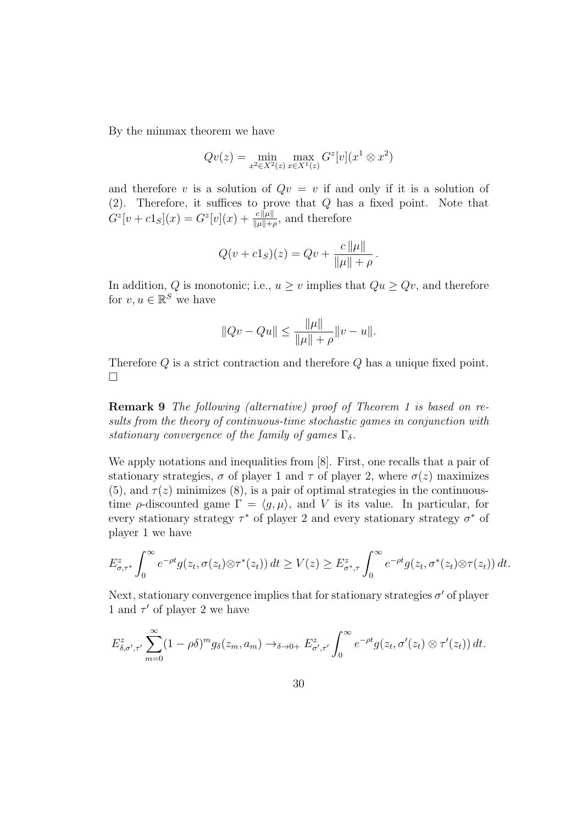By the minmax theorem we have

$$
Qv(z) = \min_{x^2 \in X^2(z)} \max_{x \in X^1(z)} G^z[v](x^1 \otimes x^2)
$$

and therefore v is a solution of  $Qv = v$  if and only if it is a solution of  $(2)$ . Therefore, it suffices to prove that  $Q$  has a fixed point. Note that  $G^{z}[v + c1_{S}](x) = G^{z}[v](x) + \frac{c\|\mu\|}{\|\mu\| + \rho}$ , and therefore

$$
Q(v + c1S)(z) = Qv + \frac{c \|\mu\|}{\|\mu\| + \rho}.
$$

In addition, Q is monotonic; i.e.,  $u \geq v$  implies that  $Qu \geq Qu$ , and therefore for  $v, u \in \mathbb{R}^S$  we have

$$
||Qv - Qu|| \le \frac{||\mu||}{||\mu|| + \rho} ||v - u||.
$$

Therefore Q is a strict contraction and therefore Q has a unique fixed point.  $\Box$ 

Remark 9 The following (alternative) proof of Theorem 1 is based on results from the theory of continuous-time stochastic games in conjunction with stationary convergence of the family of games  $\Gamma_{\delta}$ .

We apply notations and inequalities from [8]. First, one recalls that a pair of stationary strategies,  $\sigma$  of player 1 and  $\tau$  of player 2, where  $\sigma(z)$  maximizes (5), and  $\tau(z)$  minimizes (8), is a pair of optimal strategies in the continuoustime  $\rho$ -discounted game  $\Gamma = \langle g, \mu \rangle$ , and V is its value. In particular, for every stationary strategy  $\tau^*$  of player 2 and every stationary strategy  $\sigma^*$  of player 1 we have

$$
E_{\sigma,\tau^*}^z \int_0^\infty e^{-\rho t} g(z_t, \sigma(z_t) \otimes \tau^*(z_t)) dt \ge V(z) \ge E_{\sigma^*,\tau}^z \int_0^\infty e^{-\rho t} g(z_t, \sigma^*(z_t) \otimes \tau(z_t)) dt.
$$

Next, stationary convergence implies that for stationary strategies  $\sigma'$  of player 1 and  $\tau'$  of player 2 we have

$$
E_{\delta,\sigma',\tau'}^z \sum_{m=0}^{\infty} (1-\rho\delta)^m g_\delta(z_m,a_m) \to_{\delta \to 0+} E_{\sigma',\tau'}^z \int_0^{\infty} e^{-\rho t} g(z_t,\sigma'(z_t) \otimes \tau'(z_t)) dt.
$$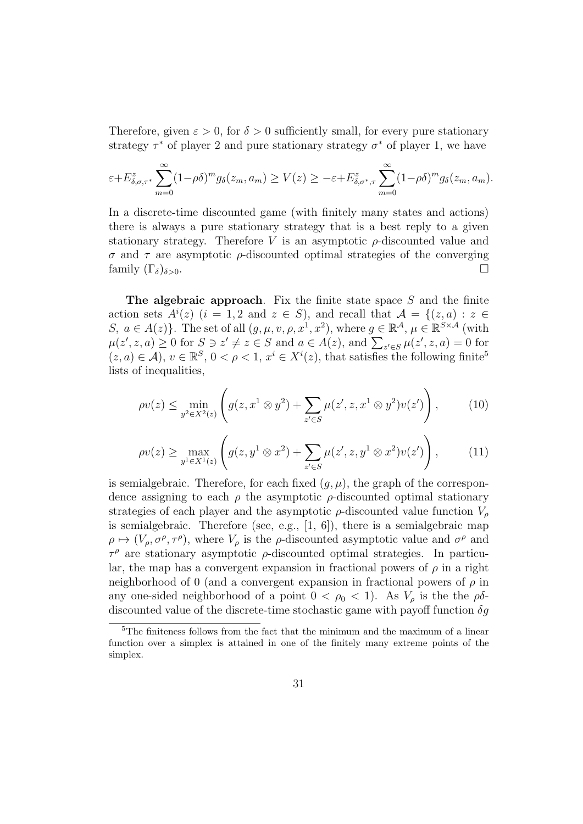Therefore, given  $\varepsilon > 0$ , for  $\delta > 0$  sufficiently small, for every pure stationary strategy  $\tau^*$  of player 2 and pure stationary strategy  $\sigma^*$  of player 1, we have

$$
\varepsilon + E_{\delta,\sigma,\tau^*}^z \sum_{m=0}^{\infty} (1-\rho\delta)^m g_\delta(z_m,a_m) \ge V(z) \ge -\varepsilon + E_{\delta,\sigma^*,\tau}^z \sum_{m=0}^{\infty} (1-\rho\delta)^m g_\delta(z_m,a_m).
$$

In a discrete-time discounted game (with finitely many states and actions) there is always a pure stationary strategy that is a best reply to a given stationary strategy. Therefore V is an asymptotic  $\rho$ -discounted value and σ and τ are asymptotic ρ-discounted optimal strategies of the converging family  $(\Gamma_{\delta})_{\delta>0}$ .

The algebraic approach. Fix the finite state space  $S$  and the finite action sets  $A^{i}(z)$   $(i = 1, 2 \text{ and } z \in S)$ , and recall that  $\mathcal{A} = \{(z, a) : z \in S\}$ S,  $a \in A(z)$ . The set of all  $(g, \mu, v, \rho, x^1, x^2)$ , where  $g \in \mathbb{R}^{\mathcal{A}}, \mu \in \mathbb{R}^{S \times \mathcal{A}}$  (with  $\mu(z', z, a) \geq 0$  for  $S \ni z' \neq z \in S$  and  $a \in A(z)$ , and  $\sum_{z' \in S} \mu(z', z, a) = 0$  for  $(z, a) \in \mathcal{A}$ ,  $v \in \mathbb{R}^S$ ,  $0 < \rho < 1$ ,  $x^i \in X^i(z)$ , that satisfies the following finite<sup>5</sup> lists of inequalities,

$$
\rho v(z) \le \min_{y^2 \in X^2(z)} \left( g(z, x^1 \otimes y^2) + \sum_{z' \in S} \mu(z', z, x^1 \otimes y^2) v(z') \right), \tag{10}
$$

$$
\rho v(z) \ge \max_{y^1 \in X^1(z)} \left( g(z, y^1 \otimes x^2) + \sum_{z' \in S} \mu(z', z, y^1 \otimes x^2) v(z') \right), \tag{11}
$$

is semialgebraic. Therefore, for each fixed  $(g, \mu)$ , the graph of the correspondence assigning to each  $\rho$  the asymptotic  $\rho$ -discounted optimal stationary strategies of each player and the asymptotic  $\rho$ -discounted value function  $V_{\rho}$ is semialgebraic. Therefore (see, e.g.,  $[1, 6]$ ), there is a semialgebraic map  $\rho \mapsto (V_{\rho}, \sigma^{\rho}, \tau^{\rho})$ , where  $V_{\rho}$  is the  $\rho$ -discounted asymptotic value and  $\sigma^{\rho}$  and  $\tau^{\rho}$  are stationary asymptotic  $\rho$ -discounted optimal strategies. In particular, the map has a convergent expansion in fractional powers of  $\rho$  in a right neighborhood of 0 (and a convergent expansion in fractional powers of  $\rho$  in any one-sided neighborhood of a point  $0 < \rho_0 < 1$ ). As  $V_\rho$  is the the  $\rho\delta$ discounted value of the discrete-time stochastic game with payoff function  $\delta q$ 

<sup>5</sup>The finiteness follows from the fact that the minimum and the maximum of a linear function over a simplex is attained in one of the finitely many extreme points of the simplex.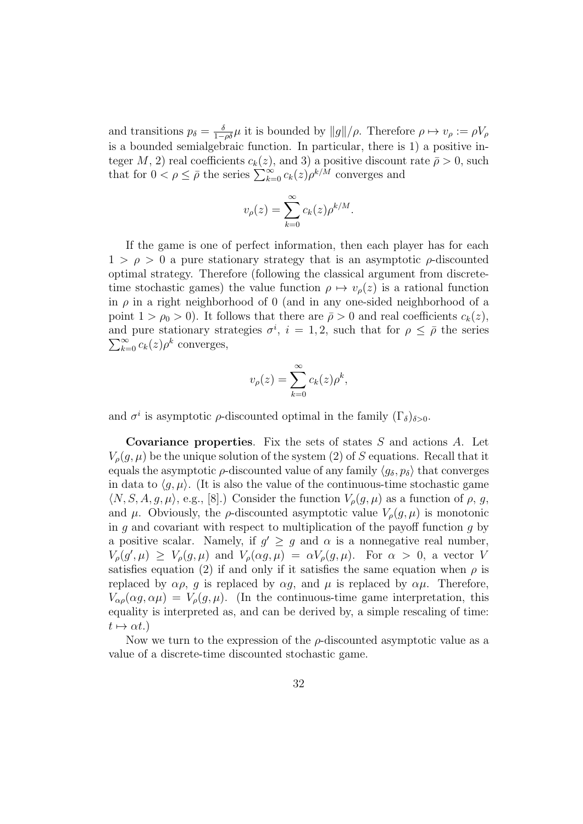and transitions  $p_{\delta} = \frac{\delta}{1-\rho\delta}\mu$  it is bounded by  $||g||/\rho$ . Therefore  $\rho \mapsto v_{\rho} := \rho V_{\rho}$ is a bounded semialgebraic function. In particular, there is 1) a positive integer M, 2) real coefficients  $c_k(z)$ , and 3) a positive discount rate  $\bar{\rho} > 0$ , such that for  $0 < \rho \leq \bar{\rho}$  the series  $\sum_{k=0}^{\infty} c_k(z) \rho^{k/\bar{M}}$  converges and

$$
v_{\rho}(z) = \sum_{k=0}^{\infty} c_k(z) \rho^{k/M}.
$$

If the game is one of perfect information, then each player has for each  $1 > \rho > 0$  a pure stationary strategy that is an asymptotic  $\rho$ -discounted optimal strategy. Therefore (following the classical argument from discretetime stochastic games) the value function  $\rho \mapsto v_{\rho}(z)$  is a rational function in  $\rho$  in a right neighborhood of 0 (and in any one-sided neighborhood of a point  $1 > \rho_0 > 0$ ). It follows that there are  $\bar{\rho} > 0$  and real coefficients  $c_k(z)$ , and pure stationary strategies  $\sigma^i$ ,  $i = 1, 2$ , such that for  $\rho \leq \bar{\rho}$  the series  $\sum_{k=0}^{\infty} c_k(z) \rho^k$  converges,  $\sum_{k=0}^{\infty} c_k(z) \rho^k$  converges,

$$
v_{\rho}(z) = \sum_{k=0}^{\infty} c_k(z) \rho^k,
$$

and  $\sigma^i$  is asymptotic  $\rho$ -discounted optimal in the family  $(\Gamma_{\delta})_{\delta>0}$ .

Covariance properties. Fix the sets of states S and actions A. Let  $V_{o}(q,\mu)$  be the unique solution of the system (2) of S equations. Recall that it equals the asymptotic  $\rho$ -discounted value of any family  $\langle g_\delta, p_\delta \rangle$  that converges in data to  $\langle g, \mu \rangle$ . (It is also the value of the continuous-time stochastic game  $\langle N, S, A, g, \mu \rangle$ , e.g., [8].) Consider the function  $V_{\rho}(g, \mu)$  as a function of  $\rho, g$ , and  $\mu$ . Obviously, the  $\rho$ -discounted asymptotic value  $V_{\rho}(q,\mu)$  is monotonic in q and covariant with respect to multiplication of the payoff function q by a positive scalar. Namely, if  $g' \geq g$  and  $\alpha$  is a nonnegative real number,  $V_{\rho}(g',\mu) \geq V_{\rho}(g,\mu)$  and  $V_{\rho}(\alpha g,\mu) = \alpha V_{\rho}(g,\mu)$ . For  $\alpha > 0$ , a vector V satisfies equation (2) if and only if it satisfies the same equation when  $\rho$  is replaced by  $\alpha \rho$ , q is replaced by  $\alpha q$ , and  $\mu$  is replaced by  $\alpha \mu$ . Therefore,  $V_{\alpha\rho}(\alpha g,\alpha\mu) = V_{\rho}(g,\mu)$ . (In the continuous-time game interpretation, this equality is interpreted as, and can be derived by, a simple rescaling of time:  $t \mapsto \alpha t.$ )

Now we turn to the expression of the  $\rho$ -discounted asymptotic value as a value of a discrete-time discounted stochastic game.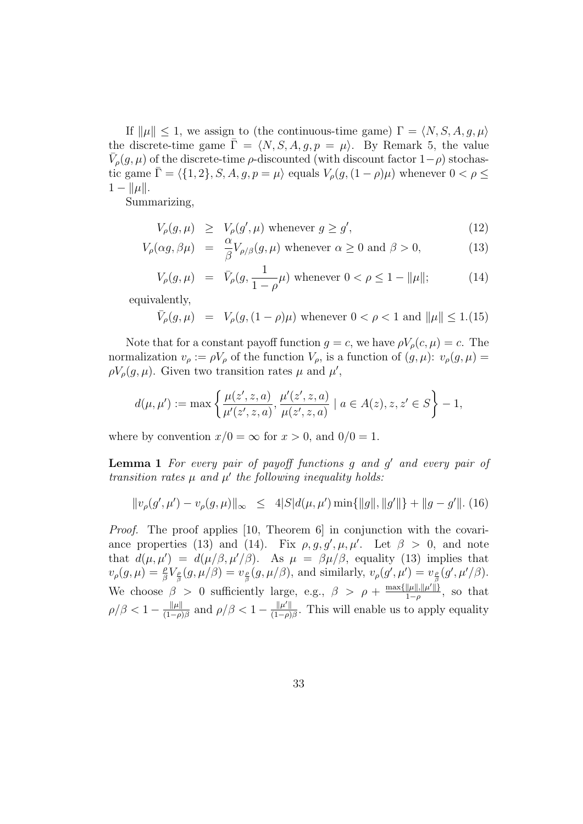If  $\|\mu\| \leq 1$ , we assign to (the continuous-time game)  $\Gamma = \langle N, S, A, g, \mu \rangle$ the discrete-time game  $\bar{\Gamma} = \langle N, S, A, g, p = \mu \rangle$ . By Remark 5, the value  $\bar{V}_{\rho}(g,\mu)$  of the discrete-time  $\rho$ -discounted (with discount factor  $1-\rho$ ) stochastic game  $\overline{\Gamma} = \langle \{1, 2\}, S, A, g, p = \mu \rangle$  equals  $V_{\rho}(g, (1 - \rho)\mu)$  whenever  $0 < \rho \leq \overline{\Gamma}$  $1 - ||\mu||.$ 

Summarizing,

$$
V_{\rho}(g,\mu) \ge V_{\rho}(g',\mu) \text{ whenever } g \ge g', \tag{12}
$$

$$
V_{\rho}(\alpha g, \beta \mu) = \frac{\alpha}{\beta} V_{\rho/\beta}(g, \mu) \text{ whenever } \alpha \ge 0 \text{ and } \beta > 0,
$$
 (13)

$$
V_{\rho}(g,\mu) = \bar{V}_{\rho}(g, \frac{1}{1-\rho}\mu) \text{ whenever } 0 < \rho \le 1 - \|\mu\|; \tag{14}
$$

equivalently,

$$
\bar{V}_{\rho}(g,\mu) = V_{\rho}(g,(1-\rho)\mu)
$$
 whenever  $0 < \rho < 1$  and  $\|\mu\| \le 1.(15)$ 

Note that for a constant payoff function  $g = c$ , we have  $\rho V_{\rho}(c, \mu) = c$ . The normalization  $v_{\rho} := \rho V_{\rho}$  of the function  $V_{\rho}$ , is a function of  $(g, \mu): v_{\rho}(g, \mu) =$  $\rho V_{\rho}(g,\mu)$ . Given two transition rates  $\mu$  and  $\mu'$ ,

$$
d(\mu,\mu'):=\max\left\{\frac{\mu(z',z,a)}{\mu'(z',z,a)},\frac{\mu'(z',z,a)}{\mu(z',z,a)}\mid a\in A(z),z,z'\in S\right\}-1,
$$

where by convention  $x/0 = \infty$  for  $x > 0$ , and  $0/0 = 1$ .

**Lemma 1** For every pair of payoff functions  $g$  and  $g'$  and every pair of transition rates  $\mu$  and  $\mu'$  the following inequality holds:

$$
||v_{\rho}(g',\mu') - v_{\rho}(g,\mu)||_{\infty} \leq 4|S|d(\mu,\mu')\min\{||g||,||g'||\} + ||g - g'||. (16)
$$

Proof. The proof applies [10, Theorem 6] in conjunction with the covariance properties (13) and (14). Fix  $\rho, g, g', \mu, \mu'$ . Let  $\beta > 0$ , and note that  $d(\mu, \mu') = d(\mu/\beta, \mu'/\beta)$ . As  $\mu = \beta \mu/\beta$ , equality (13) implies that  $v_{\rho}(g,\mu) = \frac{\rho}{\beta} V_{\frac{\rho}{\beta}}(g,\mu/\beta) = v_{\frac{\rho}{\beta}}(g,\mu/\beta)$ , and similarly,  $v_{\rho}(g',\mu') = v_{\frac{\rho}{\beta}}(g',\mu'/\beta)$ . We choose  $\beta > 0$  sufficiently large, e.g.,  $\beta > \rho + \frac{\max\{\|\mu\|, \|\mu'\| \}}{1-\rho}$  $\frac{\|\mu\|,\|\mu^r\|}{1-\rho}$ , so that  $\rho/\beta < 1 - \frac{\|\mu\|}{(1-\alpha)^2}$  $\frac{\|\mu\|}{(1-\rho)\beta}$  and  $\rho/\beta < 1 - \frac{\|\mu'\|}{(1-\rho)}$  $\frac{\|\mu'\|}{(1-\rho)\beta}$ . This will enable us to apply equality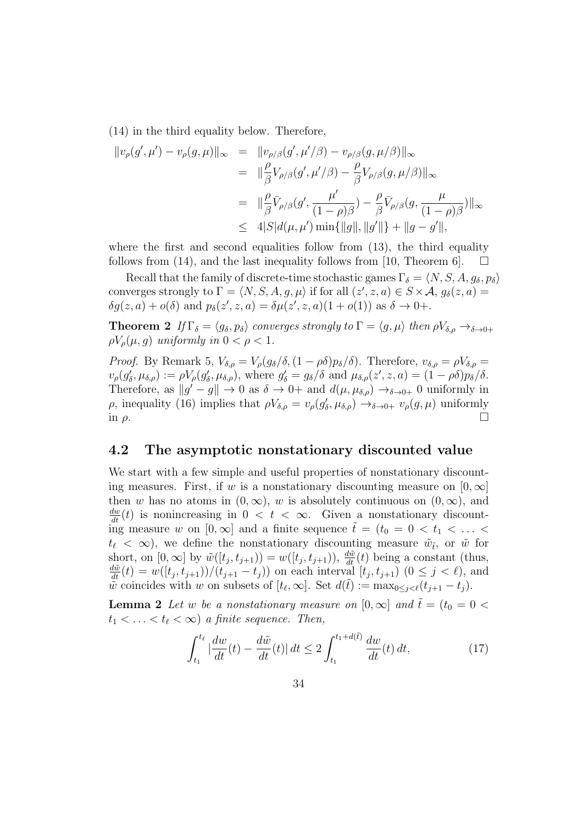(14) in the third equality below. Therefore,

$$
\|v_{\rho}(g',\mu') - v_{\rho}(g,\mu)\|_{\infty} = \|v_{\rho/\beta}(g',\mu'/\beta) - v_{\rho/\beta}(g,\mu/\beta)\|_{\infty} \n= \| \frac{\rho}{\beta} V_{\rho/\beta}(g',\mu'/\beta) - \frac{\rho}{\beta} V_{\rho/\beta}(g,\mu/\beta) \|_{\infty} \n= \| \frac{\rho}{\beta} \bar{V}_{\rho/\beta}(g',\frac{\mu'}{(1-\rho)\beta}) - \frac{\rho}{\beta} \bar{V}_{\rho/\beta}(g,\frac{\mu}{(1-\rho)\beta}) \|_{\infty} \n\leq 4|S|d(\mu,\mu')\min\{\|g\|,\|g'\|\} + \|g-g'\|,
$$

where the first and second equalities follow from  $(13)$ , the third equality follows from (14), and the last inequality follows from [10, Theorem 6].

Recall that the family of discrete-time stochastic games  $\Gamma_{\delta} = \langle N, S, A, g_{\delta}, p_{\delta} \rangle$ converges strongly to  $\Gamma = \langle N, S, A, g, \mu \rangle$  if for all  $(z', z, a) \in S \times \mathcal{A}, g_{\delta}(z, a) =$  $\delta g(z, a) + o(\delta)$  and  $p_{\delta}(z', z, a) = \delta \mu(z', z, a)(1 + o(1))$  as  $\delta \to 0+$ .

**Theorem 2** If  $\Gamma_{\delta} = \langle g_{\delta}, p_{\delta} \rangle$  converges strongly to  $\Gamma = \langle g, \mu \rangle$  then  $\rho V_{\delta,\rho} \to_{\delta \to 0+}$  $\rho V_{\rho}(\mu, g)$  uniformly in  $0 < \rho < 1$ .

*Proof.* By Remark 5,  $V_{\delta,\rho} = V_{\rho}(g_{\delta}/\delta, (1-\rho\delta)p_{\delta}/\delta)$ . Therefore,  $v_{\delta,\rho} = \rho V_{\delta,\rho} =$  $v_{\rho}(g_{\delta}', \mu_{\delta, \rho}) := \rho V_{\rho}(g_{\delta}', \mu_{\delta, \rho}),$  where  $g_{\delta}' = g_{\delta}/\delta$  and  $\mu_{\delta, \rho}(z', z, a) = (1 - \rho \delta)p_{\delta}/\delta.$ Therefore, as  $||g' - g|| \to 0$  as  $\delta \to 0+$  and  $d(\mu, \mu_{\delta,\rho}) \to_{\delta \to 0+} 0$  uniformly in ρ, inequality (16) implies that  $\rho V_{\delta,\rho} = v_{\rho}(g'_{\delta}, \mu_{\delta,\rho}) \to_{\delta \to 0+} v_{\rho}(g, \mu)$  uniformly in  $\rho$ .

### 4.2 The asymptotic nonstationary discounted value

We start with a few simple and useful properties of nonstationary discounting measures. First, if w is a nonstationary discounting measure on  $[0, \infty]$ then w has no atoms in  $(0, \infty)$ , w is absolutely continuous on  $(0, \infty)$ , and  $\frac{dw}{dt}(t)$  is nonincreasing in  $0 < t < \infty$ . Given a nonstationary discounting measure w on  $[0,\infty]$  and a finite sequence  $\tilde{t} = (t_0 = 0 \lt t_1 \lt \ldots \lt t_n)$  $t_{\ell} < \infty$ ), we define the nonstationary discounting measure  $\tilde{w}_{\tilde{t}}$ , or  $\tilde{w}$  for short, on  $[0, \infty]$  by  $\tilde{w}([t_j, t_{j+1})) = w([t_j, t_{j+1})), \frac{d\tilde{w}}{dt}(t)$  being a constant (thus,  $\frac{d\tilde{w}}{dt}(t) = w([t_j, t_{j+1}))/(t_{j+1} - t_j)$ ) on each interval  $[t_j, t_{j+1})$   $(0 \le j < \ell)$ , and wviolve coincides with w on subsets of  $[t_{\ell}, \infty]$ . Set  $d(\tilde{t}) := \max_{0 \leq j < \ell} (t_{j+1} - t_j)$ .

**Lemma 2** Let w be a nonstationary measure on  $[0,\infty]$  and  $\tilde{t} = (t_0 = 0$  $t_1 < \ldots < t_\ell < \infty$ ) a finite sequence. Then,

$$
\int_{t_1}^{t_\ell} |\frac{dw}{dt}(t) - \frac{d\tilde{w}}{dt}(t)| dt \le 2 \int_{t_1}^{t_1 + d(\tilde{t})} \frac{dw}{dt}(t) dt,
$$
\n(17)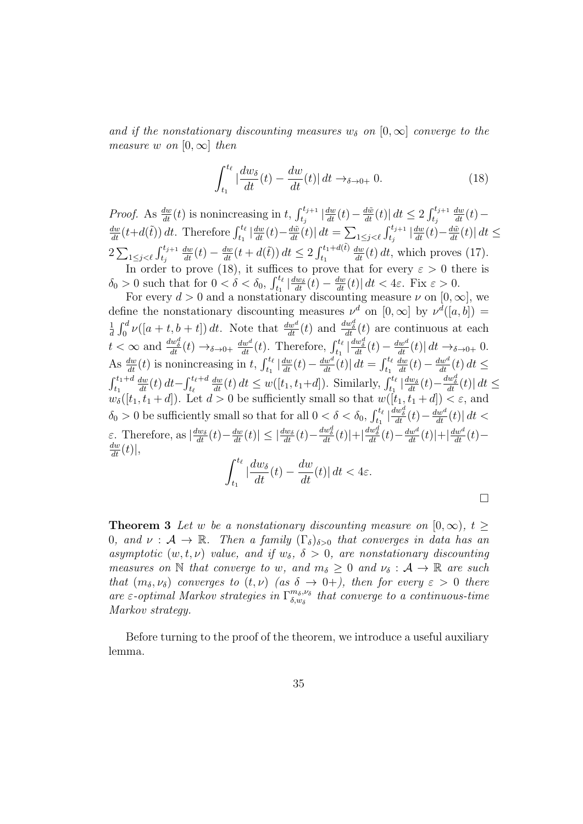and if the nonstationary discounting measures  $w_{\delta}$  on  $[0,\infty]$  converge to the measure w on  $[0, \infty]$  then

$$
\int_{t_1}^{t_\ell} |\frac{dw_\delta}{dt}(t) - \frac{dw}{dt}(t)| dt \to_{\delta \to 0+} 0.
$$
 (18)

*Proof.* As  $\frac{dw}{dt}(t)$  is nonincreasing in t,  $\int_{t_j}^{t_{j+1}} \left| \frac{dw}{dt}(t) - \frac{d\tilde{w}}{dt}(t) \right| dt \leq 2 \int_{t_j}^{t_{j+1}}$  $\frac{dw}{dt}(t)$  —  $\frac{dw}{dt}(t+d(\tilde{t})) dt$ . Therefore  $\int_{t_1}^{t_\ell} |\frac{dw}{dt}(t) - \frac{d\tilde{w}}{dt}(t)| dt = \sum_{1 \leq j < \ell} \int_{t_j}^{t_{j+1}} |\frac{dw}{dt}(t) - \frac{d\tilde{w}}{dt}(t)| dt \leq$  $2\sum_{1\leq j<\ell}\int_{t_j}^{t_{j+1}}$  $\frac{dw}{dt}(t) - \frac{dw}{dt}(t + d(\tilde{t})) dt \leq 2 \int_{t_1}^{t_1 + d(\tilde{t})} dt$  $\frac{dw}{dt}(t) dt$ , which proves (17). In order to prove (18), it suffices to prove that for every  $\varepsilon > 0$  there is  $\delta_0 > 0$  such that for  $0 < \delta < \delta_0$ ,  $\int_{t_1}^{t_\ell} \left| \frac{dw_\delta}{dt}(t) - \frac{dw}{dt}(t) \right| dt < 4\varepsilon$ . Fix  $\varepsilon > 0$ .

For every  $d > 0$  and a nonstationary discounting measure  $\nu$  on  $[0, \infty]$ , we define the nonstationary discounting measures  $\nu^d$  on  $[0,\infty]$  by  $\nu^d([a,b]) =$ 1  $\frac{1}{d}\int_0^d \nu([a+t,b+t]) dt$ . Note that  $\frac{dw^d}{dt}(t)$  and  $\frac{dw^d}{dt}(t)$  are continuous at each  $t < \infty$  and  $\frac{dw_{\delta}^{d}}{dt}(t) \rightarrow_{\delta \rightarrow 0+} \frac{dw^{d}}{dt}(t)$ . Therefore,  $\int_{t_1}^{t_{\ell}} \left| \frac{dw_{\delta}^{d}}{dt}(t) - \frac{dw^{d}}{dt}(t) \right| dt \rightarrow_{\delta \rightarrow 0+} 0$ . As  $\frac{dw}{dt}(t)$  is nonincreasing in t,  $\int_{t_1}^{t_\ell} \left| \frac{dw}{dt}(t) - \frac{dw^d}{dt}(t) \right| dt = \int_{t_1}^{t_\ell}$  $\frac{dw}{dt}(t) - \frac{dw^d}{dt}(t) dt \leq$  $\int_{t_1}^{t_1+d}$  $\frac{dw}{dt}(t) dt - \int_{t_\ell}^{t_\ell+d}$  $\frac{dw}{dt}(t) dt \leq w([t_1, t_1+d])$ . Similarly,  $\int_{t_1}^{t_\ell} |\frac{dw_\delta}{dt}(t) - \frac{dw_\delta^d}{dt}(t)| dt \leq$  $w_{\delta}([t_1, t_1 + d])$ . Let  $d > 0$  be sufficiently small so that  $w([t_1, t_1 + d]) < \varepsilon$ , and  $\delta_0 > 0$  be sufficiently small so that for all  $0 < \delta < \delta_0$ ,  $\int_{t_1}^{t_\ell} \left| \frac{dw_\delta^d}{dt}(t) - \frac{dw^d}{dt}(t) \right| dt <$  $\varepsilon$ . Therefore, as  $\left|\frac{dw_{\delta}}{dt}(t) - \frac{dw}{dt}(t)\right| \leq \left|\frac{dw_{\delta}}{dt}(t) - \frac{dw_{\delta}^{d}}{dt}(t)\right| + \left|\frac{dw_{\delta}^{d}}{dt}(t) - \frac{dw^{d}}{dt}(t)\right| + \left|\frac{dw^{d}}{dt}(t) - \frac{dw^{d}}{dt}(t)\right|$  $\frac{dw}{dt}(t)|,$ 

$$
\int_{t_1}^{t_\ell} |\frac{dw_\delta}{dt}(t) - \frac{dw}{dt}(t)| dt < 4\varepsilon.
$$

 $\Box$ 

| <b>Theorem 3</b> Let w be a nonstationary discounting measure on $[0, \infty)$ , $t >$                                              |
|-------------------------------------------------------------------------------------------------------------------------------------|
| 0, and $\nu : \mathcal{A} \to \mathbb{R}$ . Then a family $(\Gamma_{\delta})_{\delta > 0}$ that converges in data has an            |
| asymptotic $(w, t, \nu)$ value, and if $w_{\delta}, \delta > 0$ , are nonstationary discounting                                     |
| measures on N that converge to w, and $m_{\delta} \geq 0$ and $\nu_{\delta} : A \to \mathbb{R}$ are such                            |
| that $(m_\delta, \nu_\delta)$ converges to $(t, \nu)$ (as $\delta \rightarrow 0+$ ), then for every $\varepsilon > 0$ there         |
| are $\varepsilon$ -optimal Markov strategies in $\Gamma^{m_\delta,\nu_\delta}_{\delta,w_\delta}$ that converge to a continuous-time |
| Markov strategy.                                                                                                                    |

Before turning to the proof of the theorem, we introduce a useful auxiliary lemma.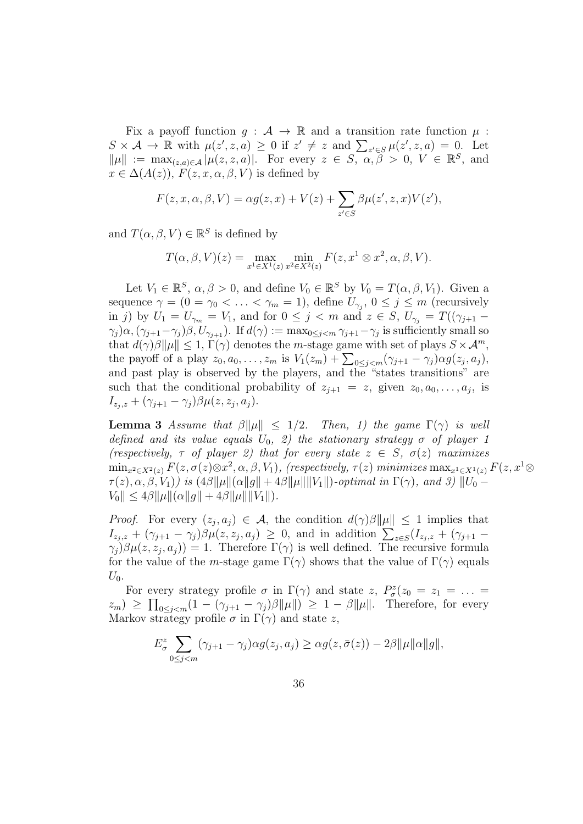Fix a payoff function  $g : A \to \mathbb{R}$  and a transition rate function  $\mu$ :  $S \times \mathcal{A} \to \mathbb{R}$  with  $\mu(z', z, a) \geq 0$  if  $z' \neq z$  and  $\sum_{z' \in S} \mu(z', z, a) = 0$ . Let  $\|\mu\| := \max_{(z,a)\in\mathcal{A}} |\mu(z,z,a)|$ . For every  $z \in S$ ,  $\alpha, \beta > 0$ ,  $V \in \mathbb{R}^S$ , and  $x \in \Delta(A(z)), F(z, x, \alpha, \beta, V)$  is defined by

$$
F(z, x, \alpha, \beta, V) = \alpha g(z, x) + V(z) + \sum_{z' \in S} \beta \mu(z', z, x) V(z'),
$$

and  $T(\alpha, \beta, V) \in \mathbb{R}^S$  is defined by

$$
T(\alpha, \beta, V)(z) = \max_{x^1 \in X^1(z)} \min_{x^2 \in X^2(z)} F(z, x^1 \otimes x^2, \alpha, \beta, V).
$$

Let  $V_1 \in \mathbb{R}^S$ ,  $\alpha, \beta > 0$ , and define  $V_0 \in \mathbb{R}^S$  by  $V_0 = T(\alpha, \beta, V_1)$ . Given a sequence  $\gamma = (0 = \gamma_0 < \ldots < \gamma_m = 1)$ , define  $U_{\gamma_j}$ ,  $0 \le j \le m$  (recursively in j) by  $U_1 = U_{\gamma_m} = V_1$ , and for  $0 \le j < m$  and  $z \in S$ ,  $U_{\gamma_i} = T((\gamma_{j+1} (\gamma_j) \alpha, (\gamma_{j+1} - \gamma_j) \beta, U_{\gamma_{j+1}})$ . If  $d(\gamma) := \max_{0 \le j \le m} \gamma_{j+1} - \gamma_j$  is sufficiently small so that  $d(\gamma)\beta\|\mu\| \leq 1$ ,  $\Gamma(\gamma)$  denotes the *m*-stage game with set of plays  $S \times \mathcal{A}^m$ , the payoff of a play  $z_0, a_0, \ldots, z_m$  is  $V_1(z_m) + \sum_{0 \le j < m} (\gamma_{j+1} - \gamma_j) \alpha g(z_j, a_j),$ and past play is observed by the players, and the "states transitions" are such that the conditional probability of  $z_{j+1} = z$ , given  $z_0, a_0, \ldots, a_j$ , is  $I_{z_j,z} + (\gamma_{j+1} - \gamma_j)\beta \mu(z, z_j, a_j).$ 

**Lemma 3** Assume that  $\beta ||\mu|| \leq 1/2$ . Then, 1) the game  $\Gamma(\gamma)$  is well defined and its value equals  $U_0$ , 2) the stationary strategy  $\sigma$  of player 1 (respectively,  $\tau$  of player 2) that for every state  $z \in S$ ,  $\sigma(z)$  maximizes  $\min_{x^2 \in X^2(z)} F(z, \sigma(z) \otimes x^2, \alpha, \beta, V_1),$  (respectively,  $\tau(z)$  minimizes  $\max_{x^1 \in X^1(z)} F(z, x^1 \otimes$  $\tau(z), \alpha, \beta, V_1$ ) is  $(4\beta ||\mu||(\alpha||g|| + 4\beta ||\mu|| ||V_1||)$ -optimal in  $\Gamma(\gamma)$ , and 3)  $||U_0 |V_0| \leq 4\beta \|\mu\|(\alpha\|g\| + 4\beta \|\mu\| \|V_1\|).$ 

*Proof.* For every  $(z_j, a_j) \in \mathcal{A}$ , the condition  $d(\gamma)\beta ||\mu|| \leq 1$  implies that  $I_{z_j,z} + (\gamma_{j+1} - \gamma_j)\beta\mu(z, z_j, a_j) \geq 0$ , and in addition  $\sum_{z \in S} (I_{z_j,z} + (\gamma_{j+1} - \gamma_j)\beta\mu(z, z_j, a_j)$  $(\gamma_j)\beta\mu(z, z_j, a_j)) = 1.$  Therefore  $\Gamma(\gamma)$  is well defined. The recursive formula for the value of the m-stage game  $\Gamma(\gamma)$  shows that the value of  $\Gamma(\gamma)$  equals  $U_0$ .

For every strategy profile  $\sigma$  in  $\Gamma(\gamma)$  and state z,  $P^z_{\sigma}(z_0 = z_1 = \ldots =$  $(z_m) \geq \prod_{0 \leq j < m} (1 - (\gamma_{j+1} - \gamma_j)\beta \|\mu\|) \geq 1 - \beta \|\mu\|.$  Therefore, for every Markov strategy profile  $\sigma$  in  $\Gamma(\gamma)$  and state z,

$$
E_{\sigma}^{z} \sum_{0 \leq j < m} (\gamma_{j+1} - \gamma_j) \alpha g(z_j, a_j) \geq \alpha g(z, \bar{\sigma}(z)) - 2\beta \|\mu\|\alpha\|g\|,
$$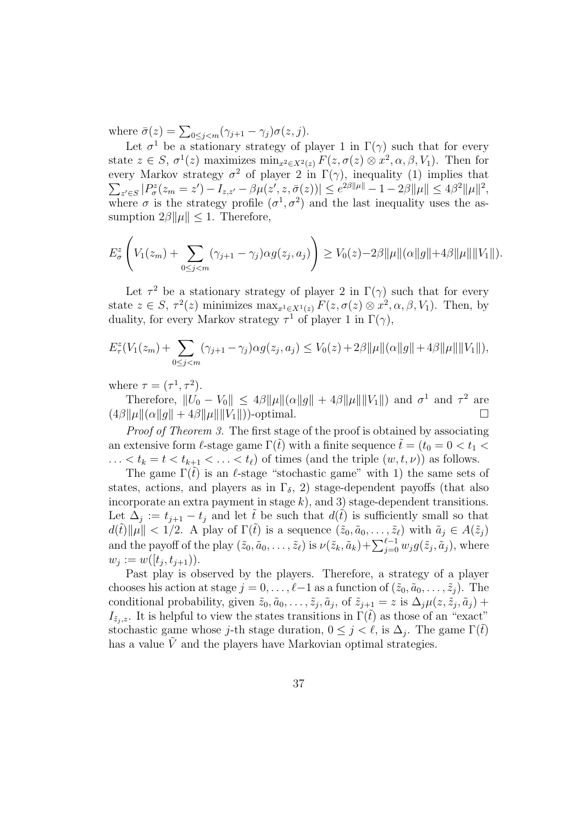where  $\bar{\sigma}(z) = \sum_{0 \leq j < m} (\gamma_{j+1} - \gamma_j) \sigma(z, j).$ 

Let  $\sigma^1$  be a stationary strategy of player 1 in  $\Gamma(\gamma)$  such that for every state  $z \in S$ ,  $\sigma^1(z)$  maximizes  $\min_{x^2 \in X^2(z)} F(z, \sigma(z) \otimes x^2, \alpha, \beta, V_1)$ . Then for every Markov strategy  $\sigma^2$  of player 2 in  $\Gamma(\gamma)$ , inequality (1) implies that  $\sum_{z' \in S} |P^z_{\sigma}(z_m = z') - I_{z,z'} - \beta \mu(z', z, \bar{\sigma}(z))| \le e^{2\beta ||\mu||} - 1 - 2\beta ||\mu|| \le 4\beta^2 ||\mu||^2,$ where  $\sigma$  is the strategy profile  $(\sigma^1, \sigma^2)$  and the last inequality uses the assumption  $2\beta \|\mu\| \leq 1$ . Therefore,

$$
E_{\sigma}^{z}\left(V_{1}(z_{m})+\sum_{0\leq j
$$

Let  $\tau^2$  be a stationary strategy of player 2 in  $\Gamma(\gamma)$  such that for every state  $z \in S$ ,  $\tau^2(z)$  minimizes  $\max_{x^1 \in X^1(z)} F(z, \sigma(z) \otimes x^2, \alpha, \beta, V_1)$ . Then, by duality, for every Markov strategy  $\tau^1$  of player 1 in  $\Gamma(\gamma)$ ,

$$
E_{\tau}^{z}(V_{1}(z_{m})+\sum_{0\leq j
$$

where  $\tau = (\tau^1, \tau^2)$ .

Therefore,  $||U_0 - V_0|| \leq 4\beta ||\mu|| (\alpha ||g|| + 4\beta ||\mu|| ||V_1||)$  and  $\sigma^1$  and  $\tau^2$  are  $(4\beta\|\mu\|(\alpha\|q\|+4\beta\|\mu\| \|V_1\|))$ -optimal.

Proof of Theorem 3. The first stage of the proof is obtained by associating an extensive form l-stage game  $\Gamma(\tilde{t})$  with a finite sequence  $\tilde{t} = (t_0 = 0 < t_1 <$  $\ldots < t_k = t < t_{k+1} < \ldots < t_\ell$  of times (and the triple  $(w, t, \nu)$ ) as follows.

The game  $\Gamma(\tilde{t})$  is an  $\ell$ -stage "stochastic game" with 1) the same sets of states, actions, and players as in  $\Gamma_{\delta}$ , 2) stage-dependent payoffs (that also incorporate an extra payment in stage  $k$ ), and 3) stage-dependent transitions. Let  $\Delta_j := t_{j+1} - t_j$  and let  $\tilde{t}$  be such that  $d(\tilde{t})$  is sufficiently small so that  $d(\tilde{t})\|\mu\| < 1/2$ . A play of  $\Gamma(\tilde{t})$  is a sequence  $(\tilde{z}_0, \tilde{a}_0, \ldots, \tilde{z}_\ell)$  with  $\tilde{a}_j \in A(\tilde{z}_j)$ and the payoff of the play  $(\tilde{z}_0, \tilde{a}_0, \ldots, \tilde{z}_\ell)$  is  $\nu(\tilde{z}_k, \tilde{a}_k)+\sum_{j=0}^{\ell-1} w_j g(\tilde{z}_j, \tilde{a}_j)$ , where  $w_j := w([t_j, t_{j+1})).$ 

Past play is observed by the players. Therefore, a strategy of a player chooses his action at stage  $j = 0, \ldots, \ell-1$  as a function of  $(\tilde{z}_0, \tilde{a}_0, \ldots, \tilde{z}_i)$ . The conditional probability, given  $\tilde{z}_0, \tilde{a}_0, \ldots, \tilde{z}_j, \tilde{a}_j$ , of  $\tilde{z}_{j+1} = z$  is  $\Delta_j \mu(z, \tilde{z}_j, \tilde{a}_j)$  +  $I_{\tilde{z}_i,z}$ . It is helpful to view the states transitions in  $\Gamma(\tilde{t})$  as those of an "exact" stochastic game whose j-th stage duration,  $0 \leq j < \ell$ , is  $\Delta_j$ . The game  $\Gamma(\tilde{t})$ has a value  $V$  and the players have Markovian optimal strategies.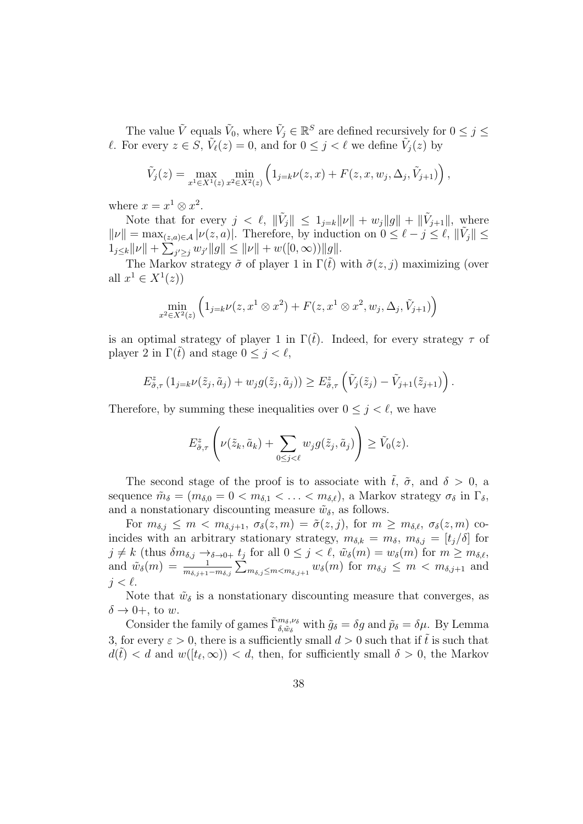The value  $\tilde{V}$  equals  $\tilde{V}_0$ , where  $\tilde{V}_j \in \mathbb{R}^S$  are defined recursively for  $0 \leq j \leq$ l. For every  $z \in S$ ,  $\tilde{V}_{\ell}(z) = 0$ , and for  $0 \leq j < \ell$  we define  $\tilde{V}_{j}(z)$  by

$$
\tilde{V}_j(z) = \max_{x^1 \in X^1(z)} \min_{x^2 \in X^2(z)} \left( 1_{j=k} \nu(z, x) + F(z, x, w_j, \Delta_j, \tilde{V}_{j+1}) \right),
$$

where  $x = x^1 \otimes x^2$ .

Note that for every  $j < \ell$ ,  $\|\tilde{V}_j\| \leq 1_{j=k}\|\nu\| + w_j\|g\| + \|\tilde{V}_{j+1}\|$ , where  $\|\nu\| = \max_{(z,a)\in\mathcal{A}} |\nu(z,a)|$ . Therefore, by induction on  $0 \leq \ell - j \leq \ell$ ,  $\|\tilde{V}_j\| \leq$  $1_{j\leq k} ||\nu|| + \sum_{j'\geq j} w_{j'} ||g|| \leq ||\nu|| + w([0,\infty)) ||g||.$ 

The Markov strategy  $\tilde{\sigma}$  of player 1 in  $\Gamma(\tilde{t})$  with  $\tilde{\sigma}(z, j)$  maximizing (over all  $x^1 \in X^1(z)$ 

$$
\min_{x^2 \in X^2(z)} \left( 1_{j=k} \nu(z, x^1 \otimes x^2) + F(z, x^1 \otimes x^2, w_j, \Delta_j, \tilde{V}_{j+1}) \right)
$$

is an optimal strategy of player 1 in  $\Gamma(\tilde{t})$ . Indeed, for every strategy  $\tau$  of player 2 in  $\Gamma(\tilde{t})$  and stage  $0 \leq j < \ell$ ,

$$
E_{\tilde{\sigma},\tau}^{z} (1_{j=k} \nu(\tilde{z}_j,\tilde{a}_j) + w_j g(\tilde{z}_j,\tilde{a}_j)) \geq E_{\tilde{\sigma},\tau}^{z} \left(\tilde{V}_j(\tilde{z}_j) - \tilde{V}_{j+1}(\tilde{z}_{j+1})\right).
$$

Therefore, by summing these inequalities over  $0 \leq j \leq \ell$ , we have

$$
E_{\tilde{\sigma},\tau}^{z}\left(\nu(\tilde{z}_{k},\tilde{a}_{k})+\sum_{0\leq j<\ell}w_{j}g(\tilde{z}_{j},\tilde{a}_{j})\right)\geq \tilde{V}_{0}(z).
$$

The second stage of the proof is to associate with  $\tilde{t}$ ,  $\tilde{\sigma}$ , and  $\delta > 0$ , a sequence  $\tilde{m}_{\delta} = (m_{\delta,0} = 0 < m_{\delta,1} < \ldots < m_{\delta,\ell}),$  a Markov strategy  $\sigma_{\delta}$  in  $\Gamma_{\delta}$ , and a nonstationary discounting measure  $\tilde{w}_{\delta}$ , as follows.

For  $m_{\delta,j} \leq m < m_{\delta,j+1}, \sigma_{\delta}(z,m) = \tilde{\sigma}(z,j)$ , for  $m \geq m_{\delta,\ell}, \sigma_{\delta}(z,m)$  coincides with an arbitrary stationary strategy,  $m_{\delta,k} = m_{\delta}$ ,  $m_{\delta,j} = [t_j/\delta]$  for  $j \neq k$  (thus  $\delta m_{\delta,j} \to_{\delta \to 0+} t_j$  for all  $0 \leq j < \ell, \ \tilde{w}_{\delta}(m) = w_{\delta}(m)$  for  $m \geq m_{\delta,\ell}$ , and  $\tilde{w}_{\delta}(m) = \frac{1}{m_{\delta,j+1}-m_{\delta,j}} \sum_{m_{\delta,j} \leq m < m_{\delta,j+1}} w_{\delta}(m)$  for  $m_{\delta,j} \leq m < m_{\delta,j+1}$  and  $i < \ell$ .

Note that  $\tilde{w}_{\delta}$  is a nonstationary discounting measure that converges, as  $\delta \rightarrow 0+$ , to w.

Consider the family of games  $\tilde{\Gamma}_{\delta,\tilde{w}_{\delta}}^{m_{\delta},\nu_{\delta}}$  with  $\tilde{g}_{\delta} = \delta g$  and  $\tilde{p}_{\delta} = \delta \mu$ . By Lemma 3, for every  $\varepsilon > 0$ , there is a sufficiently small  $d > 0$  such that if  $\tilde{t}$  is such that  $d(\tilde{t}) < d$  and  $w([t_{\ell}, \infty)) < d$ , then, for sufficiently small  $\delta > 0$ , the Markov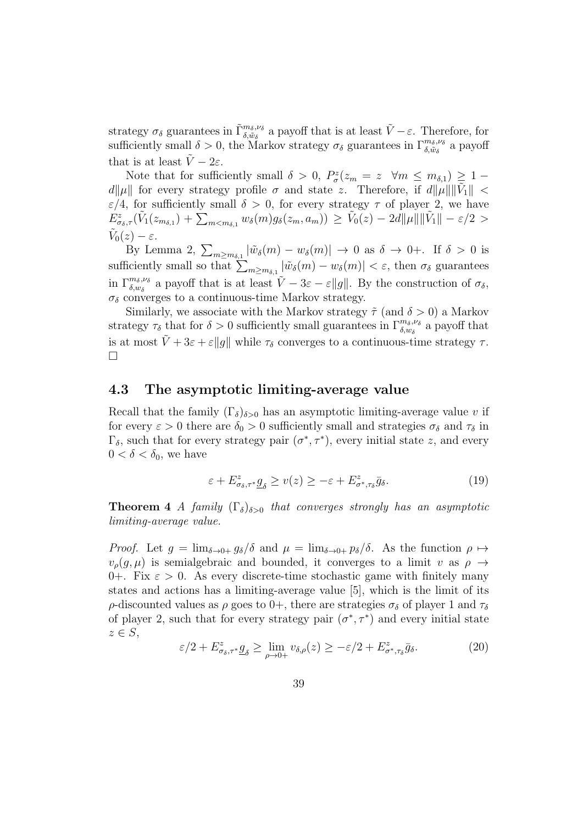strategy  $\sigma_{\delta}$  guarantees in  $\tilde{\Gamma}_{\delta,\tilde{w}_{\delta}}^{m_{\delta},\nu_{\delta}}$  a payoff that is at least  $\tilde{V}-\varepsilon$ . Therefore, for sufficiently small  $\delta > 0$ , the Markov strategy  $\sigma_{\delta}$  guarantees in  $\Gamma_{\delta,\tilde{w}_{\delta}}^{m_{\delta},\nu_{\delta}}$  a payoff that is at least  $\tilde{V} - 2\varepsilon$ .

Note that for sufficiently small  $\delta > 0$ ,  $P^z_{\sigma}(z_m = z \ \forall m \leq m_{\delta,1}) \geq 1 - \frac{1}{\delta}$  $d\|\mu\|$  for every strategy profile  $\sigma$  and state z. Therefore, if  $d\|\mu\| \|\tilde{V}_1\|$  <  $\varepsilon/4$ , for sufficiently small  $\delta > 0$ , for every strategy  $\tau$  of player 2, we have  $E^z_{\sigma_\delta,\tau}(\tilde V_1(z_{m_{\delta,1}})+\tilde{\sum}_{m$  $\tilde{V}_0(z) - \varepsilon.$ 

By Lemma 2,  $\sum_{m \ge m_{\delta,1}} |\tilde{w}_{\delta}(m) - w_{\delta}(m)| \to 0$  as  $\delta \to 0^+$ . If  $\delta > 0$  is sufficiently small so that  $\sum_{m\geq m_{\delta,1}} |\tilde{w}_{\delta}(m) - w_{\delta}(m)| < \varepsilon$ , then  $\sigma_{\delta}$  guarantees in  $\Gamma_{\delta,w_{\delta}}^{m_{\delta},\nu_{\delta}}$  a payoff that is at least  $\tilde{V}-3\varepsilon-\varepsilon||g||$ . By the construction of  $\sigma_{\delta}$ ,  $\sigma_{\delta}$  converges to a continuous-time Markov strategy.

Similarly, we associate with the Markov strategy  $\tilde{\tau}$  (and  $\delta > 0$ ) a Markov strategy  $\tau_\delta$  that for  $\delta > 0$  sufficiently small guarantees in  $\Gamma^{m_\delta,\nu_\delta}_{\delta,w_\delta}$  a payoff that is at most  $\tilde{V} + 3\varepsilon + \varepsilon ||g||$  while  $\tau_{\delta}$  converges to a continuous-time strategy  $\tau$ .  $\Box$ 

#### 4.3 The asymptotic limiting-average value

Recall that the family  $(\Gamma_{\delta})_{\delta>0}$  has an asymptotic limiting-average value v if for every  $\varepsilon > 0$  there are  $\delta_0 > 0$  sufficiently small and strategies  $\sigma_\delta$  and  $\tau_\delta$  in  $\Gamma_{\delta}$ , such that for every strategy pair  $(\sigma^*, \tau^*)$ , every initial state z, and every  $0 < \delta < \delta_0$ , we have

$$
\varepsilon + E^{z}_{\sigma_{\delta}, \tau^{*}} \underline{g}_{\delta} \ge v(z) \ge -\varepsilon + E^{z}_{\sigma^{*}, \tau_{\delta}} \bar{g}_{\delta}.
$$
\n(19)

**Theorem 4** A family  $(\Gamma_{\delta})_{\delta>0}$  that converges strongly has an asymptotic limiting-average value.

*Proof.* Let  $g = \lim_{\delta \to 0+} g_\delta/\delta$  and  $\mu = \lim_{\delta \to 0+} p_\delta/\delta$ . As the function  $\rho \mapsto$  $v_o(q, \mu)$  is semialgebraic and bounded, it converges to a limit v as  $\rho \rightarrow$ 0+. Fix  $\varepsilon > 0$ . As every discrete-time stochastic game with finitely many states and actions has a limiting-average value [5], which is the limit of its ρ-discounted values as ρ goes to 0+, there are strategies  $\sigma_{\delta}$  of player 1 and  $\tau_{\delta}$ of player 2, such that for every strategy pair  $(\sigma^*, \tau^*)$  and every initial state  $z \in S$ ,

$$
\varepsilon/2 + E^z_{\sigma_\delta, \tau^*} \underline{g}_\delta \ge \lim_{\rho \to 0+} v_{\delta, \rho}(z) \ge -\varepsilon/2 + E^z_{\sigma^*, \tau_\delta} \bar{g}_\delta. \tag{20}
$$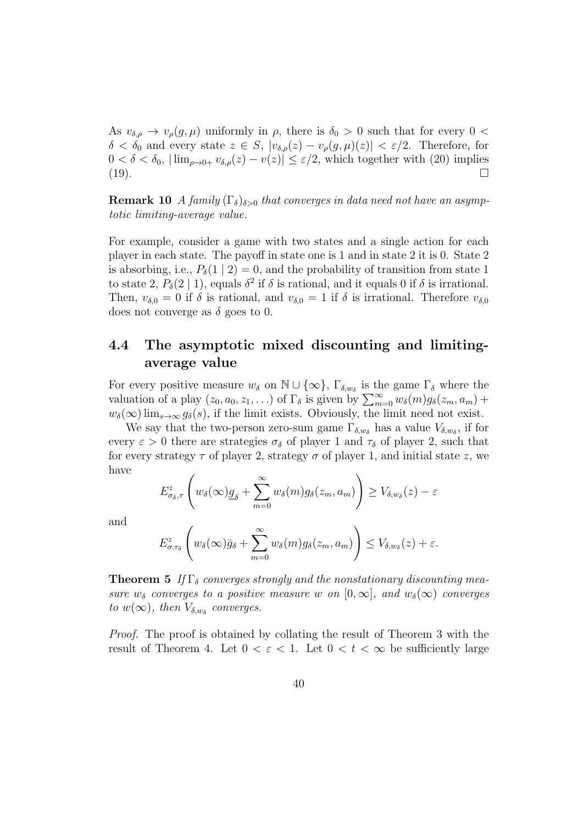As  $v_{\delta,\rho} \to v_{\rho}(g,\mu)$  uniformly in  $\rho$ , there is  $\delta_0 > 0$  such that for every  $0 <$  $\delta < \delta_0$  and every state  $z \in S$ ,  $|v_{\delta,\rho}(z) - v_{\rho}(g,\mu)(z)| < \varepsilon/2$ . Therefore, for  $0 < \delta < \delta_0$ ,  $\lim_{\rho \to 0+} v_{\delta,\rho}(z) - v(z) \leq \varepsilon/2$ , which together with (20) implies (19).

**Remark 10** A family  $(\Gamma_{\delta})_{\delta>0}$  that converges in data need not have an asymptotic limiting-average value.

For example, consider a game with two states and a single action for each player in each state. The payoff in state one is 1 and in state 2 it is 0. State 2 is absorbing, i.e.,  $P_{\delta}(1 | 2) = 0$ , and the probability of transition from state 1 to state 2,  $P_{\delta}(2 \mid 1)$ , equals  $\delta^2$  if  $\delta$  is rational, and it equals 0 if  $\delta$  is irrational. Then,  $v_{\delta,0} = 0$  if  $\delta$  is rational, and  $v_{\delta,0} = 1$  if  $\delta$  is irrational. Therefore  $v_{\delta,0}$ does not converge as  $\delta$  goes to 0.

### 4.4 The asymptotic mixed discounting and limitingaverage value

For every positive measure  $w_{\delta}$  on  $\mathbb{N} \cup \{\infty\}$ ,  $\Gamma_{\delta,w_{\delta}}$  is the game  $\Gamma_{\delta}$  where the valuation of a play  $(z_0, a_0, z_1, \ldots)$  of  $\Gamma_{\delta}$  is given by  $\sum_{m=0}^{\infty} w_{\delta}(m)g_{\delta}(z_m, a_m)$  +  $w_\delta(\infty)$  lim<sub>s→∞</sub>  $g_\delta(s)$ , if the limit exists. Obviously, the limit need not exist.

We say that the two-person zero-sum game  $\Gamma_{\delta,w_{\delta}}$  has a value  $V_{\delta,w_{\delta}}$ , if for every  $\varepsilon > 0$  there are strategies  $\sigma_{\delta}$  of player 1 and  $\tau_{\delta}$  of player 2, such that for every strategy  $\tau$  of player 2, strategy  $\sigma$  of player 1, and initial state z, we have

$$
E_{\sigma_{\delta},\tau}^{z}\left(w_{\delta}(\infty)g_{\delta}+\sum_{m=0}^{\infty}w_{\delta}(m)g_{\delta}(z_{m},a_{m})\right)\geq V_{\delta,w_{\delta}}(z)-\varepsilon
$$

and

$$
E_{\sigma,\tau_{\delta}}^{z}\left(w_{\delta}(\infty)\bar{g}_{\delta}+\sum_{m=0}^{\infty}w_{\delta}(m)g_{\delta}(z_{m},a_{m})\right)\leq V_{\delta,w_{\delta}}(z)+\varepsilon.
$$

**Theorem 5** If  $\Gamma_{\delta}$  converges strongly and the nonstationary discounting measure  $w_{\delta}$  converges to a positive measure w on  $[0,\infty]$ , and  $w_{\delta}(\infty)$  converges to  $w(\infty)$ , then  $V_{\delta,w_{\delta}}$  converges.

Proof. The proof is obtained by collating the result of Theorem 3 with the result of Theorem 4. Let  $0 < \varepsilon < 1$ . Let  $0 < t < \infty$  be sufficiently large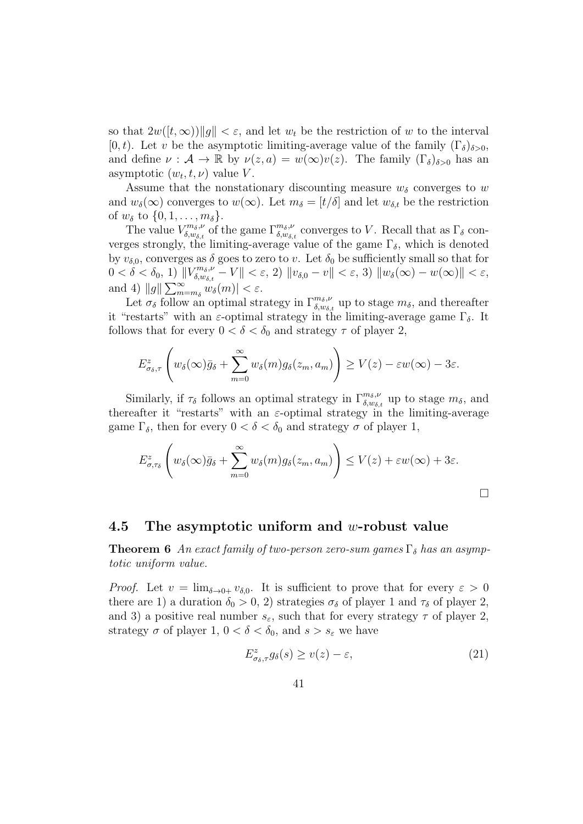so that  $2w([t,\infty))\|g\| < \varepsilon$ , and let  $w_t$  be the restriction of w to the interval [0, t]. Let v be the asymptotic limiting-average value of the family  $(\Gamma_{\delta})_{\delta>0}$ , and define  $\nu : \mathcal{A} \to \mathbb{R}$  by  $\nu(z, a) = w(\infty)v(z)$ . The family  $(\Gamma_{\delta})_{\delta > 0}$  has an asymptotic  $(w_t, t, \nu)$  value V.

Assume that the nonstationary discounting measure  $w_{\delta}$  converges to w and  $w_{\delta}(\infty)$  converges to  $w(\infty)$ . Let  $m_{\delta} = [t/\delta]$  and let  $w_{\delta,t}$  be the restriction of  $w_{\delta}$  to  $\{0, 1, \ldots, m_{\delta}\}.$ 

The value  $V_{\delta,ws}^{m_{\delta},\nu}$  $\zeta_{\delta,w_{\delta,t}}^{m_{\delta},\nu}$  of the game  $\Gamma_{\delta,w_{\delta,t}}^{m_{\delta},\nu}$  converges to V. Recall that as  $\Gamma_{\delta}$  converges strongly, the limiting-average value of the game  $\Gamma_{\delta}$ , which is denoted by  $v_{\delta,0}$ , converges as  $\delta$  goes to zero to v. Let  $\delta_0$  be sufficiently small so that for  $0 < \delta < \delta_0, 1) \| V^{m_\delta, \nu}_{\delta, w_{\delta, \ell}}$  $\|f\|_{\delta, w_{\delta, t}}^{m_{\delta}, \nu} - V \| < \varepsilon, 2) \|v_{\delta, 0} - v \| < \varepsilon, 3) \|w_{\delta}(\infty) - w(\infty) \| < \varepsilon,$ and 4)  $||g||\sum_{m=m_{\delta}}^{\infty} w_{\delta}(m)| < \varepsilon$ .

Let  $\sigma_{\delta}$  follow an optimal strategy in  $\Gamma_{\delta,w_{\delta,t}}^{m_{\delta},\nu}$  up to stage  $m_{\delta}$ , and thereafter it "restarts" with an  $\varepsilon$ -optimal strategy in the limiting-average game  $\Gamma_{\delta}$ . It follows that for every  $0 < \delta < \delta_0$  and strategy  $\tau$  of player 2,

$$
E_{\sigma_{\delta},\tau}^{z}\left(w_{\delta}(\infty)\bar{g}_{\delta}+\sum_{m=0}^{\infty}w_{\delta}(m)g_{\delta}(z_{m},a_{m})\right)\geq V(z)-\varepsilon w(\infty)-3\varepsilon.
$$

Similarly, if  $\tau_{\delta}$  follows an optimal strategy in  $\Gamma_{\delta,w_{\delta,t}}^{m_{\delta},\nu}$  up to stage  $m_{\delta}$ , and thereafter it "restarts" with an  $\varepsilon$ -optimal strategy in the limiting-average game  $\Gamma_{\delta}$ , then for every  $0 < \delta < \delta_0$  and strategy  $\sigma$  of player 1,

$$
E_{\sigma,\tau_{\delta}}^{z}\left(w_{\delta}(\infty)\bar{g}_{\delta}+\sum_{m=0}^{\infty}w_{\delta}(m)g_{\delta}(z_{m},a_{m})\right)\leq V(z)+\varepsilon w(\infty)+3\varepsilon.
$$

 $\Box$ 

#### 4.5 The asymptotic uniform and w-robust value

**Theorem 6** An exact family of two-person zero-sum games  $\Gamma_{\delta}$  has an asymptotic uniform value.

*Proof.* Let  $v = \lim_{\delta \to 0+} v_{\delta,0}$ . It is sufficient to prove that for every  $\varepsilon > 0$ there are 1) a duration  $\delta_0 > 0$ , 2) strategies  $\sigma_\delta$  of player 1 and  $\tau_\delta$  of player 2, and 3) a positive real number  $s_{\varepsilon}$ , such that for every strategy  $\tau$  of player 2, strategy  $\sigma$  of player 1,  $0 < \delta < \delta_0$ , and  $s > s_{\varepsilon}$  we have

$$
E_{\sigma_{\delta},\tau}^{z}g_{\delta}(s) \ge v(z) - \varepsilon,
$$
\n(21)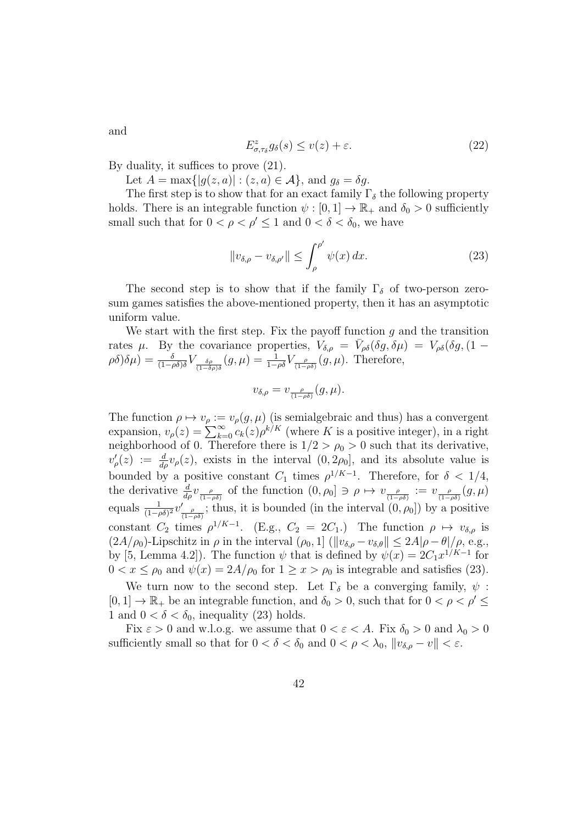$$
E_{\sigma,\tau_{\delta}}^{z}g_{\delta}(s) \le v(z) + \varepsilon. \tag{22}
$$

By duality, it suffices to prove (21).

Let  $A = \max\{|g(z, a)| : (z, a) \in \mathcal{A}\}\$ , and  $g_{\delta} = \delta g$ .

The first step is to show that for an exact family  $\Gamma_{\delta}$  the following property holds. There is an integrable function  $\psi : [0, 1] \to \mathbb{R}_+$  and  $\delta_0 > 0$  sufficiently small such that for  $0 < \rho < \rho' \leq 1$  and  $0 < \delta < \delta_0$ , we have

$$
||v_{\delta,\rho} - v_{\delta,\rho'}|| \le \int_{\rho}^{\rho'} \psi(x) dx.
$$
 (23)

The second step is to show that if the family  $\Gamma_{\delta}$  of two-person zerosum games satisfies the above-mentioned property, then it has an asymptotic uniform value.

We start with the first step. Fix the payoff function  $g$  and the transition rates  $\mu$ . By the covariance properties,  $V_{\delta,\rho} = \bar{V}_{\rho\delta}(\delta g, \delta \mu) = V_{\rho\delta}(\delta g, (1 (\rho \delta)(\delta \mu) = \frac{\delta}{(1-\rho \delta)\delta} V_{\frac{\delta \rho}{(1-\delta \rho)\delta}}(g,\mu) = \frac{1}{1-\rho \delta} V_{\frac{\rho}{(1-\rho \delta)}}(g,\mu).$  Therefore,

$$
v_{\delta,\rho} = v_{\frac{\rho}{(1-\rho\delta)}}(g,\mu).
$$

The function  $\rho \mapsto v_{\rho} := v_{\rho}(g, \mu)$  (is semialgebraic and thus) has a convergent expansion,  $v_{\rho}(z) = \sum_{k=0}^{\infty} c_k(z) \rho^{k/K}$  (where K is a positive integer), in a right neighborhood of 0. Therefore there is  $1/2 > \rho_0 > 0$  such that its derivative,  $v'_\rho(z) := \frac{d}{d\rho} v_\rho(z)$ , exists in the interval  $(0, 2\rho_0]$ , and its absolute value is bounded by a positive constant  $C_1$  times  $\rho^{1/K-1}$ . Therefore, for  $\delta < 1/4$ , the derivative  $\frac{d}{d\rho}v_{\frac{\rho}{(1-\rho\delta)}}$  of the function  $(0, \rho_0] \ni \rho \mapsto v_{\frac{\rho}{(1-\rho\delta)}} := v_{\frac{\rho}{(1-\rho\delta)}}(g, \mu)$ equals  $\frac{1}{(1-\rho\delta)^2}v'_{\frac{\rho}{(1-\rho\delta)}}$ ; thus, it is bounded (in the interval  $(0, \rho_0]$ ) by a positive constant  $C_2$  times  $\rho^{1/K-1}$ . (E.g.,  $C_2 = 2C_1$ .) The function  $\rho \mapsto v_{\delta,\rho}$  is  $(2A/\rho_0)$ -Lipschitz in  $\rho$  in the interval  $(\rho_0, 1]$  ( $||v_{\delta,\rho} - v_{\delta,\theta}|| \leq 2A|\rho - \theta|/\rho$ , e.g., by [5, Lemma 4.2]). The function  $\psi$  that is defined by  $\psi(x) = 2C_1x^{1/K-1}$  for  $0 < x \leq \rho_0$  and  $\psi(x) = 2A/\rho_0$  for  $1 \geq x > \rho_0$  is integrable and satisfies (23).

We turn now to the second step. Let  $\Gamma_{\delta}$  be a converging family,  $\psi$ :  $[0, 1] \rightarrow \mathbb{R}_+$  be an integrable function, and  $\delta_0 > 0$ , such that for  $0 < \rho < \rho' \leq$ 1 and  $0 < \delta < \delta_0$ , inequality (23) holds.

Fix  $\varepsilon > 0$  and w.l.o.g. we assume that  $0 < \varepsilon < A$ . Fix  $\delta_0 > 0$  and  $\lambda_0 > 0$ sufficiently small so that for  $0 < \delta < \delta_0$  and  $0 < \rho < \lambda_0$ ,  $||v_{\delta,\rho} - v|| < \varepsilon$ .

and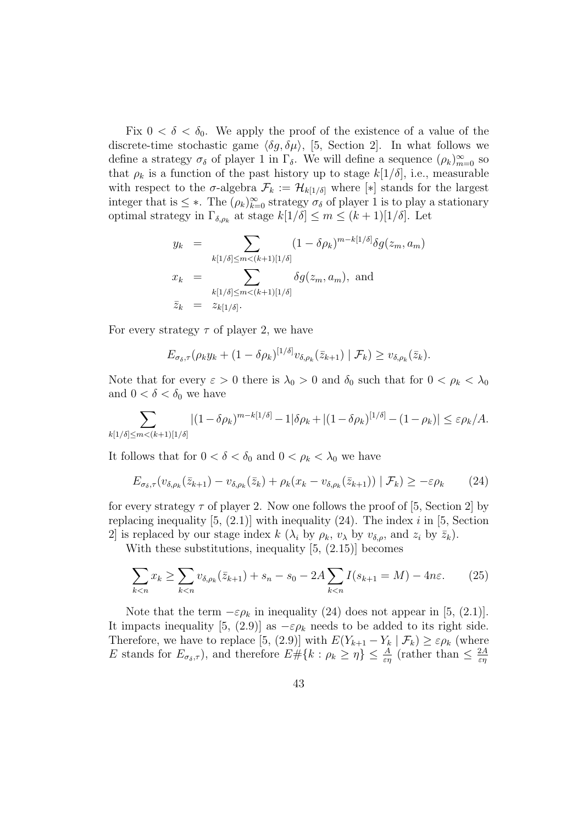Fix  $0 < \delta < \delta_0$ . We apply the proof of the existence of a value of the discrete-time stochastic game  $\langle \delta g, \delta \mu \rangle$ , [5, Section 2]. In what follows we define a strategy  $\sigma_{\delta}$  of player 1 in  $\Gamma_{\delta}$ . We will define a sequence  $(\rho_k)_{m=0}^{\infty}$  so that  $\rho_k$  is a function of the past history up to stage  $k[1/\delta]$ , i.e., measurable with respect to the  $\sigma$ -algebra  $\mathcal{F}_k := \mathcal{H}_{k[1/\delta]}$  where  $[*]$  stands for the largest integer that is  $\leq$  \*. The  $(\rho_k)_{k=0}^{\infty}$  strategy  $\sigma_{\delta}$  of player 1 is to play a stationary optimal strategy in  $\Gamma_{\delta,\rho_k}$  at stage  $k[1/\delta] \leq m \leq (k+1)[1/\delta]$ . Let

$$
y_k = \sum_{k[1/\delta] \le m < (k+1)[1/\delta]} (1 - \delta \rho_k)^{m-k[1/\delta]} \delta g(z_m, a_m)
$$
  

$$
x_k = \sum_{k[1/\delta] \le m < (k+1)[1/\delta]} \delta g(z_m, a_m), \text{ and}
$$
  

$$
\bar{z}_k = z_{k[1/\delta]}.
$$

For every strategy  $\tau$  of player 2, we have

$$
E_{\sigma_{\delta},\tau}(\rho_k y_k + (1-\delta \rho_k)^{[1/\delta]} v_{\delta,\rho_k}(\bar{z}_{k+1}) \mid \mathcal{F}_k) \geq v_{\delta,\rho_k}(\bar{z}_k).
$$

Note that for every  $\varepsilon > 0$  there is  $\lambda_0 > 0$  and  $\delta_0$  such that for  $0 < \rho_k < \lambda_0$ and  $0 < \delta < \delta_0$  we have

$$
\sum_{k[1/\delta]\le m < (k+1)[1/\delta]} |(1-\delta\rho_k)^{m-k[1/\delta]} - 1|\delta\rho_k + |(1-\delta\rho_k)^{[1/\delta]} - (1-\rho_k)| \le \varepsilon\rho_k/A.
$$

It follows that for  $0 < \delta < \delta_0$  and  $0 < \rho_k < \lambda_0$  we have

$$
E_{\sigma_{\delta},\tau}(v_{\delta,\rho_k}(\bar{z}_{k+1})-v_{\delta,\rho_k}(\bar{z}_k)+\rho_k(x_k-v_{\delta,\rho_k}(\bar{z}_{k+1}))\mid \mathcal{F}_k)\geq -\varepsilon\rho_k\qquad(24)
$$

for every strategy  $\tau$  of player 2. Now one follows the proof of [5, Section 2] by replacing inequality  $[5, (2.1)]$  with inequality (24). The index i in [5, Section 2 is replaced by our stage index k ( $\lambda_i$  by  $\rho_k$ ,  $v_\lambda$  by  $v_{\delta,\rho}$ , and  $z_i$  by  $\bar{z}_k$ ).

With these substitutions, inequality [5, (2.15)] becomes

$$
\sum_{k < n} x_k \ge \sum_{k < n} v_{\delta, \rho_k}(\bar{z}_{k+1}) + s_n - s_0 - 2A \sum_{k < n} I(s_{k+1} = M) - 4n\varepsilon. \tag{25}
$$

Note that the term  $-\varepsilon \rho_k$  in inequality (24) does not appear in [5, (2.1)]. It impacts inequality [5, (2.9)] as  $-\varepsilon \rho_k$  needs to be added to its right side. Therefore, we have to replace [5, (2.9)] with  $E(Y_{k+1} - Y_k | \mathcal{F}_k) \geq \varepsilon \rho_k$  (where E stands for  $E_{\sigma_{\delta},\tau}$ , and therefore  $E\#\{k:\rho_k\geq\eta\}\leq \frac{A}{\varepsilon\eta}$  (rather than  $\leq \frac{2A}{\varepsilon\eta}$ εη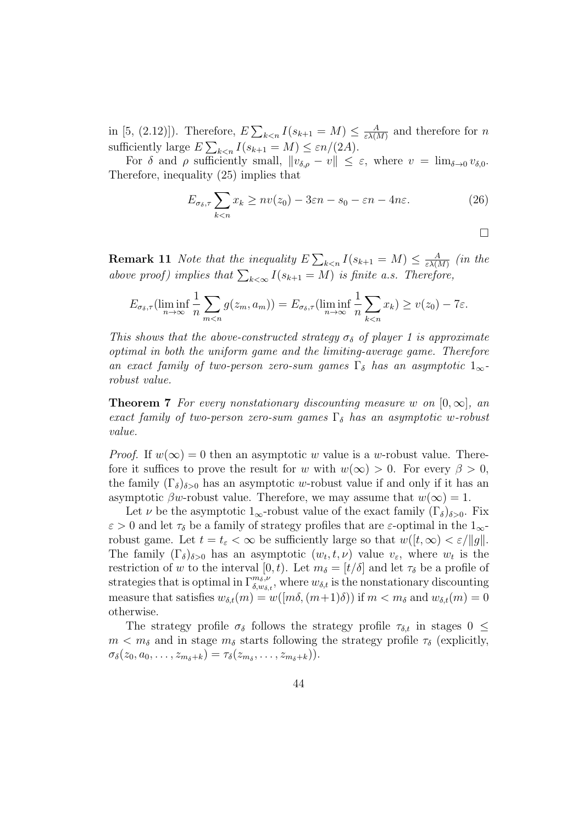in [5, (2.12)]). Therefore,  $E\sum_{k\leq n}I(s_{k+1}=M)\leq \frac{A}{\varepsilon\lambda\{N}}$  $\frac{A}{\varepsilon\lambda(M)}$  and therefore for n sufficiently large  $E\sum_{k\leq n} I(s_{k+1} = M) \leq \varepsilon n/(2A)$ .

For  $\delta$  and  $\rho$  sufficiently small,  $\|v_{\delta,\rho} - v\| \leq \varepsilon$ , where  $v = \lim_{\delta \to 0} v_{\delta,0}$ . Therefore, inequality (25) implies that

$$
E_{\sigma_{\delta},\tau} \sum_{k < n} x_k \ge nv(z_0) - 3\varepsilon n - s_0 - \varepsilon n - 4n\varepsilon. \tag{26}
$$

$$
\Box
$$

**Remark 11** Note that the inequality  $E\sum_{k\leq n}I(s_{k+1}=M)\leq \frac{A}{\varepsilon\lambda\left(N\right)}$  $\frac{A}{\varepsilon \lambda(M)}$  (in the above proof) implies that  $\sum_{k < \infty} I(s_{k+1} = M)$  is finite a.s. Therefore,

$$
E_{\sigma_{\delta},\tau}(\liminf_{n\to\infty}\frac{1}{n}\sum_{m
$$

This shows that the above-constructed strategy  $\sigma_{\delta}$  of player 1 is approximate optimal in both the uniform game and the limiting-average game. Therefore an exact family of two-person zero-sum games  $\Gamma_{\delta}$  has an asymptotic  $1_{\infty}$ robust value.

**Theorem 7** For every nonstationary discounting measure w on  $[0, \infty]$ , and exact family of two-person zero-sum games  $\Gamma_{\delta}$  has an asymptotic w-robust value.

*Proof.* If  $w(\infty) = 0$  then an asymptotic w value is a w-robust value. Therefore it suffices to prove the result for w with  $w(\infty) > 0$ . For every  $\beta > 0$ , the family  $(\Gamma_{\delta})_{\delta>0}$  has an asymptotic w-robust value if and only if it has an asymptotic  $\beta w$ -robust value. Therefore, we may assume that  $w(\infty) = 1$ .

Let  $\nu$  be the asymptotic 1<sub>∞</sub>-robust value of the exact family  $(\Gamma_{\delta})_{\delta>0}$ . Fix  $\varepsilon > 0$  and let  $\tau_{\delta}$  be a family of strategy profiles that are  $\varepsilon$ -optimal in the  $1_{\infty}$ robust game. Let  $t = t_{\varepsilon} < \infty$  be sufficiently large so that  $w([t, \infty) < \varepsilon / ||g||$ . The family  $(\Gamma_{\delta})_{\delta>0}$  has an asymptotic  $(w_t, t, \nu)$  value  $v_{\varepsilon}$ , where  $w_t$  is the restriction of w to the interval [0, t]. Let  $m_{\delta} = [t/\delta]$  and let  $\tau_{\delta}$  be a profile of strategies that is optimal in  $\Gamma^{m_\delta,\nu}_{\delta,w_{\delta,t}}$ , where  $w_{\delta,t}$  is the nonstationary discounting measure that satisfies  $w_{\delta,t}(m) = w([m\delta, (m+1)\delta))$  if  $m < m_\delta$  and  $w_{\delta,t}(m) = 0$ otherwise.

The strategy profile  $\sigma_{\delta}$  follows the strategy profile  $\tau_{\delta,t}$  in stages  $0 \leq$  $m < m_{\delta}$  and in stage  $m_{\delta}$  starts following the strategy profile  $\tau_{\delta}$  (explicitly,  $\sigma_{\delta}(z_0, a_0, \ldots, z_{m_{\delta}+k}) = \tau_{\delta}(z_{m_{\delta}}, \ldots, z_{m_{\delta}+k})).$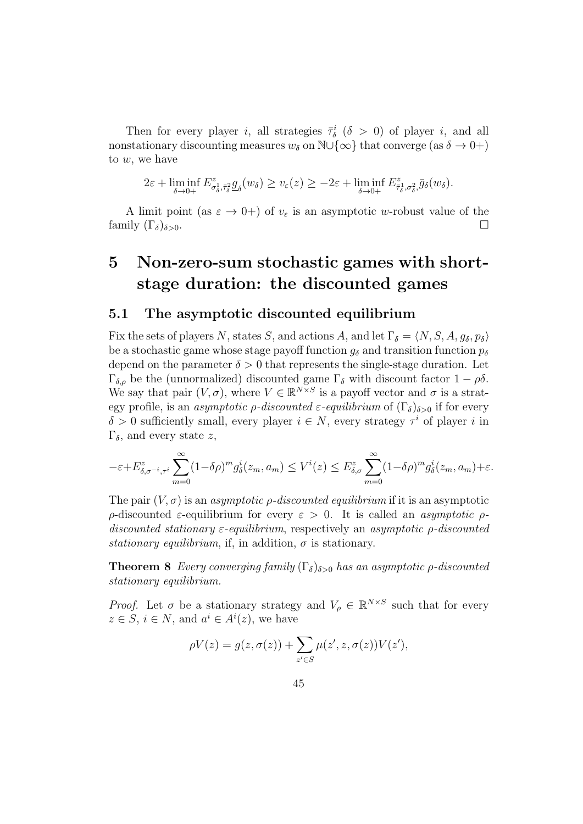Then for every player *i*, all strategies  $\bar{\tau}_{\delta}^{i}$  ( $\delta > 0$ ) of player *i*, and all nonstationary discounting measures  $w_{\delta}$  on  $\mathbb{N}\cup\{\infty\}$  that converge (as  $\delta \to 0+$ ) to w, we have

$$
2\varepsilon+\liminf_{\delta\to 0+} E^z_{\sigma_\delta^1, \bar\tau_\delta^2} \underline{g}_\delta(w_\delta) \ge v_\varepsilon(z) \ge -2\varepsilon+\liminf_{\delta\to 0+} E^z_{\bar\tau_\delta^1, \sigma_\delta^2} \bar g_\delta(w_\delta).
$$

A limit point (as  $\varepsilon \to 0+$ ) of  $v_{\varepsilon}$  is an asymptotic w-robust value of the family  $(\Gamma_{\delta})_{\delta>0}$ .

# 5 Non-zero-sum stochastic games with shortstage duration: the discounted games

### 5.1 The asymptotic discounted equilibrium

Fix the sets of players N, states S, and actions A, and let  $\Gamma_{\delta} = \langle N, S, A, g_{\delta}, p_{\delta} \rangle$ be a stochastic game whose stage payoff function  $g_{\delta}$  and transition function  $p_{\delta}$ depend on the parameter  $\delta > 0$  that represents the single-stage duration. Let Γ<sub>δ,ρ</sub> be the (unnormalized) discounted game Γ<sub>δ</sub> with discount factor  $1 - \rho \delta$ . We say that pair  $(V, \sigma)$ , where  $V \in \mathbb{R}^{N \times S}$  is a payoff vector and  $\sigma$  is a strategy profile, is an *asymptotic ρ-discounted*  $\varepsilon$ -equilibrium of  $(\Gamma_{\delta})_{\delta>0}$  if for every  $\delta > 0$  sufficiently small, every player  $i \in N$ , every strategy  $\tau^i$  of player i in Γ<sub>δ</sub>, and every state z,

$$
-\varepsilon + E_{\delta,\sigma^{-i},\tau^i}^z \sum_{m=0}^{\infty} (1-\delta \rho)^m g_{\delta}^i(z_m,a_m) \le V^i(z) \le E_{\delta,\sigma}^z \sum_{m=0}^{\infty} (1-\delta \rho)^m g_{\delta}^i(z_m,a_m) + \varepsilon.
$$

The pair  $(V, \sigma)$  is an *asymptotic p-discounted equilibrium* if it is an asymptotic ρ-discounted ε-equilibrium for every ε > 0. It is called an asymptotic ρdiscounted stationary  $\varepsilon$ -equilibrium, respectively an asymptotic  $\rho$ -discounted stationary equilibrium, if, in addition,  $\sigma$  is stationary.

**Theorem 8** Every converging family  $(\Gamma_{\delta})_{\delta>0}$  has an asymptotic *ρ*-discounted stationary equilibrium.

*Proof.* Let  $\sigma$  be a stationary strategy and  $V_{\rho} \in \mathbb{R}^{N \times S}$  such that for every  $z \in S$ ,  $i \in N$ , and  $a^i \in A^i(z)$ , we have

$$
\rho V(z) = g(z, \sigma(z)) + \sum_{z' \in S} \mu(z', z, \sigma(z)) V(z'),
$$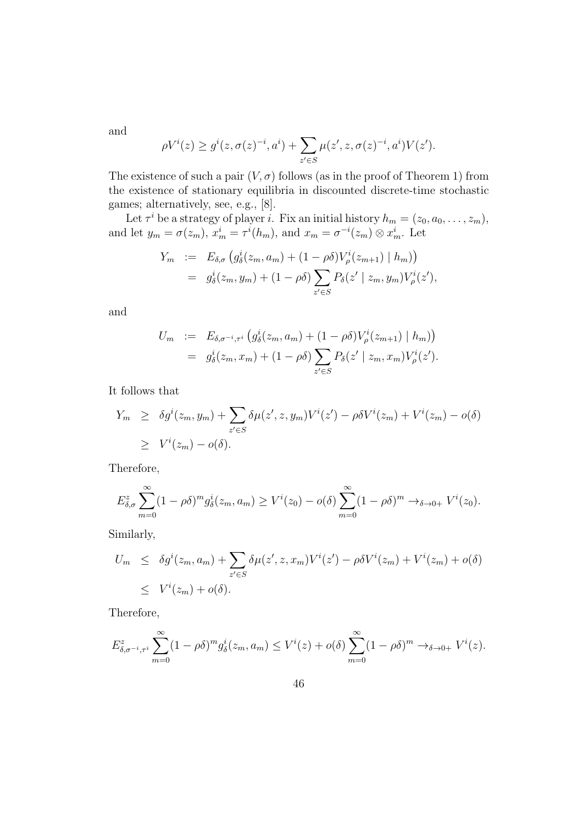and

$$
\rho V^{i}(z) \geq g^{i}(z, \sigma(z)^{-i}, a^{i}) + \sum_{z' \in S} \mu(z', z, \sigma(z)^{-i}, a^{i}) V(z').
$$

The existence of such a pair  $(V, \sigma)$  follows (as in the proof of Theorem 1) from the existence of stationary equilibria in discounted discrete-time stochastic games; alternatively, see, e.g., [8].

Let  $\tau^i$  be a strategy of player *i*. Fix an initial history  $h_m = (z_0, a_0, \dots, z_m)$ , and let  $y_m = \sigma(z_m)$ ,  $x_m^i = \tau^i(h_m)$ , and  $x_m = \sigma^{-i}(z_m) \otimes x_m^i$ . Let

$$
Y_m := E_{\delta,\sigma} (g_{\delta}^i(z_m, a_m) + (1 - \rho \delta) V_{\rho}^i(z_{m+1}) | h_m))
$$
  
=  $g_{\delta}^i(z_m, y_m) + (1 - \rho \delta) \sum_{z' \in S} P_{\delta}(z' | z_m, y_m) V_{\rho}^i(z'),$ 

and

$$
U_m := E_{\delta, \sigma^{-i}, \tau^i} \left( g_{\delta}^i(z_m, a_m) + (1 - \rho \delta) V_{\rho}^i(z_{m+1}) \mid h_m \right) = g_{\delta}^i(z_m, x_m) + (1 - \rho \delta) \sum_{z' \in S} P_{\delta}(z' \mid z_m, x_m) V_{\rho}^i(z').
$$

It follows that

$$
Y_m \geq \delta g^i(z_m, y_m) + \sum_{z' \in S} \delta \mu(z', z, y_m) V^i(z') - \rho \delta V^i(z_m) + V^i(z_m) - o(\delta)
$$
  
 
$$
\geq V^i(z_m) - o(\delta).
$$

Therefore,

$$
E_{\delta,\sigma}^z \sum_{m=0}^{\infty} (1 - \rho \delta)^m g_{\delta}^i(z_m, a_m) \ge V^i(z_0) - o(\delta) \sum_{m=0}^{\infty} (1 - \rho \delta)^m \to_{\delta \to 0+} V^i(z_0).
$$

Similarly,

$$
U_m \leq \delta g^i(z_m, a_m) + \sum_{z' \in S} \delta \mu(z', z, x_m) V^i(z') - \rho \delta V^i(z_m) + V^i(z_m) + o(\delta)
$$
  

$$
\leq V^i(z_m) + o(\delta).
$$

Therefore,

$$
E_{\delta,\sigma^{-i},\tau^{i}}^{z} \sum_{m=0}^{\infty} (1-\rho\delta)^{m} g_{\delta}^{i}(z_{m},a_{m}) \leq V^{i}(z) + o(\delta) \sum_{m=0}^{\infty} (1-\rho\delta)^{m} \to_{\delta \to 0+} V^{i}(z).
$$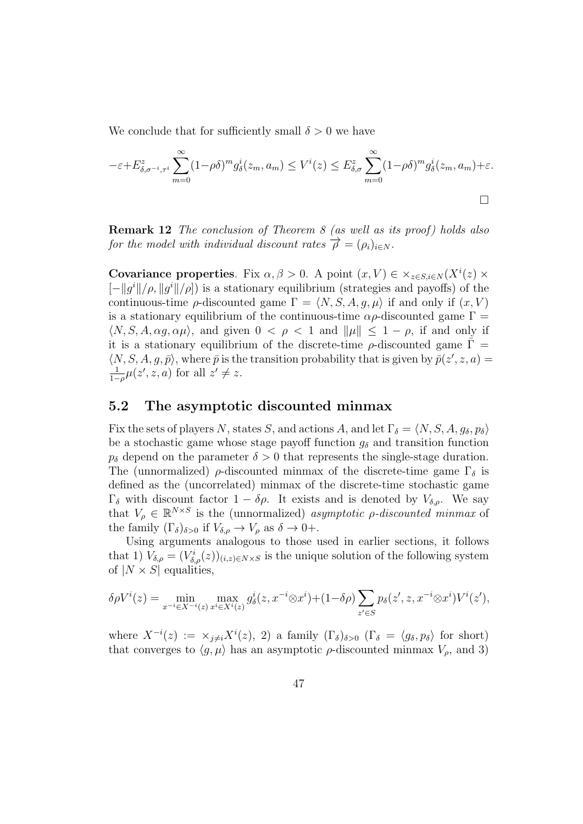We conclude that for sufficiently small  $\delta > 0$  we have

$$
-\varepsilon + E_{\delta,\sigma^{-i},\tau^{i}}^{z} \sum_{m=0}^{\infty} (1-\rho\delta)^{m} g_{\delta}^{i}(z_{m},a_{m}) \leq V^{i}(z) \leq E_{\delta,\sigma}^{z} \sum_{m=0}^{\infty} (1-\rho\delta)^{m} g_{\delta}^{i}(z_{m},a_{m}) + \varepsilon.
$$

**Remark 12** The conclusion of Theorem 8 (as well as its proof) holds also for the model with individual discount rates  $\overrightarrow{\rho} = (\rho_i)_{i \in N}$ .

Covariance properties. Fix  $\alpha, \beta > 0$ . A point  $(x, V) \in \times_{z \in S, i \in N} (X^i(z) \times$  $[-||g^i||/\rho, ||g^i||/\rho]$  is a stationary equilibrium (strategies and payoffs) of the continuous-time  $\rho$ -discounted game  $\Gamma = \langle N, S, A, g, \mu \rangle$  if and only if  $(x, V)$ is a stationary equilibrium of the continuous-time  $\alpha \rho$ -discounted game  $\Gamma =$  $\langle N, S, A, \alpha g, \alpha \mu \rangle$ , and given  $0 < \rho < 1$  and  $\|\mu\| \leq 1 - \rho$ , if and only if it is a stationary equilibrium of the discrete-time  $\rho$ -discounted game  $\bar{\Gamma}$  =  $\langle N, S, A, g, \bar{p} \rangle$ , where  $\bar{p}$  is the transition probability that is given by  $\bar{p}(z', z, a) =$ 1  $\frac{1}{1-\rho}\mu(z',z,a)$  for all  $z'\neq z$ .

### 5.2 The asymptotic discounted minmax

Fix the sets of players N, states S, and actions A, and let  $\Gamma_{\delta} = \langle N, S, A, g_{\delta}, p_{\delta} \rangle$ be a stochastic game whose stage payoff function  $g_{\delta}$  and transition function  $p_{\delta}$  depend on the parameter  $\delta > 0$  that represents the single-stage duration. The (unnormalized)  $\rho$ -discounted minmax of the discrete-time game  $\Gamma_{\delta}$  is defined as the (uncorrelated) minmax of the discrete-time stochastic game  $\Gamma_{\delta}$  with discount factor  $1 - \delta \rho$ . It exists and is denoted by  $V_{\delta,\rho}$ . We say that  $V_{\rho} \in \mathbb{R}^{N \times S}$  is the (unnormalized) asymptotic  $\rho$ -discounted minmax of the family  $(\Gamma_{\delta})_{\delta>0}$  if  $V_{\delta,\rho} \to V_{\rho}$  as  $\delta \to 0+$ .

Using arguments analogous to those used in earlier sections, it follows that 1)  $V_{\delta,\rho} = (V_{\delta,\rho}^i(z))_{(i,z)\in N\times S}$  is the unique solution of the following system of  $|N \times S|$  equalities,

$$
\delta \rho V^{i}(z) = \min_{x^{-i} \in X^{-i}(z)} \max_{x^{i} \in X^{i}(z)} g_{\delta}^{i}(z, x^{-i} \otimes x^{i}) + (1 - \delta \rho) \sum_{z' \in S} p_{\delta}(z', z, x^{-i} \otimes x^{i}) V^{i}(z'),
$$

where  $X^{-i}(z) := \times_{j \neq i} X^{i}(z)$ , 2) a family  $(\Gamma_{\delta})_{\delta > 0}$   $(\Gamma_{\delta} = \langle g_{\delta}, p_{\delta} \rangle$  for short) that converges to  $\langle g, \mu \rangle$  has an asymptotic  $\rho$ -discounted minmax  $V_{\rho}$ , and 3)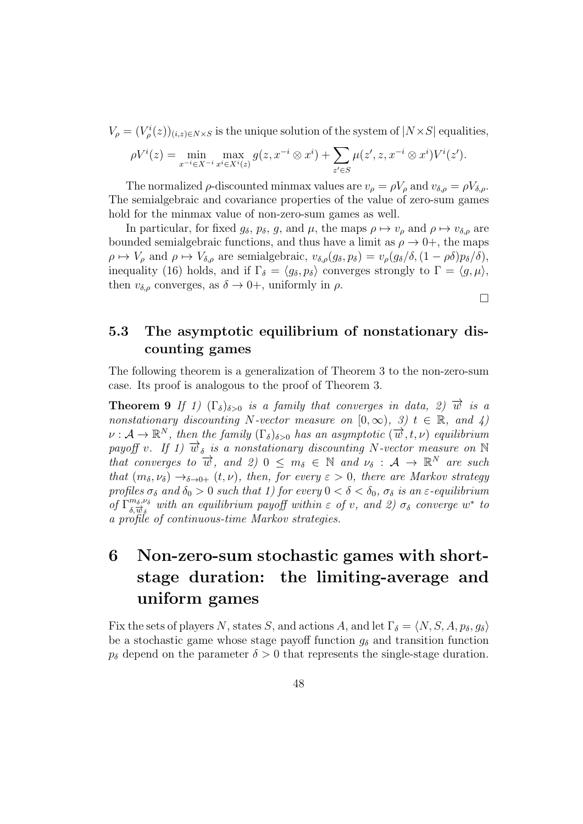$V_{\rho} = (V_{\rho}^{i}(z))_{(i,z)\in N\times S}$  is the unique solution of the system of  $|N\times S|$  equalities,

$$
\rho V^{i}(z) = \min_{x^{-i} \in X^{-i}} \max_{x^{i} \in X^{i}(z)} g(z, x^{-i} \otimes x^{i}) + \sum_{z' \in S} \mu(z', z, x^{-i} \otimes x^{i}) V^{i}(z').
$$

The normalized  $\rho$ -discounted minmax values are  $v_{\rho} = \rho V_{\rho}$  and  $v_{\delta,\rho} = \rho V_{\delta,\rho}$ . The semialgebraic and covariance properties of the value of zero-sum games hold for the minmax value of non-zero-sum games as well.

In particular, for fixed  $g_{\delta}$ ,  $p_{\delta}$ ,  $g$ , and  $\mu$ , the maps  $\rho \mapsto v_{\rho}$  and  $\rho \mapsto v_{\delta,\rho}$  are bounded semialgebraic functions, and thus have a limit as  $\rho \to 0^+$ , the maps  $\rho \mapsto V_{\rho}$  and  $\rho \mapsto V_{\delta,\rho}$  are semialgebraic,  $v_{\delta,\rho}(g_{\delta}, p_{\delta}) = v_{\rho}(g_{\delta}/\delta, (1 - \rho \delta)p_{\delta}/\delta),$ inequality (16) holds, and if  $\Gamma_{\delta} = \langle g_{\delta}, p_{\delta} \rangle$  converges strongly to  $\Gamma = \langle g, \mu \rangle$ , then  $v_{\delta,\rho}$  converges, as  $\delta \to 0^+$ , uniformly in  $\rho$ .

 $\Box$ 

### 5.3 The asymptotic equilibrium of nonstationary discounting games

The following theorem is a generalization of Theorem 3 to the non-zero-sum case. Its proof is analogous to the proof of Theorem 3.

**Theorem 9** If 1)  $(\Gamma_{\delta})_{\delta>0}$  is a family that converges in data, 2)  $\vec{w}$  is a nonstationary discounting N-vector measure on  $[0, \infty)$ , 3)  $t \in \mathbb{R}$ , and 4)  $\nu : \mathcal{A} \to \mathbb{R}^N$ , then the family  $(\Gamma_{\delta})_{\delta>0}$  has an asymptotic  $(\overrightarrow{w}, t, \nu)$  equilibrium payoff v. If 1)  $\vec{w}_{\delta}$  is a nonstationary discounting N-vector measure on N that converges to  $\overrightarrow{w}$ , and  $\overrightarrow{z}$ ) 0  $\leq m_{\delta} \in \mathbb{N}$  and  $\nu_{\delta} : A \to \mathbb{R}^{N}$  are such that  $(m_\delta, \nu_\delta) \rightarrow_{\delta \to 0+} (t, \nu)$ , then, for every  $\varepsilon > 0$ , there are Markov strategy profiles  $\sigma_{\delta}$  and  $\delta_0 > 0$  such that 1) for every  $0 < \delta < \delta_0$ ,  $\sigma_{\delta}$  is an  $\varepsilon$ -equilibrium of  $\Gamma^{m_\delta,\nu_\delta}_{\delta,\vec{w}_\delta}$  with an equilibrium payoff within  $\varepsilon$  of v, and 2)  $\sigma_\delta$  converge w<sup>\*</sup> to a profile of continuous-time Markov strategies.

# 6 Non-zero-sum stochastic games with shortstage duration: the limiting-average and uniform games

Fix the sets of players N, states S, and actions A, and let  $\Gamma_{\delta} = \langle N, S, A, p_{\delta}, g_{\delta} \rangle$ be a stochastic game whose stage payoff function  $g_{\delta}$  and transition function  $p_{\delta}$  depend on the parameter  $\delta > 0$  that represents the single-stage duration.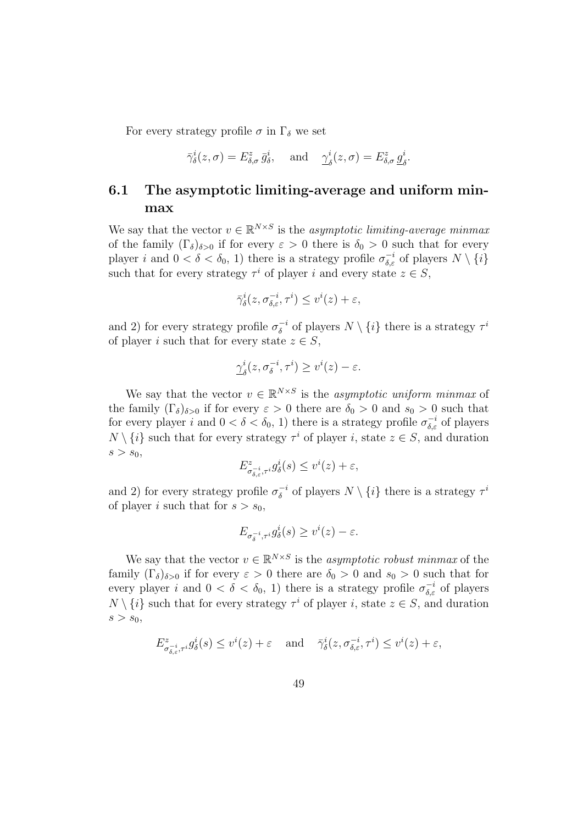For every strategy profile  $\sigma$  in  $\Gamma_{\delta}$  we set

$$
\bar{\gamma}^i_{\delta}(z,\sigma) = E^z_{\delta,\sigma} \bar{g}^i_{\delta}, \quad \text{and} \quad \underline{\gamma}^i_{\delta}(z,\sigma) = E^z_{\delta,\sigma} \underline{g}^i_{\delta}.
$$

### 6.1 The asymptotic limiting-average and uniform minmax

We say that the vector  $v \in \mathbb{R}^{N \times S}$  is the *asymptotic limiting-average minmax* of the family  $(\Gamma_{\delta})_{\delta>0}$  if for every  $\varepsilon>0$  there is  $\delta_0>0$  such that for every player *i* and  $0 < \delta < \delta_0$ , 1) there is a strategy profile  $\sigma_{\delta,\varepsilon}^{-i}$  of players  $N \setminus \{i\}$ such that for every strategy  $\tau^i$  of player i and every state  $z \in S$ ,

$$
\bar{\gamma}^i_\delta(z, \sigma^{-i}_{\delta,\varepsilon}, \tau^i) \leq v^i(z) + \varepsilon,
$$

and 2) for every strategy profile  $\sigma_{\delta}^{-i}$  $\sigma_{\delta}^{-i}$  of players  $N \setminus \{i\}$  there is a strategy  $\tau^i$ of player i such that for every state  $z \in S$ ,

$$
\underline{\gamma}^i_{\delta}(z, \sigma^{-i}_{\delta}, \tau^i) \ge v^i(z) - \varepsilon.
$$

We say that the vector  $v \in \mathbb{R}^{N \times S}$  is the *asymptotic uniform minmax* of the family  $(\Gamma_{\delta})_{\delta>0}$  if for every  $\varepsilon>0$  there are  $\delta_0>0$  and  $s_0>0$  such that for every player i and  $0 < \delta < \delta_0$ , 1) there is a strategy profile  $\sigma_{\delta,\varepsilon}^{-i}$  of players  $N \setminus \{i\}$  such that for every strategy  $\tau^i$  of player i, state  $z \in S$ , and duration  $s > s_0$ ,

$$
E^z_{\sigma_{\delta,\varepsilon}^{-i},\tau^i}g_{\delta}^i(s) \leq v^i(z) + \varepsilon,
$$

and 2) for every strategy profile  $\sigma_{\delta}^{-i}$  $\delta^{-i}$  of players  $N \setminus \{i\}$  there is a strategy  $\tau^i$ of player *i* such that for  $s > s_0$ ,

$$
E_{\sigma_{\delta}^{-i},\tau^{i}}g_{\delta}^{i}(s) \geq v^{i}(z) - \varepsilon.
$$

We say that the vector  $v \in \mathbb{R}^{N \times S}$  is the *asymptotic robust minmax* of the family  $(\Gamma_{\delta})_{\delta>0}$  if for every  $\varepsilon>0$  there are  $\delta_0>0$  and  $s_0>0$  such that for every player i and  $0 < \delta < \delta_0$ , 1) there is a strategy profile  $\sigma_{\delta,\varepsilon}^{-i}$  of players  $N \setminus \{i\}$  such that for every strategy  $\tau^i$  of player i, state  $z \in S$ , and duration  $s > s_0$ ,

$$
E^z_{\sigma_{\delta,\varepsilon}^{-i},\tau^i}g_\delta^i(s) \le v^i(z) + \varepsilon \quad \text{and} \quad \bar{\gamma}_\delta^i(z,\sigma_{\delta,\varepsilon}^{-i},\tau^i) \le v^i(z) + \varepsilon,
$$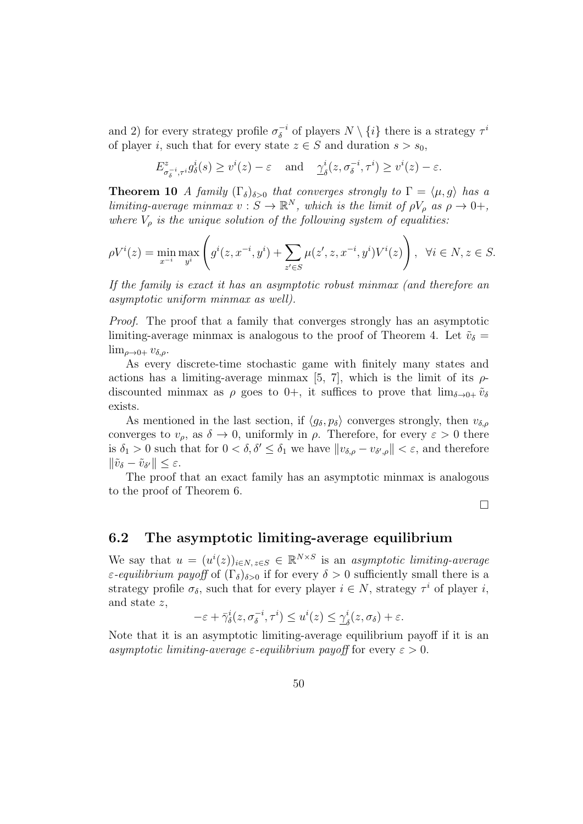and 2) for every strategy profile  $\sigma_{\delta}^{-i}$  $\overline{\delta}^i$  of players  $N \setminus \{i\}$  there is a strategy  $\tau^i$ of player i, such that for every state  $z \in S$  and duration  $s > s_0$ ,

$$
E^z_{\sigma_\delta^{-i},\tau^i} g_\delta^i(s) \ge v^i(z) - \varepsilon \quad \text{and} \quad \underline{\gamma}^i_\delta(z, \sigma_\delta^{-i}, \tau^i) \ge v^i(z) - \varepsilon.
$$

**Theorem 10** A family  $(\Gamma_{\delta})_{\delta>0}$  that converges strongly to  $\Gamma = \langle \mu, g \rangle$  has a limiting-average minmax  $v : S \to \mathbb{R}^N$ , which is the limit of  $\rho V_\rho$  as  $\rho \to 0^+,$ where  $V<sub>o</sub>$  is the unique solution of the following system of equalities:

$$
\rho V^{i}(z) = \min_{x^{-i}} \max_{y^{i}} \left( g^{i}(z, x^{-i}, y^{i}) + \sum_{z' \in S} \mu(z', z, x^{-i}, y^{i}) V^{i}(z) \right), \ \forall i \in N, z \in S.
$$

If the family is exact it has an asymptotic robust minmax (and therefore an asymptotic uniform minmax as well).

Proof. The proof that a family that converges strongly has an asymptotic limiting-average minmax is analogous to the proof of Theorem 4. Let  $\tilde{v}_\delta$  =  $\lim_{\rho\to 0+} v_{\delta,\rho}$ .

As every discrete-time stochastic game with finitely many states and actions has a limiting-average minmax [5, 7], which is the limit of its  $\rho$ discounted minmax as  $\rho$  goes to 0+, it suffices to prove that  $\lim_{\delta \to 0^+} \tilde{v}_\delta$ exists.

As mentioned in the last section, if  $\langle g_\delta, p_\delta \rangle$  converges strongly, then  $v_{\delta,\rho}$ converges to  $v_{\rho}$ , as  $\delta \rightarrow 0$ , uniformly in  $\rho$ . Therefore, for every  $\varepsilon > 0$  there is  $\delta_1 > 0$  such that for  $0 < \delta, \delta' \leq \delta_1$  we have  $||v_{\delta,\rho} - v_{\delta',\rho}|| < \varepsilon$ , and therefore  $\|\tilde{v}_{\delta} - \tilde{v}_{\delta'}\| \leq \varepsilon.$ 

The proof that an exact family has an asymptotic minmax is analogous to the proof of Theorem 6.

 $\Box$ 

### 6.2 The asymptotic limiting-average equilibrium

We say that  $u = (u^i(z))_{i \in N, z \in S} \in \mathbb{R}^{N \times S}$  is an asymptotic limiting-average ε-equilibrium payoff of  $(Γ<sub>δ</sub>)<sub>δ>0</sub>$  if for every  $δ > 0$  sufficiently small there is a strategy profile  $\sigma_{\delta}$ , such that for every player  $i \in N$ , strategy  $\tau^{i}$  of player i, and state z,

$$
-\varepsilon + \bar{\gamma}_{\delta}^{i}(z, \sigma_{\delta}^{-i}, \tau^{i}) \leq u^{i}(z) \leq \underline{\gamma}_{\delta}^{i}(z, \sigma_{\delta}) + \varepsilon.
$$

Note that it is an asymptotic limiting-average equilibrium payoff if it is an asymptotic limiting-average  $\varepsilon$ -equilibrium payoff for every  $\varepsilon > 0$ .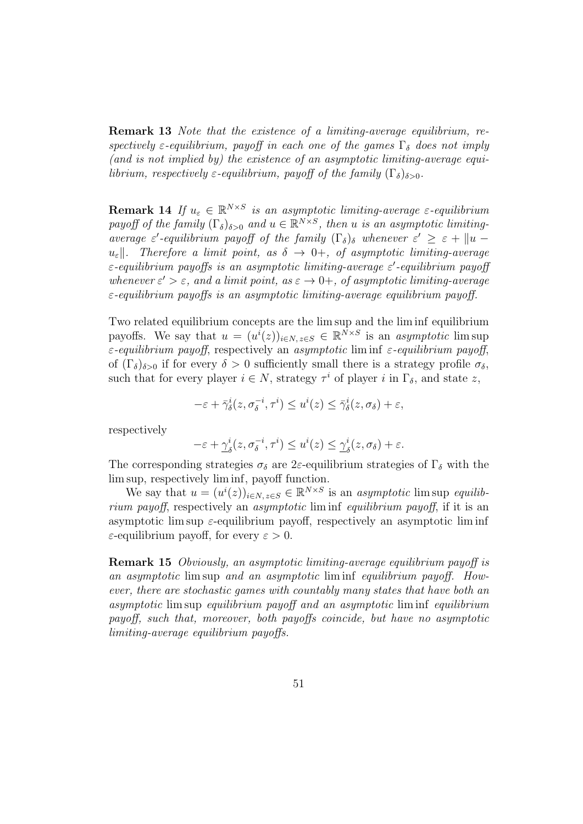Remark 13 Note that the existence of a limiting-average equilibrium, respectively  $\varepsilon$ -equilibrium, payoff in each one of the games  $\Gamma_{\delta}$  does not imply (and is not implied by) the existence of an asymptotic limiting-average equilibrium, respectively  $\varepsilon$ -equilibrium, payoff of the family  $(\Gamma_{\delta})_{\delta>0}$ .

**Remark 14** If  $u_{\varepsilon} \in \mathbb{R}^{N \times S}$  is an asymptotic limiting-average  $\varepsilon$ -equilibrium payoff of the family  $(\Gamma_{\delta})_{\delta>0}$  and  $u \in \mathbb{R}^{N \times S}$ , then u is an asymptotic limitingaverage  $\varepsilon'$ -equilibrium payoff of the family  $(\Gamma_{\delta})_{\delta}$  whenever  $\varepsilon' \geq \varepsilon + ||u$  $u_{\varepsilon}$ . Therefore a limit point, as  $\delta \to 0^+$ , of asymptotic limiting-average  $\varepsilon$ -equilibrium payoffs is an asymptotic limiting-average  $\varepsilon'$ -equilibrium payoff whenever  $\varepsilon' > \varepsilon$ , and a limit point, as  $\varepsilon \to 0^+$ , of asymptotic limiting-average ε-equilibrium payoffs is an asymptotic limiting-average equilibrium payoff.

Two related equilibrium concepts are the lim sup and the lim inf equilibrium payoffs. We say that  $u = (u^i(z))_{i \in N, z \in S} \in \mathbb{R}^N \times S$  is an asymptotic lim sup  $\varepsilon$ -equilibrium payoff, respectively an asymptotic lim inf  $\varepsilon$ -equilibrium payoff, of  $(\Gamma_{\delta})_{\delta>0}$  if for every  $\delta>0$  sufficiently small there is a strategy profile  $\sigma_{\delta}$ , such that for every player  $i \in N$ , strategy  $\tau^i$  of player i in  $\Gamma_{\delta}$ , and state z,

$$
-\varepsilon + \bar{\gamma}_{\delta}^i(z, \sigma_{\delta}^{-i}, \tau^i) \le u^i(z) \le \bar{\gamma}_{\delta}^i(z, \sigma_{\delta}) + \varepsilon,
$$

respectively

$$
-\varepsilon + \underline{\gamma}^i_\delta(z, \sigma_\delta^{-i}, \tau^i) \le u^i(z) \le \underline{\gamma}^i_\delta(z, \sigma_\delta) + \varepsilon.
$$

The corresponding strategies  $\sigma_{\delta}$  are 2ε-equilibrium strategies of  $\Gamma_{\delta}$  with the lim sup, respectively lim inf, payoff function.

We say that  $u = (u^i(z))_{i \in N, z \in S} \in \mathbb{R}^{N \times S}$  is an asymptotic lim sup equilibrium payoff, respectively an asymptotic lim inf equilibrium payoff, if it is an asymptotic lim sup  $\varepsilon$ -equilibrium payoff, respectively an asymptotic lim inf  $\varepsilon$ -equilibrium payoff, for every  $\varepsilon > 0$ .

Remark 15 Obviously, an asymptotic limiting-average equilibrium payoff is an asymptotic lim sup and an asymptotic lim inf equilibrium payoff. However, there are stochastic games with countably many states that have both an asymptotic lim sup equilibrium payoff and an asymptotic lim inf equilibrium payoff, such that, moreover, both payoffs coincide, but have no asymptotic limiting-average equilibrium payoffs.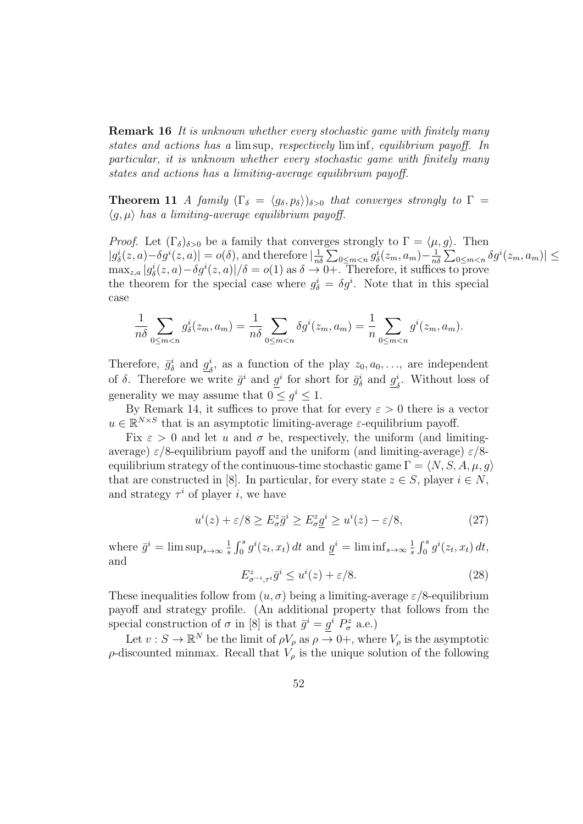Remark 16 It is unknown whether every stochastic game with finitely many states and actions has a lim sup, respectively lim inf, equilibrium payoff. In particular, it is unknown whether every stochastic game with finitely many states and actions has a limiting-average equilibrium payoff.

**Theorem 11** A family  $(\Gamma_{\delta} = \langle g_{\delta}, p_{\delta} \rangle)_{\delta>0}$  that converges strongly to  $\Gamma =$  $\langle q, \mu \rangle$  has a limiting-average equilibrium payoff.

*Proof.* Let  $(\Gamma_{\delta})_{\delta>0}$  be a family that converges strongly to  $\Gamma = \langle \mu, g \rangle$ . Then  $|g_{\delta}^{i}(z, a)-\delta g^{i}(z, a)|=o(\delta),$  and therefore  $|\frac{1}{n}$  $\frac{1}{n\delta}\sum_{0\leq m$  $\frac{1}{n\delta}\sum_{0\leq m$  $\max_{z,a}|g_{\delta}^{i}(z,a)-\delta g^{i}(z,a)|/\delta = o(1)$  as  $\delta \to 0+$ . Therefore, it suffices to prove the theorem for the special case where  $g_{\delta}^{i} = \delta g^{i}$ . Note that in this special case

$$
\frac{1}{n\delta} \sum_{0 \le m < n} g_{\delta}^i(z_m, a_m) = \frac{1}{n\delta} \sum_{0 \le m < n} \delta g^i(z_m, a_m) = \frac{1}{n} \sum_{0 \le m < n} g^i(z_m, a_m).
$$

Therefore,  $\bar{g}_{\delta}^{i}$  and  $g_{\delta}^{i}$  $\frac{i}{\delta}$ , as a function of the play  $z_0, a_0, \ldots$ , are independent of  $\delta$ . Therefore we write  $\bar{g}^i$  and  $\underline{g}^i$  for short for  $\bar{g}^i_{\delta}$  and  $\underline{g}^i_{\delta}$  $\delta$ . Without loss of generality we may assume that  $0 \leq g^i \leq 1$ .

By Remark 14, it suffices to prove that for every  $\varepsilon > 0$  there is a vector  $u \in \mathbb{R}^{N \times S}$  that is an asymptotic limiting-average  $\varepsilon$ -equilibrium payoff.

Fix  $\varepsilon > 0$  and let u and  $\sigma$  be, respectively, the uniform (and limitingaverage)  $\varepsilon/8$ -equilibrium payoff and the uniform (and limiting-average)  $\varepsilon/8$ equilibrium strategy of the continuous-time stochastic game  $\Gamma = \langle N, S, A, \mu, q \rangle$ that are constructed in [8]. In particular, for every state  $z \in S$ , player  $i \in N$ , and strategy  $\tau^i$  of player *i*, we have

$$
u^{i}(z) + \varepsilon/8 \ge E_{\sigma}^{z} \bar{g}^{i} \ge E_{\sigma}^{z} \underline{g}^{i} \ge u^{i}(z) - \varepsilon/8, \tag{27}
$$

where  $\bar{g}^i = \limsup_{s \to \infty} \frac{1}{s}$  $\frac{1}{s}\int_0^s g^i(z_t, x_t) dt$  and  $\underline{g}^i = \liminf_{s \to \infty} \frac{1}{s}$  $\frac{1}{s}\int_0^s g^i(z_t, x_t) dt$ and

$$
E^z_{\sigma^{-i},\tau^i}\bar{g}^i \le u^i(z) + \varepsilon/8. \tag{28}
$$

These inequalities follow from  $(u, \sigma)$  being a limiting-average  $\varepsilon/8$ -equilibrium payoff and strategy profile. (An additional property that follows from the special construction of  $\sigma$  in [8] is that  $\bar{g}^i = \underline{g}^i P^z_{\sigma}$  a.e.)

Let  $v : S \to \mathbb{R}^N$  be the limit of  $\rho V_\rho$  as  $\rho \to 0^+$ , where  $V_\rho$  is the asymptotic  $\rho$ -discounted minmax. Recall that  $V_\rho$  is the unique solution of the following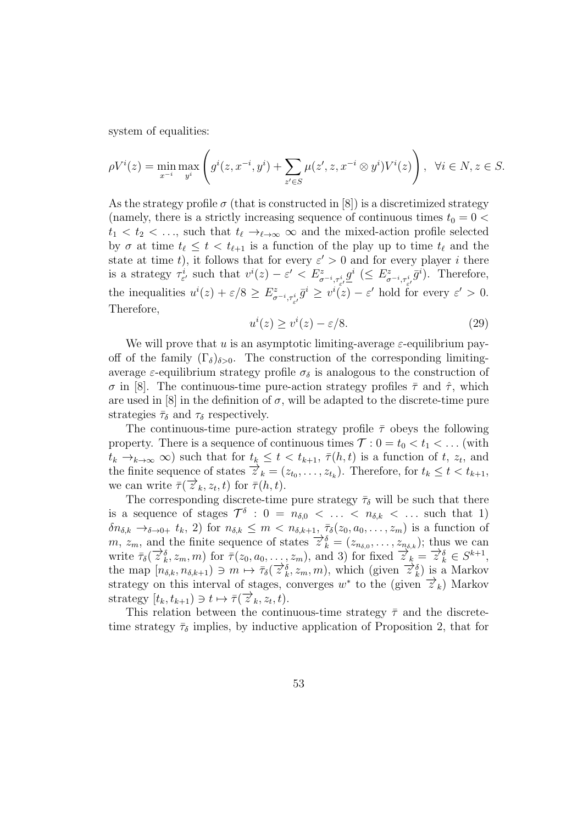system of equalities:

$$
\rho V^{i}(z) = \min_{x^{-i}} \max_{y^{i}} \left( g^{i}(z, x^{-i}, y^{i}) + \sum_{z' \in S} \mu(z', z, x^{-i} \otimes y^{i}) V^{i}(z) \right), \ \ \forall i \in N, z \in S.
$$

As the strategy profile  $\sigma$  (that is constructed in [8]) is a discretimized strategy (namely, there is a strictly increasing sequence of continuous times  $t_0 = 0$  <  $t_1 < t_2 < \ldots$ , such that  $t_\ell \rightarrow_{\ell \rightarrow \infty} \infty$  and the mixed-action profile selected by  $\sigma$  at time  $t_\ell \leq t < t_{\ell+1}$  is a function of the play up to time  $t_\ell$  and the state at time t, it follows that for every  $\varepsilon' > 0$  and for every player i there is a strategy  $\tau_{\varepsilon'}^i$  such that  $v^i(z) - \varepsilon' < E^z_{\sigma^{-i}, \tau_{\varepsilon'}^i} \underline{g}^i \ (\leq E^z_{\sigma^{-i}, \tau_{\varepsilon'}^i} \overline{g}^i)$ . Therefore, the inequalities  $u^{i}(z) + \varepsilon/8 \geq E^{z}_{\sigma^{-i}, \tau^{i}_{\varepsilon'}} \bar{g}^{i} \geq v^{i}(z) - \varepsilon'$  hold for every  $\varepsilon' > 0$ . Therefore,

$$
u^{i}(z) \ge v^{i}(z) - \varepsilon/8. \tag{29}
$$

We will prove that u is an asymptotic limiting-average  $\varepsilon$ -equilibrium payoff of the family  $(\Gamma_{\delta})_{\delta>0}$ . The construction of the corresponding limitingaverage  $\varepsilon$ -equilibrium strategy profile  $\sigma_{\delta}$  is analogous to the construction of σ in [8]. The continuous-time pure-action strategy profiles  $\bar{\tau}$  and  $\hat{\tau}$ , which are used in  $[8]$  in the definition of  $\sigma$ , will be adapted to the discrete-time pure strategies  $\bar{\tau}_{\delta}$  and  $\tau_{\delta}$  respectively.

The continuous-time pure-action strategy profile  $\bar{\tau}$  obeys the following property. There is a sequence of continuous times  $\mathcal{T}: 0 = t_0 < t_1 < \dots$  (with  $t_k \to_{k \to \infty} \infty$  such that for  $t_k \leq t < t_{k+1}$ ,  $\overline{\tau}(h,t)$  is a function of  $t, z_t$ , and the finite sequence of states  $\overrightarrow{z}_k = (z_{t_0}, \ldots, z_{t_k})$ . Therefore, for  $t_k \le t < t_{k+1}$ , we can write  $\overline{\tau}(\overrightarrow{z}_k, z_t, t)$  for  $\overline{\tau}(h, t)$ .

The corresponding discrete-time pure strategy  $\bar{\tau}_{\delta}$  will be such that there is a sequence of stages  $\mathcal{T}^{\delta}$ :  $0 = n_{\delta,0} < \ldots < n_{\delta,k} < \ldots$  such that 1)  $\delta n_{\delta,k} \to_{\delta \to 0+} t_k$ , 2) for  $n_{\delta,k} \leq m < n_{\delta,k+1}$ ,  $\bar{\tau}_{\delta}(z_0, a_0, \ldots, z_m)$  is a function of  $m, z_m$ , and the finite sequence of states  $\overrightarrow{z}_k^s = (z_{n_{\delta,0}}, \ldots, z_{n_{\delta,k}})$ ; thus we can write  $\overline{\tau}_{\delta}(\overrightarrow{z}_{k}^{\delta}, z_{m}, m)$  for  $\overline{\tau}(z_{0}, a_{0}, \ldots, z_{m})$ , and 3) for fixed  $\overrightarrow{z}_{k} = \overrightarrow{z}_{k}^{\delta} \in S^{k+1}$ , the map  $[n_{\delta,k}, n_{\delta,k+1}) \ni m \mapsto \overline{\tau}_{\delta}(\overrightarrow{z}_{k}^{\delta}, z_{m}, m)$ , which (given  $\overrightarrow{z}_{k}^{\delta}$ ) is a Markov strategy on this interval of stages, converges  $w^*$  to the (given  $\overrightarrow{z}_k$ ) Markov strategy  $[t_k, t_{k+1}) \ni t \mapsto \overline{\tau}(\overline{z}^k_k, z_t, t)$ .

This relation between the continuous-time strategy  $\bar{\tau}$  and the discretetime strategy  $\bar{\tau}_{\delta}$  implies, by inductive application of Proposition 2, that for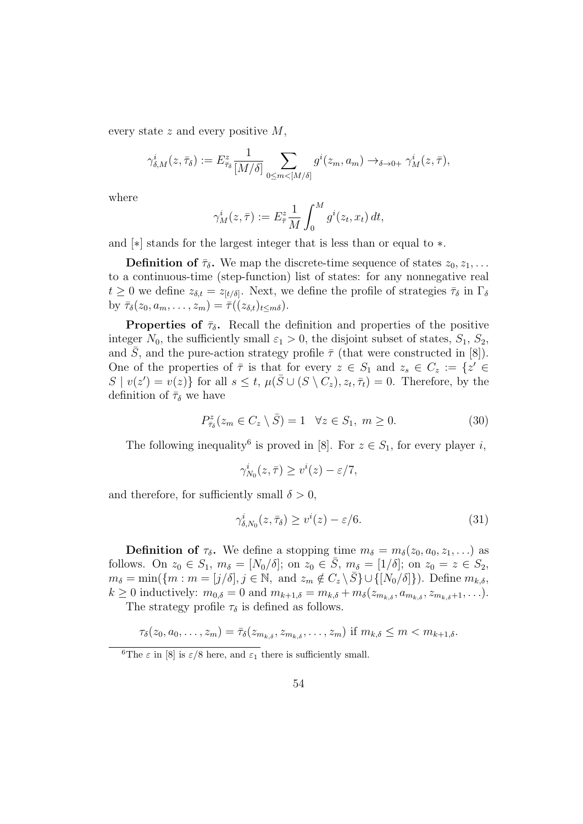every state  $z$  and every positive  $M$ ,

$$
\gamma_{\delta,M}^i(z,\bar{\tau}_{\delta}) := E^z_{\bar{\tau}_{\delta}} \frac{1}{[M/\delta]} \sum_{0 \le m < [M/\delta]} g^i(z_m,a_m) \to_{\delta \to 0+} \gamma_M^i(z,\bar{\tau}),
$$

where

$$
\gamma_M^i(z,\bar{\tau}) := E_{\bar{\tau}}^z \frac{1}{M} \int_0^M g^i(z_t, x_t) dt,
$$

and [∗] stands for the largest integer that is less than or equal to ∗.

**Definition of**  $\bar{\tau}_{\delta}$ . We map the discrete-time sequence of states  $z_0, z_1, \ldots$ to a continuous-time (step-function) list of states: for any nonnegative real  $t \geq 0$  we define  $z_{\delta,t} = z_{[t/\delta]}$ . Next, we define the profile of strategies  $\bar{\tau}_{\delta}$  in  $\Gamma_{\delta}$ by  $\bar{\tau}_{\delta}(z_0, a_m, \ldots, z_m) = \bar{\tau}((z_{\delta,t})_{t \leq m\delta}).$ 

**Properties of**  $\bar{\tau}_{\delta}$ . Recall the definition and properties of the positive integer  $N_0$ , the sufficiently small  $\varepsilon_1 > 0$ , the disjoint subset of states,  $S_1$ ,  $S_2$ , and  $\overline{S}$ , and the pure-action strategy profile  $\overline{\tau}$  (that were constructed in [8]). One of the properties of  $\bar{\tau}$  is that for every  $z \in S_1$  and  $z_s \in C_z := \{z' \in S \}$  $S | v(z') = v(z)$  for all  $s \leq t$ ,  $\mu(\overline{S} \cup (S \setminus C_z), z_t, \overline{\tau}_t) = 0$ . Therefore, by the definition of  $\bar{\tau}_{\delta}$  we have

$$
P_{\bar{\tau}_{\delta}}^{z}(z_{m} \in C_{z} \setminus \bar{S}) = 1 \quad \forall z \in S_{1}, \ m \ge 0. \tag{30}
$$

The following inequality<sup>6</sup> is proved in [8]. For  $z \in S_1$ , for every player *i*,

$$
\gamma_{N_0}^i(z,\bar{\tau}) \ge v^i(z) - \varepsilon/7,
$$

and therefore, for sufficiently small  $\delta > 0$ ,

$$
\gamma_{\delta, N_0}^i(z, \bar{\tau}_{\delta}) \ge v^i(z) - \varepsilon/6. \tag{31}
$$

**Definition of**  $\tau_{\delta}$ **.** We define a stopping time  $m_{\delta} = m_{\delta}(z_0, a_0, z_1, \ldots)$  as follows. On  $z_0 \in S_1$ ,  $m_\delta = [N_0/\delta]$ ; on  $z_0 \in \overline{S}$ ,  $m_\delta = [1/\delta]$ ; on  $z_0 = z \in S_2$ ,  $m_{\delta} = \min(\{m : m = [j/\delta], j \in \mathbb{N}, \text{ and } z_m \notin C_z \setminus \overline{S}\} \cup \{N_0/\delta\}\}).$  Define  $m_{k,\delta}$ ,  $k \geq 0$  inductively:  $m_{0,\delta} = 0$  and  $m_{k+1,\delta} = m_{k,\delta} + m_{\delta}(z_{m_{k,\delta}}, a_{m_{k,\delta}}, z_{m_{k,\delta}+1}, \ldots).$ 

The strategy profile  $\tau_{\delta}$  is defined as follows.

$$
\tau_{\delta}(z_0, a_0, \ldots, z_m) = \bar{\tau}_{\delta}(z_{m_{k,\delta}}, z_{m_{k,\delta}}, \ldots, z_m) \text{ if } m_{k,\delta} \leq m < m_{k+1,\delta}.
$$

<sup>&</sup>lt;sup>6</sup>The  $\varepsilon$  in [8] is  $\varepsilon/8$  here, and  $\varepsilon_1$  there is sufficiently small.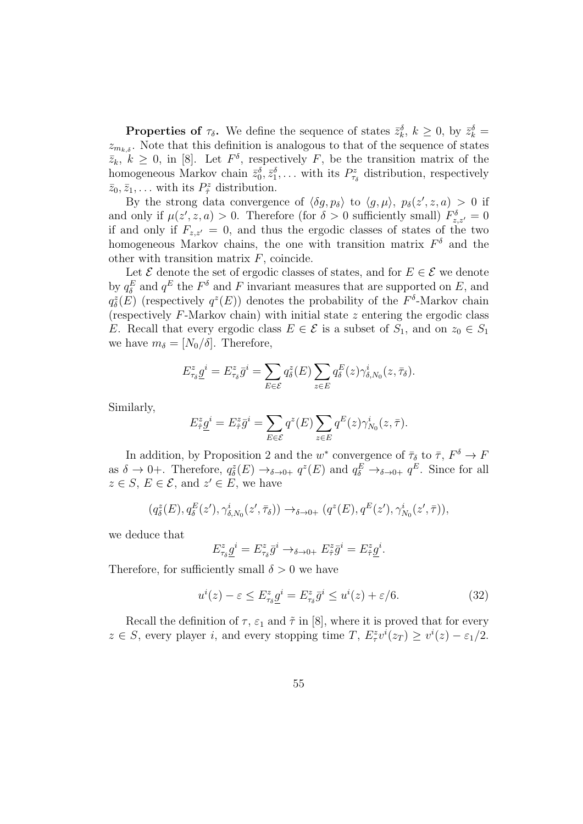**Properties of**  $\tau_{\delta}$ . We define the sequence of states  $\bar{z}_k^{\delta}$ ,  $k \geq 0$ , by  $\bar{z}_k^{\delta}$  =  $z_{m_k,s}$ . Note that this definition is analogous to that of the sequence of states  $\bar{z}_k$ ,  $k \geq 0$ , in [8]. Let  $F^{\delta}$ , respectively F, be the transition matrix of the homogeneous Markov chain  $\bar{z}_0^{\delta}, \bar{z}_1^{\delta}, \ldots$  with its  $P_{\tau_{\delta}}^z$  distribution, respectively  $\bar{z}_0, \bar{z}_1, \ldots$  with its  $P^z_{\hat{\tau}}$  distribution.

By the strong data convergence of  $\langle \delta g, p_{\delta} \rangle$  to  $\langle g, \mu \rangle$ ,  $p_{\delta}(z', z, a) > 0$  if and only if  $\mu(z', z, a) > 0$ . Therefore (for  $\delta > 0$  sufficiently small)  $F_{z,z'}^{\delta} = 0$ if and only if  $F_{z,z'}=0$ , and thus the ergodic classes of states of the two homogeneous Markov chains, the one with transition matrix  $F^{\delta}$  and the other with transition matrix  $F$ , coincide.

Let  $\mathcal E$  denote the set of ergodic classes of states, and for  $E \in \mathcal E$  we denote by  $q_{\delta}^{E}$  and  $q^{E}$  the  $F^{\delta}$  and F invariant measures that are supported on E, and  $q_{\delta}^{z}(E)$  (respectively  $q^{z}(E)$ ) denotes the probability of the  $F^{\delta}$ -Markov chain (respectively  $F$ -Markov chain) with initial state  $z$  entering the ergodic class E. Recall that every ergodic class  $E \in \mathcal{E}$  is a subset of  $S_1$ , and on  $z_0 \in S_1$ we have  $m_{\delta} = [N_0/\check{\delta}]$ . Therefore,

$$
E_{\tau_{\delta}}^z \underline{g}^i = E_{\tau_{\delta}}^z \overline{g}^i = \sum_{E \in \mathcal{E}} q_{\delta}^z(E) \sum_{z \in E} q_{\delta}^E(z) \gamma_{\delta, N_0}^i(z, \overline{\tau_{\delta}}).
$$

Similarly,

$$
E_{\tilde{\tau}}^z \underline{g}^i = E_{\tilde{\tau}}^z \overline{g}^i = \sum_{E \in \mathcal{E}} q^z(E) \sum_{z \in E} q^E(z) \gamma_{N_0}^i(z, \overline{\tau}).
$$

In addition, by Proposition 2 and the  $w^*$  convergence of  $\bar{\tau}_{\delta}$  to  $\bar{\tau}$ ,  $F^{\delta} \to F$ as  $\delta \to 0^+$ . Therefore,  $q_{\delta}^z(E) \to_{\delta \to 0^+} q^z(E)$  and  $q_{\delta}^E \to_{\delta \to 0^+} q^E$ . Since for all  $z \in S$ ,  $E \in \mathcal{E}$ , and  $z' \in E$ , we have

$$
(q_{\delta}^{z}(E), q_{\delta}^{E}(z'), \gamma_{\delta, N_0}^{i}(z', \bar{\tau}_{\delta})) \rightarrow_{\delta \to 0+} (q^{z}(E), q^{E}(z'), \gamma_{N_0}^{i}(z', \bar{\tau})),
$$

we deduce that

$$
E_{\tau_{\delta}}^z \underline{g}^i = E_{\tau_{\delta}}^z \overline{g}^i \rightarrow_{\delta \to 0+} E_{\hat{\tau}}^z \overline{g}^i = E_{\hat{\tau}}^z \underline{g}^i.
$$

Therefore, for sufficiently small  $\delta > 0$  we have

$$
u^{i}(z) - \varepsilon \le E_{\tau_{\delta}}^{z} \underline{g}^{i} = E_{\tau_{\delta}}^{z} \overline{g}^{i} \le u^{i}(z) + \varepsilon/6. \tag{32}
$$

Recall the definition of  $\tau$ ,  $\varepsilon_1$  and  $\tilde{\tau}$  in [8], where it is proved that for every  $z \in S$ , every player *i*, and every stopping time *T*,  $E^z_\tau v^i(z_T) \geq v^i(z) - \varepsilon_1/2$ .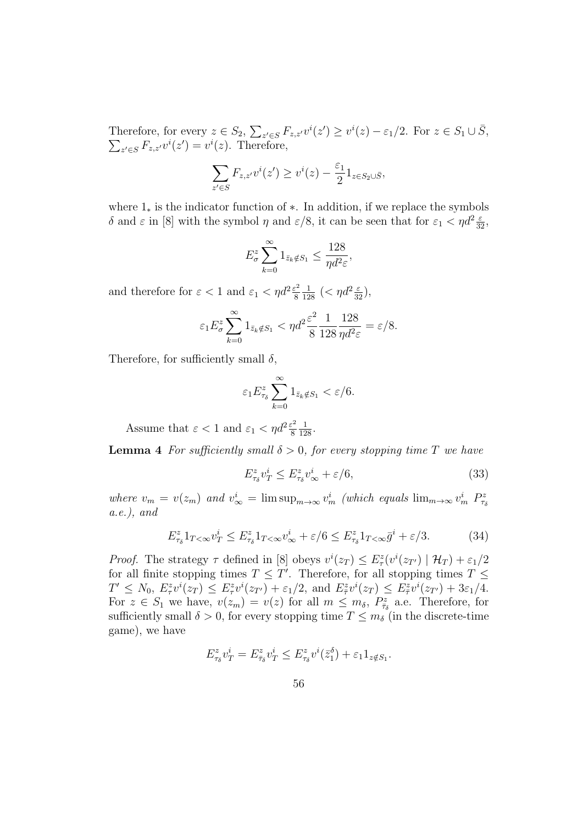Therefore, for every  $z \in S_2$ ,  $\sum_{z' \in S} F_{z,z'}v^i(z') \geq v^i(z) - \varepsilon_1/2$ . For  $z \in S_1 \cup \overline{S}$ ,  $\sum_{z' \in S} F_{z,z'}v^i(z') = v^i(z)$ . Therefore,  $z \in F_{z,z'} v^i(z') = v^i(z)$ . Therefore,

$$
\sum_{z' \in S} F_{z,z'} v^i(z') \ge v^i(z) - \frac{\varepsilon_1}{2} 1_{z \in S_2 \cup \overline{S}},
$$

where 1<sup>∗</sup> is the indicator function of ∗. In addition, if we replace the symbols δ and  $\varepsilon$  in [8] with the symbol  $\eta$  and  $\varepsilon/8$ , it can be seen that for  $\varepsilon_1 < \eta d^2 \frac{\varepsilon}{32}$ ,

$$
E_{\sigma}^{z} \sum_{k=0}^{\infty} 1_{\bar{z}_k \notin S_1} \le \frac{128}{\eta d^2 \varepsilon},
$$

and therefore for  $\varepsilon < 1$  and  $\varepsilon_1 < \eta d^2 \frac{\varepsilon^2}{8}$ 8  $\frac{1}{128} \left( < \eta d^2 \frac{\varepsilon}{32} \right),$ 

$$
\varepsilon_1 E_{\sigma}^z \sum_{k=0}^{\infty} 1_{\bar{z}_k \notin S_1} < \eta d^2 \frac{\varepsilon^2}{8} \frac{1}{128} \frac{128}{\eta d^2 \varepsilon} = \varepsilon / 8.
$$

Therefore, for sufficiently small  $\delta$ ,

$$
\varepsilon_1 E_{\tau_\delta}^z \sum_{k=0}^\infty 1_{\bar{z}_k \notin S_1} < \varepsilon/6.
$$

Assume that  $\varepsilon < 1$  and  $\varepsilon_1 < \eta d^2 \frac{\varepsilon^2}{8}$ 8  $\frac{1}{128}$ .

**Lemma 4** For sufficiently small  $\delta > 0$ , for every stopping time T we have

$$
E_{\tau_{\delta}}^z v_T^i \le E_{\tau_{\delta}}^z v_\infty^i + \varepsilon/6,\tag{33}
$$

where  $v_m = v(z_m)$  and  $v_{\infty}^i = \limsup_{m \to \infty} v_m^i$  (which equals  $\lim_{m \to \infty} v_m^i P_{\tau_{\delta}}^z$  $a.e.$ ), and

$$
E_{\tau_{\delta}}^z 1_{T<\infty} v_T^i \le E_{\tau_{\delta}}^z 1_{T<\infty} v_\infty^i + \varepsilon/6 \le E_{\tau_{\delta}}^z 1_{T<\infty} \bar{g}^i + \varepsilon/3. \tag{34}
$$

*Proof.* The strategy  $\tau$  defined in [8] obeys  $v^i(z_T) \leq E^z_\tau(v^i(z_{T'}) | \mathcal{H}_T) + \varepsilon_1/2$ for all finite stopping times  $T \leq T'$ . Therefore, for all stopping times  $T \leq$  $T' \leq N_0, E^z_{\tau} v^i(z_T) \leq E^z_{\tau} v^i(z_{T'}) + \varepsilon_1/2$ , and  $E^z_{\bar{\tau}} v^i(z_T) \leq E^z_{\bar{\tau}} v^i(z_{T'}) + 3\varepsilon_1/4$ . For  $z \in S_1$  we have,  $v(z_m) = v(z)$  for all  $m \leq m_\delta$ ,  $P_{\bar{\tau}_\delta}^z$  a.e. Therefore, for sufficiently small  $\delta > 0$ , for every stopping time  $T \leq m_{\delta}$  (in the discrete-time game), we have

$$
E_{\tau_{\delta}}^z v_T^i = E_{\bar{\tau}_{\delta}}^z v_T^i \le E_{\tau_{\delta}}^z v^i(\bar{z}_1^{\delta}) + \varepsilon_1 \mathbf{1}_{z \notin S_1}.
$$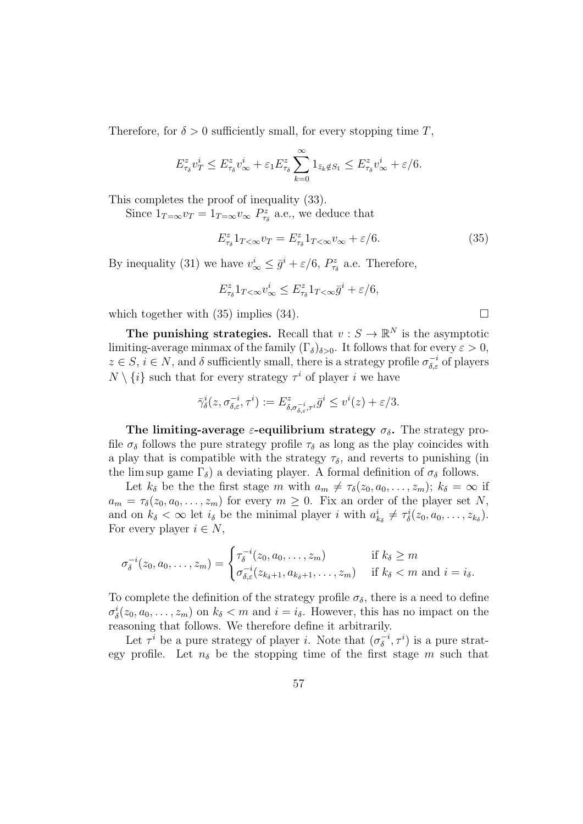Therefore, for  $\delta > 0$  sufficiently small, for every stopping time T.

$$
E_{\tau_{\delta}}^z v_T^i \le E_{\tau_{\delta}}^z v_{\infty}^i + \varepsilon_1 E_{\tau_{\delta}}^z \sum_{k=0}^{\infty} 1_{\bar{z}_k \notin S_1} \le E_{\tau_{\delta}}^z v_{\infty}^i + \varepsilon/6.
$$

This completes the proof of inequality (33).

Since  $1_{T=\infty}v_T = 1_{T=\infty}v_{\infty} P_{\tau_{\delta}}^z$  a.e., we deduce that

$$
E_{\tau_{\delta}}^z 1_{T<\infty} v_T = E_{\tau_{\delta}}^z 1_{T<\infty} v_{\infty} + \varepsilon/6.
$$
 (35)

By inequality (31) we have  $v_{\infty}^i \leq \bar{g}^i + \varepsilon/6$ ,  $P_{\tau_{\delta}}^z$  a.e. Therefore,

$$
E_{\tau_{\delta}}^z 1_{T<\infty} v_{\infty}^i \leq E_{\tau_{\delta}}^z 1_{T<\infty} \bar{g}^i + \varepsilon/6,
$$

which together with (35) implies (34).  $\square$ 

The punishing strategies. Recall that  $v : S \to \mathbb{R}^N$  is the asymptotic limiting-average minmax of the family  $(\Gamma_{\delta})_{\delta>0}$ . It follows that for every  $\varepsilon>0$ ,  $z \in S$ ,  $i \in N$ , and  $\delta$  sufficiently small, there is a strategy profile  $\sigma_{\delta,\varepsilon}^{-i}$  of players  $N \setminus \{i\}$  such that for every strategy  $\tau^i$  of player i we have

$$
\bar{\gamma}^i_{\delta}(z, \sigma^{-i}_{\delta,\varepsilon}, \tau^i) := E^z_{\delta, \sigma^{-i}_{\delta,\varepsilon}, \tau^i} \bar{g}^i \leq v^i(z) + \varepsilon/3.
$$

The limiting-average  $\varepsilon$ -equilibrium strategy  $\sigma_{\delta}$ . The strategy profile  $\sigma_{\delta}$  follows the pure strategy profile  $\tau_{\delta}$  as long as the play coincides with a play that is compatible with the strategy  $\tau_{\delta}$ , and reverts to punishing (in the lim sup game  $\Gamma_{\delta}$ ) a deviating player. A formal definition of  $\sigma_{\delta}$  follows.

Let  $k_{\delta}$  be the the first stage m with  $a_m \neq \tau_{\delta}(z_0, a_0, \ldots, z_m); k_{\delta} = \infty$  if  $a_m = \tau_\delta(z_0, a_0, \ldots, z_m)$  for every  $m \geq 0$ . Fix an order of the player set N, and on  $k_{\delta} < \infty$  let  $i_{\delta}$  be the minimal player i with  $a_{k_{\delta}}^{i} \neq \tau_{\delta}^{i}(z_0, a_0, \ldots, z_{k_{\delta}})$ . For every player  $i \in N$ ,

$$
\sigma_{\delta}^{-i}(z_0, a_0, \dots, z_m) = \begin{cases} \tau_{\delta}^{-i}(z_0, a_0, \dots, z_m) & \text{if } k_{\delta} \ge m \\ \sigma_{\delta, \varepsilon}^{-i}(z_{k_{\delta}+1}, a_{k_{\delta}+1}, \dots, z_m) & \text{if } k_{\delta} < m \text{ and } i = i_{\delta}. \end{cases}
$$

To complete the definition of the strategy profile  $\sigma_{\delta}$ , there is a need to define  $\sigma_{\delta}^{i}(z_0, a_0, \ldots, z_m)$  on  $k_{\delta} < m$  and  $i = i_{\delta}$ . However, this has no impact on the reasoning that follows. We therefore define it arbitrarily.

Let  $\tau^i$  be a pure strategy of player *i*. Note that  $(\sigma_{\delta}^{-i})$  $(\sigma_{\delta}^{-i}, \tau^i)$  is a pure strategy profile. Let  $n_{\delta}$  be the stopping time of the first stage m such that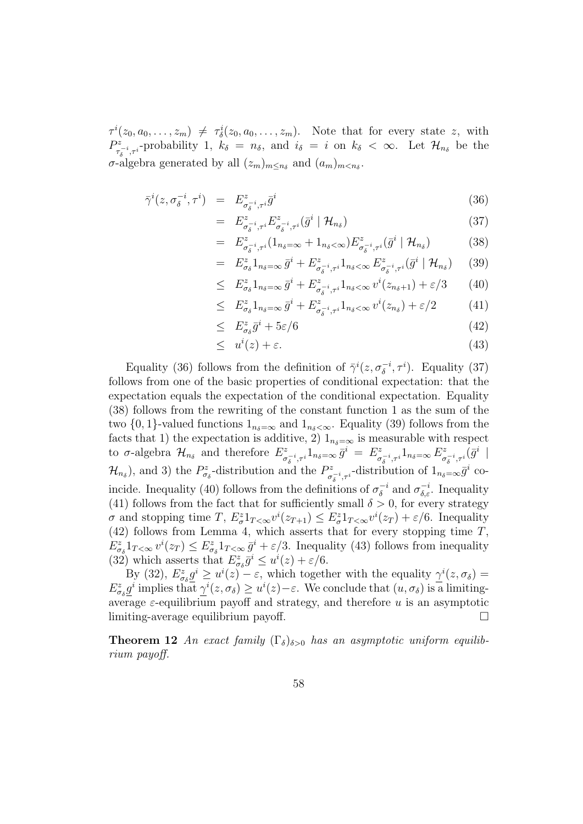$\tau^{i}(z_0, a_0, \ldots, z_m) \neq \tau_{\delta}^{i}(z_0, a_0, \ldots, z_m)$ . Note that for every state z, with  $P_z^z$  $\tau_{\delta}^{z}$ <sub> $\tau_{\delta}$ </sub>-probability 1,  $k_{\delta} = n_{\delta}$ , and  $i_{\delta} = i$  on  $k_{\delta} < \infty$ . Let  $\mathcal{H}_{n_{\delta}}$  be the  $\sigma$ -algebra generated by all  $(z_m)_{m \leq n_\delta}$  and  $(a_m)_{m \leq n_\delta}$ .

$$
\bar{\gamma}^i(z, \sigma_\delta^{-i}, \tau^i) = E^z_{\sigma_\delta^{-i}, \tau^i} \bar{g}^i \tag{36}
$$

$$
= E^z_{\sigma_\delta^{-i}, \tau^i} E^z_{\sigma_\delta^{-i}, \tau^i} (\bar{g}^i \mid \mathcal{H}_{n_\delta}) \tag{37}
$$

$$
= E^z_{\sigma_\delta^{-i},\tau^i} (1_{n_\delta = \infty} + 1_{n_\delta < \infty}) E^z_{\sigma_\delta^{-i},\tau^i} (\bar{g}^i | \mathcal{H}_{n_\delta}) \tag{38}
$$

$$
= E^z_{\sigma_\delta} 1_{n_\delta = \infty} \bar{g}^i + E^z_{\sigma_\delta^{-i}, \tau^i} 1_{n_\delta < \infty} E^z_{\sigma_\delta^{-i}, \tau^i} (\bar{g}^i \mid \mathcal{H}_{n_\delta}) \qquad (39)
$$

$$
\leq E_{\sigma_{\delta}}^{z} 1_{n_{\delta}=\infty} \bar{g}^{i} + E_{\sigma_{\delta}^{-i}, \tau^{i}}^{z} 1_{n_{\delta} < \infty} v^{i}(z_{n_{\delta}+1}) + \varepsilon/3 \qquad (40)
$$

$$
\leq E_{\sigma_{\delta}}^{z} 1_{n_{\delta}=\infty} \bar{g}^{i} + E_{\sigma_{\delta}^{-i}, \tau^{i}}^{z} 1_{n_{\delta} < \infty} v^{i}(z_{n_{\delta}}) + \varepsilon/2 \tag{41}
$$

$$
\leq E_{\sigma_{\delta}}^z \bar{g}^i + 5\varepsilon/6 \tag{42}
$$

$$
\leq u^i(z) + \varepsilon. \tag{43}
$$

Equality (36) follows from the definition of  $\bar{\gamma}^i(z, \sigma_\delta^{-i}, \tau^i)$ . Equality (37) follows from one of the basic properties of conditional expectation: that the expectation equals the expectation of the conditional expectation. Equality (38) follows from the rewriting of the constant function 1 as the sum of the two  $\{0, 1\}$ -valued functions  $1_{n \leq \infty}$  and  $1_{n \leq \infty}$ . Equality (39) follows from the facts that 1) the expectation is additive, 2)  $1_{n_{\delta}=\infty}$  is measurable with respect to  $\sigma$ -algebra  $\mathcal{H}_{n_{\delta}}$  and therefore  $E^z_{\sigma}$  $\frac{dz}{\sigma_{\delta}^{-i},\tau^{i}}1_{n_{\delta}=\infty}\bar{g}^{i} = E_{\sigma}^{z}$  $C^z_{\sigma_\delta^{-i},\tau^i}1_{n_\delta=\infty}E^z_\sigma$  $\int_{\sigma_{\delta}^{-i},\tau^{i}}^{z}(\bar{g}^{i}\mid)$  $\mathcal{H}_{n_{\delta}}$ , and 3) the  $P_{\sigma_{\delta}}^{z}$ -distribution and the  $P_{\sigma}^{z}$  $\sigma_{\delta}^{z}$ <sub>*o*-i, $\tau$ <sup>i</sup></sub>-distribution of  $1_{n_{\delta}=\infty}\bar{g}^{i}$  coincide. Inequality (40) follows from the definitions of  $\sigma_{\delta}^{-i}$  $\sigma_{\delta,\varepsilon}^{-i}$  and  $\sigma_{\delta,\varepsilon}^{-i}$ . Inequality (41) follows from the fact that for sufficiently small  $\delta > 0$ , for every strategy  $\sigma$  and stopping time T,  $E_{\sigma}^z 1_{T<\infty} v^i(z_{T+1}) \leq E_{\sigma}^z 1_{T<\infty} v^i(z_T) + \varepsilon/6$ . Inequality (42) follows from Lemma 4, which asserts that for every stopping time  $T$ ,  $E_{\sigma_{\delta}}^{z}1_{T<\infty}v^{i}(z_{T}) \leq E_{\sigma_{\delta}}^{z}1_{T<\infty}\bar{g}^{i}+\varepsilon/3$ . Inequality (43) follows from inequality (32) which asserts that  $E^z_{\sigma_{\delta}}\bar{g}^i \leq u^i(z) + \varepsilon/6$ .

By (32),  $E^z_{\sigma_{\delta}} \underline{g}^i \geq u^i(z) - \varepsilon$ , which together with the equality  $\underline{\gamma}^i(z, \sigma_{\delta}) =$  $E^z_{\sigma_\delta} \underline{g}^i$  implies that  $\underline{\gamma}^i(z, \sigma_\delta) \geq u^i(z) - \varepsilon$ . We conclude that  $(u, \sigma_\delta)$  is a limitingaverage  $\varepsilon$ -equilibrium payoff and strategy, and therefore  $u$  is an asymptotic limiting-average equilibrium payoff.

**Theorem 12** An exact family  $(\Gamma_{\delta})_{\delta>0}$  has an asymptotic uniform equilibrium payoff.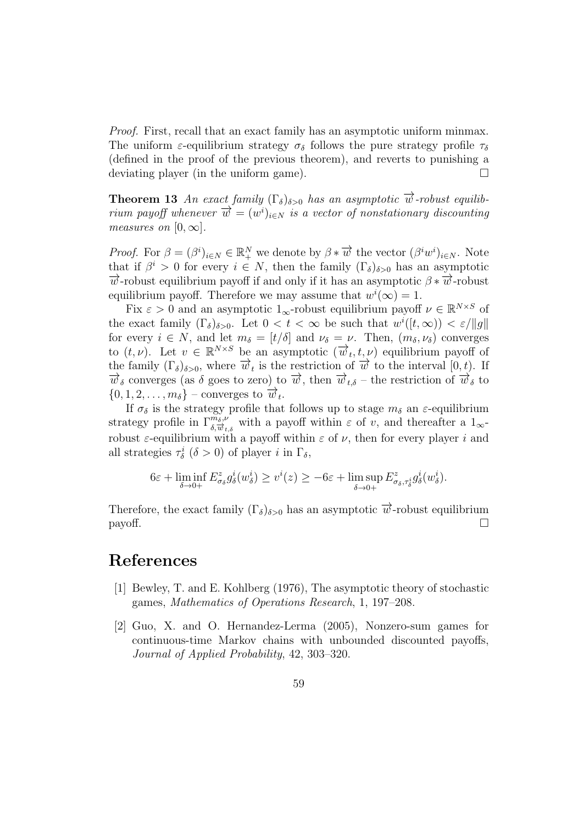Proof. First, recall that an exact family has an asymptotic uniform minmax. The uniform  $\varepsilon$ -equilibrium strategy  $\sigma_{\delta}$  follows the pure strategy profile  $\tau_{\delta}$ (defined in the proof of the previous theorem), and reverts to punishing a deviating player (in the uniform game).  $\Box$ 

**Theorem 13** An exact family  $(\Gamma_{\delta})_{\delta>0}$  has an asymptotic  $\overrightarrow{w}$ -robust equilibrium payoff whenever  $\overrightarrow{w} = (w^i)_{i \in N}$  is a vector of nonstationary discounting measures on  $[0, \infty]$ .

*Proof.* For  $\beta = (\beta^i)_{i \in N} \in \mathbb{R}_+^N$  we denote by  $\beta * \overrightarrow{w}$  the vector  $(\beta^i w^i)_{i \in N}$ . Note that if  $\beta^i > 0$  for every  $i \in N$ , then the family  $(\Gamma_{\delta})_{\delta > 0}$  has an asymptotic  $\overrightarrow{w}$ -robust equilibrium payoff if and only if it has an asymptotic  $\beta * \overrightarrow{w}$ -robust equilibrium payoff. Therefore we may assume that  $w^{i}(\infty) = 1$ .

Fix  $\varepsilon > 0$  and an asymptotic  $1_{\infty}$ -robust equilibrium payoff  $\nu \in \mathbb{R}^{N \times S}$  of the exact family  $(\Gamma_{\delta})_{\delta>0}$ . Let  $0 < t < \infty$  be such that  $w^{i}([t,\infty)) < \varepsilon/||g||$ for every  $i \in N$ , and let  $m_{\delta} = [t/\delta]$  and  $\nu_{\delta} = \nu$ . Then,  $(m_{\delta}, \nu_{\delta})$  converges to  $(t, \nu)$ . Let  $v \in \mathbb{R}^{N \times S}$  be an asymptotic  $(\overrightarrow{w}_t, t, \nu)$  equilibrium payoff of the family  $(\Gamma_{\delta})_{\delta>0}$ , where  $\vec{w}_t$  is the restriction of  $\vec{w}$  to the interval  $[0, t)$ . If  $\overrightarrow{w}_{\delta}$  converges (as  $\delta$  goes to zero) to  $\overrightarrow{w}_{\delta}$ , then  $\overrightarrow{w}_{t\delta}$  – the restriction of  $\overrightarrow{w}_{\delta}$  to  ${0, 1, 2, \ldots, m_\delta}$  – converges to  $\overrightarrow{w}_t$ .

If  $\sigma_{\delta}$  is the strategy profile that follows up to stage  $m_{\delta}$  an  $\varepsilon$ -equilibrium strategy profile in  $\Gamma_{\delta,\vec{w}_{t,\delta}}^{m_{\delta},\nu}$  with a payoff within  $\varepsilon$  of v, and thereafter a  $1_{\infty}$ robust  $\varepsilon$ -equilibrium with a payoff within  $\varepsilon$  of  $\nu$ , then for every player i and all strategies  $\tau_{\delta}^{i}$  ( $\delta > 0$ ) of player *i* in  $\Gamma_{\delta}$ ,

$$
6\varepsilon + \liminf_{\delta \to 0+} E^z_{\sigma_\delta} g^i_\delta(w^i_\delta) \ge v^i(z) \ge -6\varepsilon + \limsup_{\delta \to 0+} E^z_{\sigma_\delta, \tau^i_\delta} g^i_\delta(w^i_\delta).
$$

Therefore, the exact family  $(\Gamma_{\delta})_{\delta>0}$  has an asymptotic  $\overrightarrow{w}$ -robust equilibrium  $\Box$  payoff.

### References

- [1] Bewley, T. and E. Kohlberg (1976), The asymptotic theory of stochastic games, Mathematics of Operations Research, 1, 197–208.
- [2] Guo, X. and O. Hernandez-Lerma (2005), Nonzero-sum games for continuous-time Markov chains with unbounded discounted payoffs, Journal of Applied Probability, 42, 303–320.